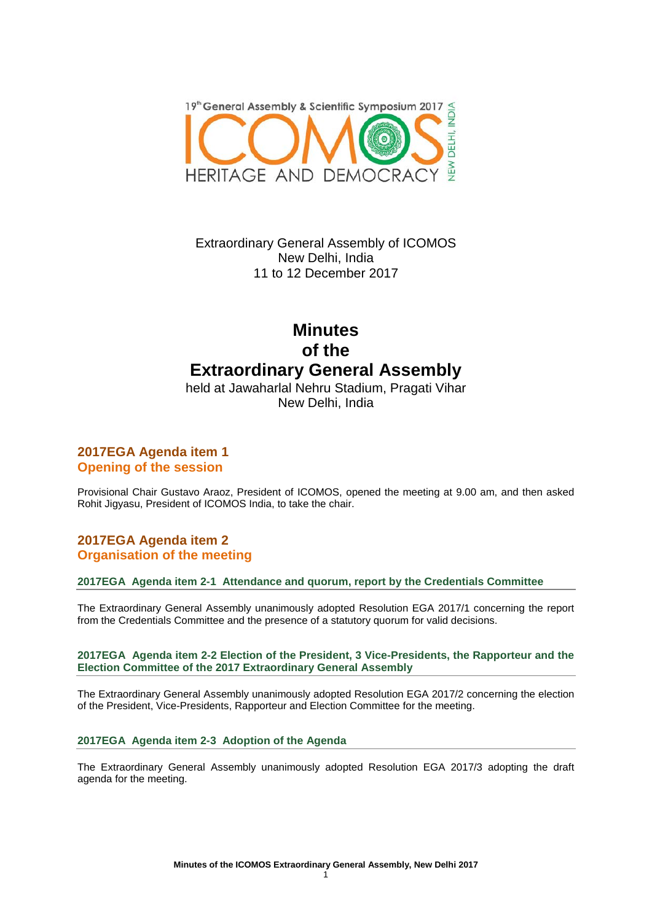

Extraordinary General Assembly of ICOMOS New Delhi, India 11 to 12 December 2017

## **Minutes of the Extraordinary General Assembly** held at Jawaharlal Nehru Stadium, Pragati Vihar

New Delhi, India

#### **2017EGA Agenda item 1 Opening of the session**

Provisional Chair Gustavo Araoz, President of ICOMOS, opened the meeting at 9.00 am, and then asked Rohit Jigyasu, President of ICOMOS India, to take the chair.

### **2017EGA Agenda item 2 Organisation of the meeting**

**2017EGA Agenda item 2-1 Attendance and quorum, report by the Credentials Committee**

The Extraordinary General Assembly unanimously adopted Resolution EGA 2017/1 concerning the report from the Credentials Committee and the presence of a statutory quorum for valid decisions.

#### **2017EGA Agenda item 2-2 Election of the President, 3 Vice-Presidents, the Rapporteur and the Election Committee of the 2017 Extraordinary General Assembly**

The Extraordinary General Assembly unanimously adopted Resolution EGA 2017/2 concerning the election of the President, Vice-Presidents, Rapporteur and Election Committee for the meeting.

#### **2017EGA Agenda item 2-3 Adoption of the Agenda**

The Extraordinary General Assembly unanimously adopted Resolution EGA 2017/3 adopting the draft agenda for the meeting.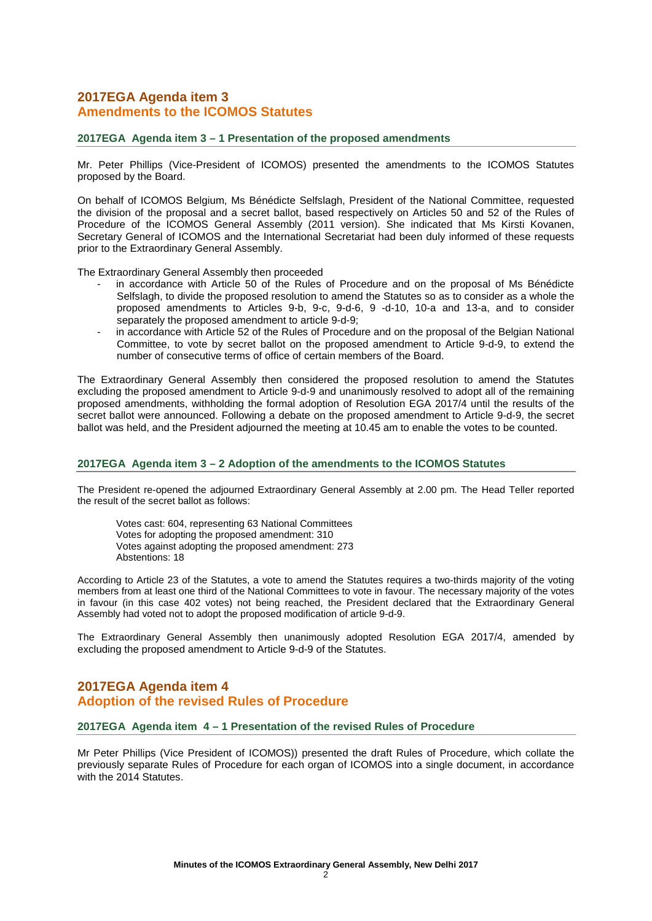#### **2017EGA Agenda item 3 Amendments to the ICOMOS Statutes**

#### **2017EGA Agenda item 3 – 1 Presentation of the proposed amendments**

Mr. Peter Phillips (Vice-President of ICOMOS) presented the amendments to the ICOMOS Statutes proposed by the Board.

On behalf of ICOMOS Belgium, Ms Bénédicte Selfslagh, President of the National Committee, requested the division of the proposal and a secret ballot, based respectively on Articles 50 and 52 of the Rules of Procedure of the ICOMOS General Assembly (2011 version). She indicated that Ms Kirsti Kovanen, Secretary General of ICOMOS and the International Secretariat had been duly informed of these requests prior to the Extraordinary General Assembly.

The Extraordinary General Assembly then proceeded

- in accordance with Article 50 of the Rules of Procedure and on the proposal of Ms Bénédicte Selfslagh, to divide the proposed resolution to amend the Statutes so as to consider as a whole the proposed amendments to Articles 9-b, 9-c, 9-d-6, 9 -d-10, 10-a and 13-a, and to consider separately the proposed amendment to article 9-d-9;
- in accordance with Article 52 of the Rules of Procedure and on the proposal of the Belgian National Committee, to vote by secret ballot on the proposed amendment to Article 9-d-9, to extend the number of consecutive terms of office of certain members of the Board.

The Extraordinary General Assembly then considered the proposed resolution to amend the Statutes excluding the proposed amendment to Article 9-d-9 and unanimously resolved to adopt all of the remaining proposed amendments, withholding the formal adoption of Resolution EGA 2017/4 until the results of the secret ballot were announced. Following a debate on the proposed amendment to Article 9-d-9, the secret ballot was held, and the President adjourned the meeting at 10.45 am to enable the votes to be counted.

#### **2017EGA Agenda item 3 – 2 Adoption of the amendments to the ICOMOS Statutes**

The President re-opened the adjourned Extraordinary General Assembly at 2.00 pm. The Head Teller reported the result of the secret ballot as follows:

Votes cast: 604, representing 63 National Committees Votes for adopting the proposed amendment: 310 Votes against adopting the proposed amendment: 273 Abstentions: 18

According to Article 23 of the Statutes, a vote to amend the Statutes requires a two-thirds majority of the voting members from at least one third of the National Committees to vote in favour. The necessary majority of the votes in favour (in this case 402 votes) not being reached, the President declared that the Extraordinary General Assembly had voted not to adopt the proposed modification of article 9-d-9.

The Extraordinary General Assembly then unanimously adopted Resolution EGA 2017/4, amended by excluding the proposed amendment to Article 9-d-9 of the Statutes.

#### **2017EGA Agenda item 4 Adoption of the revised Rules of Procedure**

#### **2017EGA Agenda item 4 – 1 Presentation of the revised Rules of Procedure**

Mr Peter Phillips (Vice President of ICOMOS)) presented the draft Rules of Procedure, which collate the previously separate Rules of Procedure for each organ of ICOMOS into a single document, in accordance with the 2014 Statutes.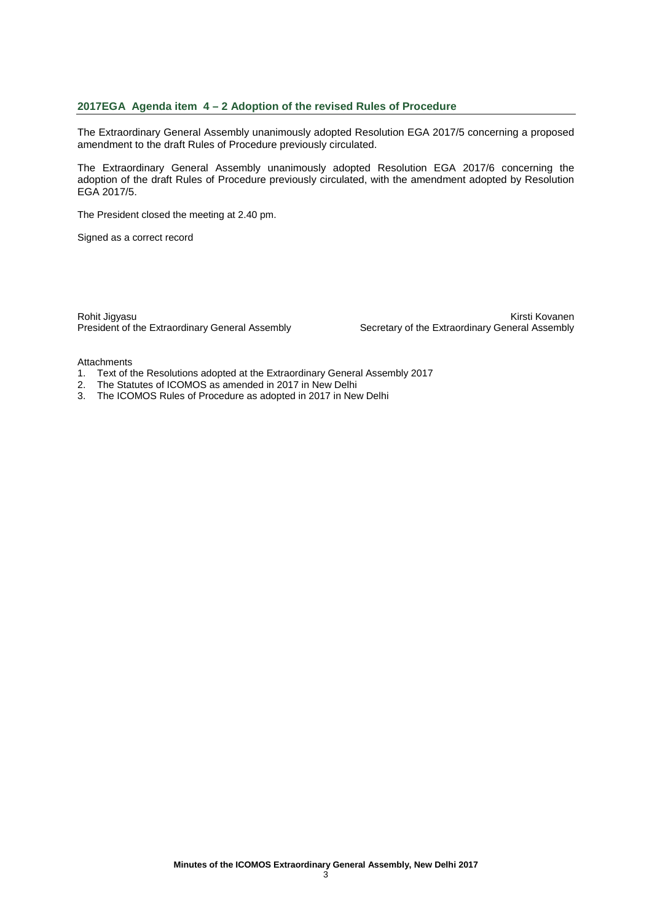#### **2017EGA Agenda item 4 – 2 Adoption of the revised Rules of Procedure**

The Extraordinary General Assembly unanimously adopted Resolution EGA 2017/5 concerning a proposed amendment to the draft Rules of Procedure previously circulated.

The Extraordinary General Assembly unanimously adopted Resolution EGA 2017/6 concerning the adoption of the draft Rules of Procedure previously circulated, with the amendment adopted by Resolution EGA 2017/5.

The President closed the meeting at 2.40 pm.

Signed as a correct record

President of the Extraordinary General Assembly

Rohit Jigyasu<br>President of the Extraordinary General Assembly Secretary of the Extraordinary General Assembly

**Attachments** 

- 1. Text of the Resolutions adopted at the Extraordinary General Assembly 2017
- 2. The Statutes of ICOMOS as amended in 2017 in New Delhi
- 3. The ICOMOS Rules of Procedure as adopted in 2017 in New Delhi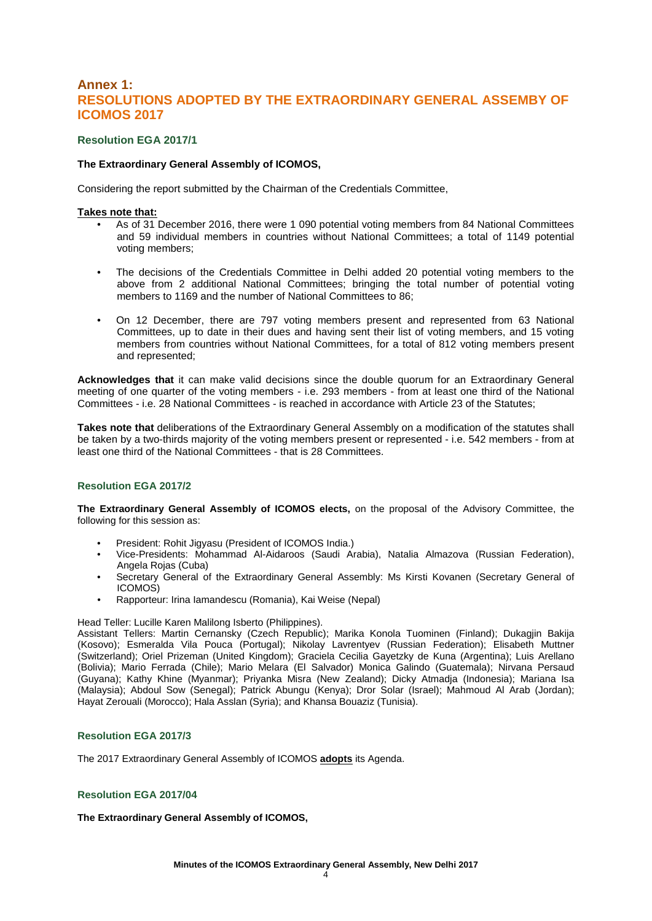### **Annex 1: RESOLUTIONS ADOPTED BY THE EXTRAORDINARY GENERAL ASSEMBY OF ICOMOS 2017**

#### **Resolution EGA 2017/1**

#### **The Extraordinary General Assembly of ICOMOS,**

Considering the report submitted by the Chairman of the Credentials Committee,

#### **Takes note that:**

- As of 31 December 2016, there were 1 090 potential voting members from 84 National Committees and 59 individual members in countries without National Committees; a total of 1149 potential voting members;
- The decisions of the Credentials Committee in Delhi added 20 potential voting members to the above from 2 additional National Committees; bringing the total number of potential voting members to 1169 and the number of National Committees to 86;
- On 12 December, there are 797 voting members present and represented from 63 National Committees, up to date in their dues and having sent their list of voting members, and 15 voting members from countries without National Committees, for a total of 812 voting members present and represented;

**Acknowledges that** it can make valid decisions since the double quorum for an Extraordinary General meeting of one quarter of the voting members - i.e. 293 members - from at least one third of the National Committees - i.e. 28 National Committees - is reached in accordance with Article 23 of the Statutes;

**Takes note that** deliberations of the Extraordinary General Assembly on a modification of the statutes shall be taken by a two-thirds majority of the voting members present or represented - i.e. 542 members - from at least one third of the National Committees - that is 28 Committees.

#### **Resolution EGA 2017/2**

**The Extraordinary General Assembly of ICOMOS elects,** on the proposal of the Advisory Committee, the following for this session as:

- President: Rohit Jigyasu (President of ICOMOS India.)
- Vice-Presidents: Mohammad Al-Aidaroos (Saudi Arabia), Natalia Almazova (Russian Federation), Angela Rojas (Cuba)
- Secretary General of the Extraordinary General Assembly: Ms Kirsti Kovanen (Secretary General of ICOMOS)
- Rapporteur: Irina Iamandescu (Romania), Kai Weise (Nepal)

#### Head Teller: Lucille Karen Malilong Isberto (Philippines).

Assistant Tellers: Martin Cernansky (Czech Republic); Marika Konola Tuominen (Finland); Dukagjin Bakija (Kosovo); Esmeralda Vila Pouca (Portugal); Nikolay Lavrentyev (Russian Federation); Elisabeth Muttner (Switzerland); Oriel Prizeman (United Kingdom); Graciela Cecilia Gayetzky de Kuna (Argentina); Luis Arellano (Bolivia); Mario Ferrada (Chile); Mario Melara (El Salvador) Monica Galindo (Guatemala); Nirvana Persaud (Guyana); Kathy Khine (Myanmar); Priyanka Misra (New Zealand); Dicky Atmadja (Indonesia); Mariana Isa (Malaysia); Abdoul Sow (Senegal); Patrick Abungu (Kenya); Dror Solar (Israel); Mahmoud Al Arab (Jordan); Hayat Zerouali (Morocco); Hala Asslan (Syria); and Khansa Bouaziz (Tunisia).

#### **Resolution EGA 2017/3**

The 2017 Extraordinary General Assembly of ICOMOS **adopts** its Agenda.

#### **Resolution EGA 2017/04**

**The Extraordinary General Assembly of ICOMOS,**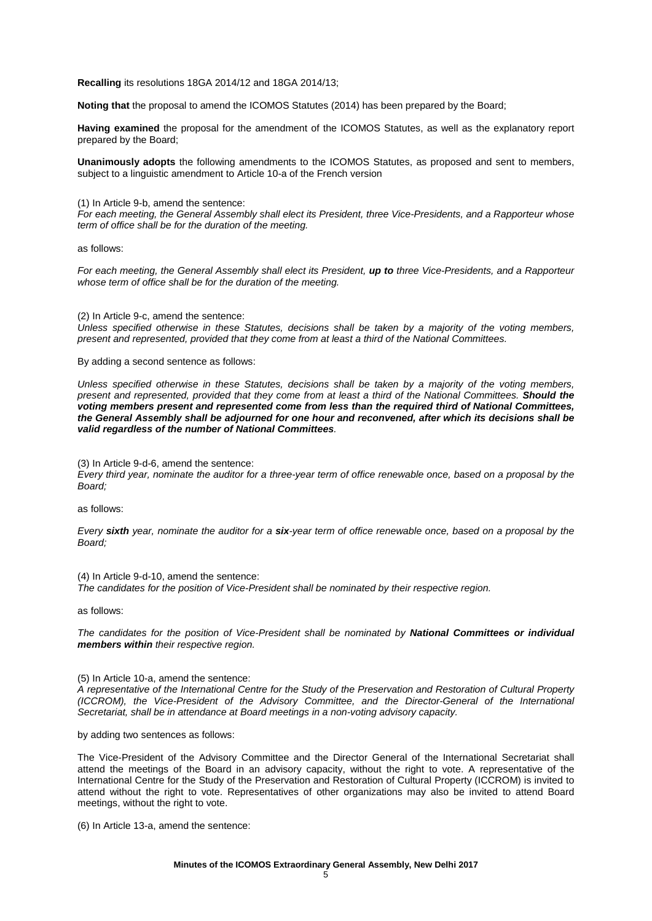**Recalling** its resolutions 18GA 2014/12 and 18GA 2014/13;

**Noting that** the proposal to amend the ICOMOS Statutes (2014) has been prepared by the Board;

**Having examined** the proposal for the amendment of the ICOMOS Statutes, as well as the explanatory report prepared by the Board;

**Unanimously adopts** the following amendments to the ICOMOS Statutes, as proposed and sent to members, subject to a linguistic amendment to Article 10-a of the French version

(1) In Article 9-b, amend the sentence:

*For each meeting, the General Assembly shall elect its President, three Vice-Presidents, and a Rapporteur whose term of office shall be for the duration of the meeting.* 

as follows:

*For each meeting, the General Assembly shall elect its President, up to three Vice-Presidents, and a Rapporteur whose term of office shall be for the duration of the meeting.* 

(2) In Article 9-c, amend the sentence:

*Unless specified otherwise in these Statutes, decisions shall be taken by a majority of the voting members, present and represented, provided that they come from at least a third of the National Committees.* 

By adding a second sentence as follows:

*Unless specified otherwise in these Statutes, decisions shall be taken by a majority of the voting members, present and represented, provided that they come from at least a third of the National Committees. Should the voting members present and represented come from less than the required third of National Committees, the General Assembly shall be adjourned for one hour and reconvened, after which its decisions shall be valid regardless of the number of National Committees.* 

(3) In Article 9-d-6, amend the sentence:

*Every third year, nominate the auditor for a three-year term of office renewable once, based on a proposal by the Board;* 

as follows:

*Every sixth year, nominate the auditor for a six-year term of office renewable once, based on a proposal by the Board;* 

(4) In Article 9-d-10, amend the sentence: *The candidates for the position of Vice-President shall be nominated by their respective region.* 

as follows:

*The candidates for the position of Vice-President shall be nominated by National Committees or individual members within their respective region.* 

(5) In Article 10-a, amend the sentence:

*A representative of the International Centre for the Study of the Preservation and Restoration of Cultural Property (ICCROM), the Vice-President of the Advisory Committee, and the Director-General of the International Secretariat, shall be in attendance at Board meetings in a non-voting advisory capacity.*

by adding two sentences as follows:

The Vice-President of the Advisory Committee and the Director General of the International Secretariat shall attend the meetings of the Board in an advisory capacity, without the right to vote. A representative of the International Centre for the Study of the Preservation and Restoration of Cultural Property (ICCROM) is invited to attend without the right to vote. Representatives of other organizations may also be invited to attend Board meetings, without the right to vote.

(6) In Article 13-a, amend the sentence: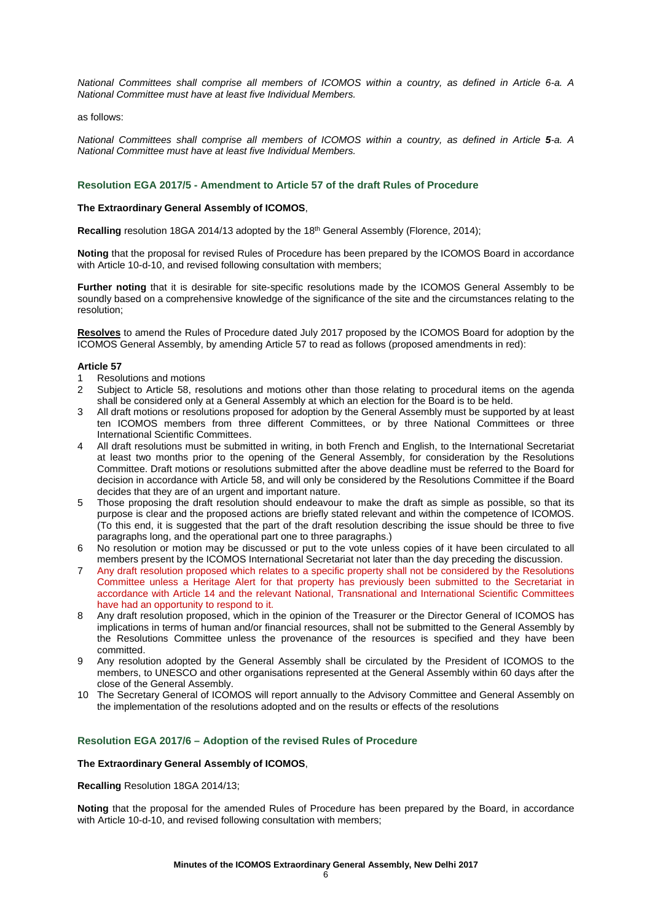*National Committees shall comprise all members of ICOMOS within a country, as defined in Article 6-a. A National Committee must have at least five Individual Members.* 

as follows:

*National Committees shall comprise all members of ICOMOS within a country, as defined in Article 5-a. A National Committee must have at least five Individual Members.*

#### **Resolution EGA 2017/5 - Amendment to Article 57 of the draft Rules of Procedure**

#### **The Extraordinary General Assembly of ICOMOS**,

**Recalling** resolution 18GA 2014/13 adopted by the 18th General Assembly (Florence, 2014);

**Noting** that the proposal for revised Rules of Procedure has been prepared by the ICOMOS Board in accordance with Article 10-d-10, and revised following consultation with members:

**Further noting** that it is desirable for site-specific resolutions made by the ICOMOS General Assembly to be soundly based on a comprehensive knowledge of the significance of the site and the circumstances relating to the resolution;

**Resolves** to amend the Rules of Procedure dated July 2017 proposed by the ICOMOS Board for adoption by the ICOMOS General Assembly, by amending Article 57 to read as follows (proposed amendments in red):

#### **Article 57**

- 1 Resolutions and motions<br>2 Subject to Article 58 res
- 2 Subject to Article 58, resolutions and motions other than those relating to procedural items on the agenda shall be considered only at a General Assembly at which an election for the Board is to be held.
- 3 All draft motions or resolutions proposed for adoption by the General Assembly must be supported by at least ten ICOMOS members from three different Committees, or by three National Committees or three International Scientific Committees.
- 4 All draft resolutions must be submitted in writing, in both French and English, to the International Secretariat at least two months prior to the opening of the General Assembly, for consideration by the Resolutions Committee. Draft motions or resolutions submitted after the above deadline must be referred to the Board for decision in accordance with Article 58, and will only be considered by the Resolutions Committee if the Board decides that they are of an urgent and important nature.
- 5 Those proposing the draft resolution should endeavour to make the draft as simple as possible, so that its purpose is clear and the proposed actions are briefly stated relevant and within the competence of ICOMOS. (To this end, it is suggested that the part of the draft resolution describing the issue should be three to five paragraphs long, and the operational part one to three paragraphs.)
- 6 No resolution or motion may be discussed or put to the vote unless copies of it have been circulated to all members present by the ICOMOS International Secretariat not later than the day preceding the discussion.
- 7 Any draft resolution proposed which relates to a specific property shall not be considered by the Resolutions Committee unless a Heritage Alert for that property has previously been submitted to the Secretariat in accordance with Article 14 and the relevant National, Transnational and International Scientific Committees have had an opportunity to respond to it.
- 8 Any draft resolution proposed, which in the opinion of the Treasurer or the Director General of ICOMOS has implications in terms of human and/or financial resources, shall not be submitted to the General Assembly by the Resolutions Committee unless the provenance of the resources is specified and they have been committed.
- 9 Any resolution adopted by the General Assembly shall be circulated by the President of ICOMOS to the members, to UNESCO and other organisations represented at the General Assembly within 60 days after the close of the General Assembly.
- 10 The Secretary General of ICOMOS will report annually to the Advisory Committee and General Assembly on the implementation of the resolutions adopted and on the results or effects of the resolutions

#### **Resolution EGA 2017/6 – Adoption of the revised Rules of Procedure**

#### **The Extraordinary General Assembly of ICOMOS**,

**Recalling** Resolution 18GA 2014/13;

**Noting** that the proposal for the amended Rules of Procedure has been prepared by the Board, in accordance with Article 10-d-10, and revised following consultation with members;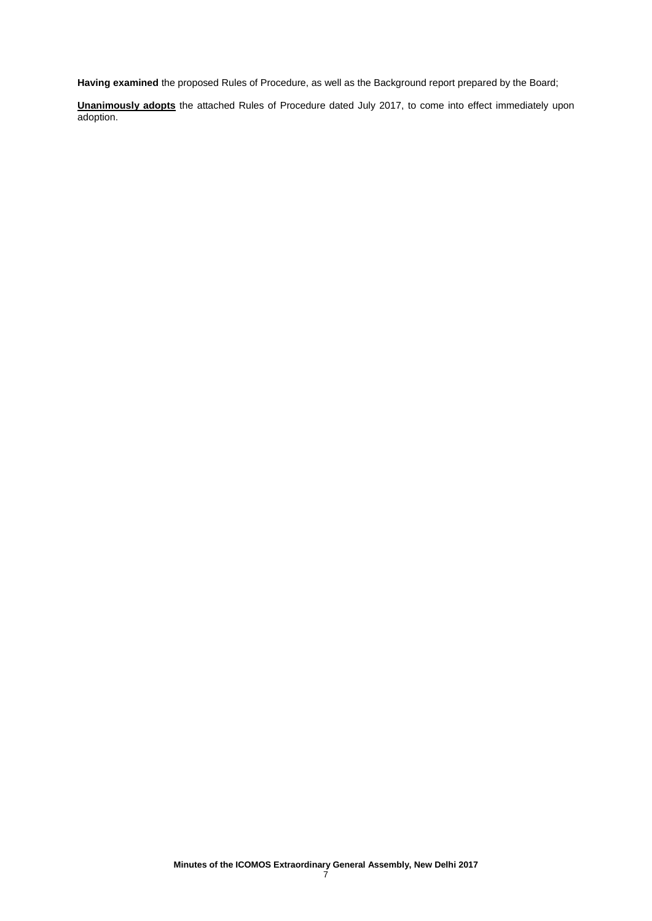**Having examined** the proposed Rules of Procedure, as well as the Background report prepared by the Board;

**Unanimously adopts** the attached Rules of Procedure dated July 2017, to come into effect immediately upon adoption.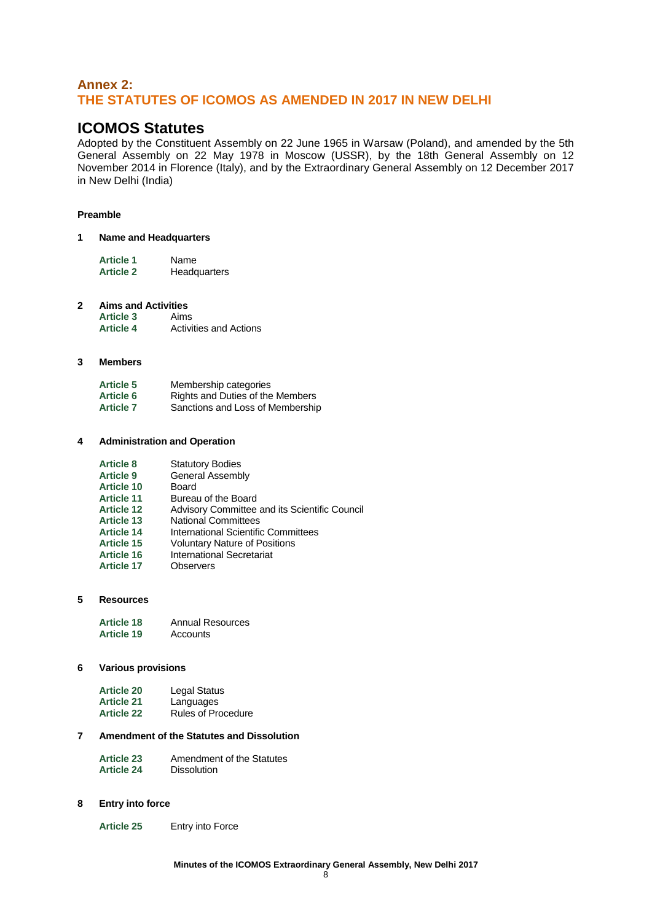#### **Annex 2: THE STATUTES OF ICOMOS AS AMENDED IN 2017 IN NEW DELHI**

## **ICOMOS Statutes**

Adopted by the Constituent Assembly on 22 June 1965 in Warsaw (Poland), and amended by the 5th General Assembly on 22 May 1978 in Moscow (USSR), by the 18th General Assembly on 12 November 2014 in Florence (Italy), and by the Extraordinary General Assembly on 12 December 2017 in New Delhi (India)

#### **Preamble**

**1 Name and Headquarters**

| <b>Article 1</b> | Name         |
|------------------|--------------|
| <b>Article 2</b> | Headquarters |

**2 Aims and Activities**

| <b>Article 3</b> | Aims                          |
|------------------|-------------------------------|
| <b>Article 4</b> | <b>Activities and Actions</b> |

#### **3 Members**

| <b>Article 5</b> | Membership categories            |
|------------------|----------------------------------|
| <b>Article 6</b> | Rights and Duties of the Members |
| <b>Article 7</b> | Sanctions and Loss of Membership |

#### **4 Administration and Operation**

| <b>Article 8</b>  | <b>Statutory Bodies</b>                       |
|-------------------|-----------------------------------------------|
| <b>Article 9</b>  | General Assembly                              |
| <b>Article 10</b> | Board                                         |
| <b>Article 11</b> | Bureau of the Board                           |
| <b>Article 12</b> | Advisory Committee and its Scientific Council |
| <b>Article 13</b> | <b>National Committees</b>                    |
| <b>Article 14</b> | International Scientific Committees           |
| <b>Article 15</b> | <b>Voluntary Nature of Positions</b>          |
| <b>Article 16</b> | International Secretariat                     |
| <b>Article 17</b> | Observers                                     |

#### **5 Resources**

| <b>Article 18</b> | Annual Resources |
|-------------------|------------------|
| <b>Article 19</b> | Accounts         |

#### **6 Various provisions**

| <b>Article 20</b> | Legal Status              |
|-------------------|---------------------------|
| <b>Article 21</b> | Languages                 |
| <b>Article 22</b> | <b>Rules of Procedure</b> |

#### **7 Amendment of the Statutes and Dissolution**

| <b>Article 23</b> | Amendment of the Statutes |
|-------------------|---------------------------|
| <b>Article 24</b> | <b>Dissolution</b>        |

#### **8 Entry into force**

**Article 25** Entry into Force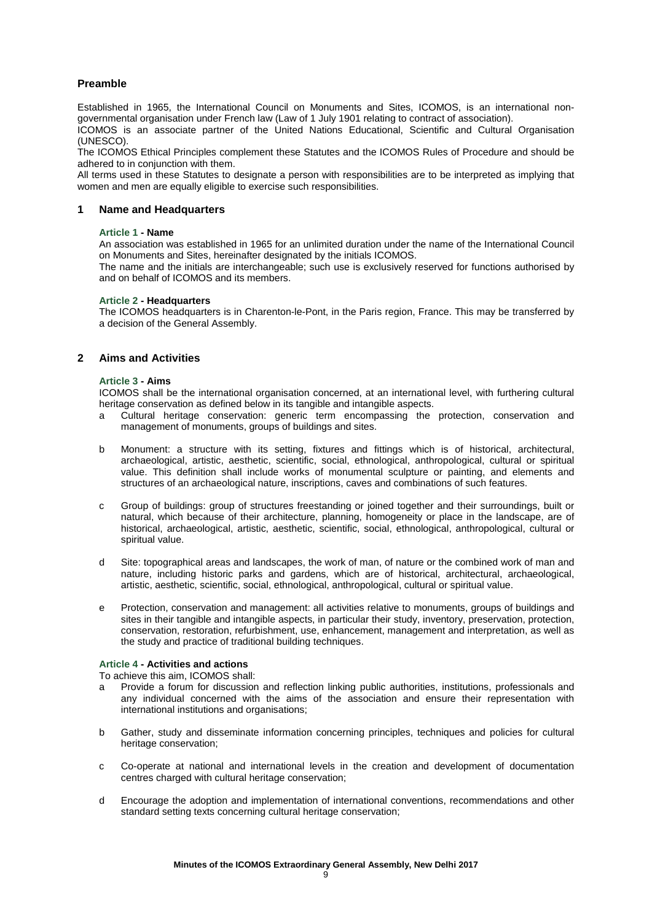#### **Preamble**

Established in 1965, the International Council on Monuments and Sites, ICOMOS, is an international nongovernmental organisation under French law (Law of 1 July 1901 relating to contract of association).

ICOMOS is an associate partner of the United Nations Educational, Scientific and Cultural Organisation (UNESCO).

The ICOMOS Ethical Principles complement these Statutes and the ICOMOS Rules of Procedure and should be adhered to in conjunction with them.

All terms used in these Statutes to designate a person with responsibilities are to be interpreted as implying that women and men are equally eligible to exercise such responsibilities.

#### **1 Name and Headquarters**

#### **Article 1 - Name**

An association was established in 1965 for an unlimited duration under the name of the International Council on Monuments and Sites, hereinafter designated by the initials ICOMOS.

The name and the initials are interchangeable; such use is exclusively reserved for functions authorised by and on behalf of ICOMOS and its members.

#### **Article 2 - Headquarters**

The ICOMOS headquarters is in Charenton-le-Pont, in the Paris region, France. This may be transferred by a decision of the General Assembly.

#### **2 Aims and Activities**

#### **Article 3 - Aims**

ICOMOS shall be the international organisation concerned, at an international level, with furthering cultural heritage conservation as defined below in its tangible and intangible aspects.

- a Cultural heritage conservation: generic term encompassing the protection, conservation and management of monuments, groups of buildings and sites.
- b Monument: a structure with its setting, fixtures and fittings which is of historical, architectural, archaeological, artistic, aesthetic, scientific, social, ethnological, anthropological, cultural or spiritual value. This definition shall include works of monumental sculpture or painting, and elements and structures of an archaeological nature, inscriptions, caves and combinations of such features.
- c Group of buildings: group of structures freestanding or joined together and their surroundings, built or natural, which because of their architecture, planning, homogeneity or place in the landscape, are of historical, archaeological, artistic, aesthetic, scientific, social, ethnological, anthropological, cultural or spiritual value.
- d Site: topographical areas and landscapes, the work of man, of nature or the combined work of man and nature, including historic parks and gardens, which are of historical, architectural, archaeological, artistic, aesthetic, scientific, social, ethnological, anthropological, cultural or spiritual value.
- e Protection, conservation and management: all activities relative to monuments, groups of buildings and sites in their tangible and intangible aspects, in particular their study, inventory, preservation, protection, conservation, restoration, refurbishment, use, enhancement, management and interpretation, as well as the study and practice of traditional building techniques.

#### **Article 4 - Activities and actions**

To achieve this aim, ICOMOS shall:

- a Provide a forum for discussion and reflection linking public authorities, institutions, professionals and any individual concerned with the aims of the association and ensure their representation with international institutions and organisations;
- b Gather, study and disseminate information concerning principles, techniques and policies for cultural heritage conservation;
- c Co-operate at national and international levels in the creation and development of documentation centres charged with cultural heritage conservation;
- d Encourage the adoption and implementation of international conventions, recommendations and other standard setting texts concerning cultural heritage conservation;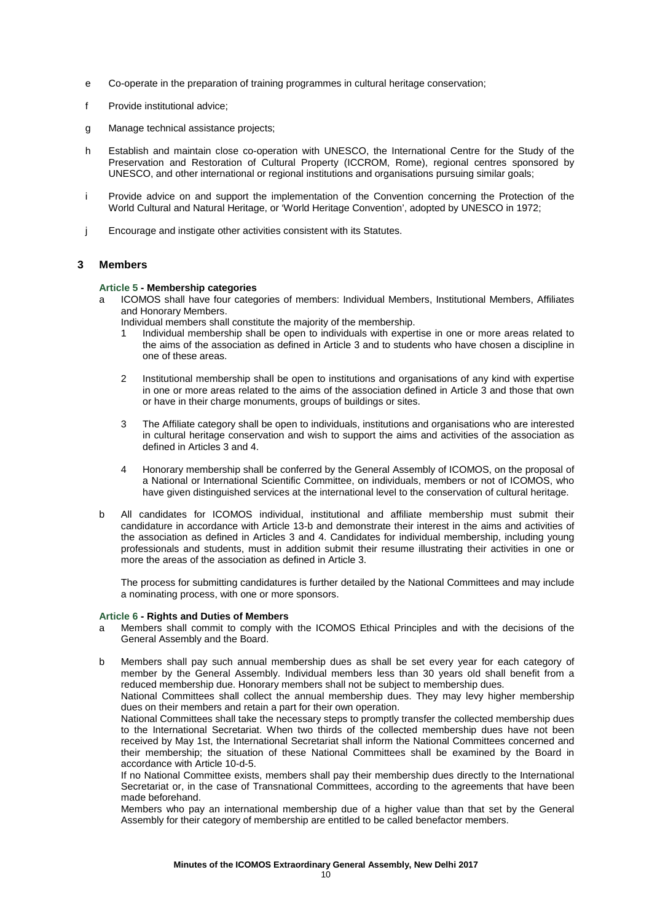- e Co-operate in the preparation of training programmes in cultural heritage conservation;
- f Provide institutional advice;
- g Manage technical assistance projects;
- h Establish and maintain close co-operation with UNESCO, the International Centre for the Study of the Preservation and Restoration of Cultural Property (ICCROM, Rome), regional centres sponsored by UNESCO, and other international or regional institutions and organisations pursuing similar goals;
- i Provide advice on and support the implementation of the Convention concerning the Protection of the World Cultural and Natural Heritage, or 'World Heritage Convention', adopted by UNESCO in 1972;
- j Encourage and instigate other activities consistent with its Statutes.

#### **3 Members**

#### **Article 5 - Membership categories**

- ICOMOS shall have four categories of members: Individual Members, Institutional Members, Affiliates and Honorary Members.
	- Individual members shall constitute the majority of the membership.
	- 1 Individual membership shall be open to individuals with expertise in one or more areas related to the aims of the association as defined in Article 3 and to students who have chosen a discipline in one of these areas.
	- 2 Institutional membership shall be open to institutions and organisations of any kind with expertise in one or more areas related to the aims of the association defined in Article 3 and those that own or have in their charge monuments, groups of buildings or sites.
	- The Affiliate category shall be open to individuals, institutions and organisations who are interested in cultural heritage conservation and wish to support the aims and activities of the association as defined in Articles 3 and 4.
	- 4 Honorary membership shall be conferred by the General Assembly of ICOMOS, on the proposal of a National or International Scientific Committee, on individuals, members or not of ICOMOS, who have given distinguished services at the international level to the conservation of cultural heritage.
- b All candidates for ICOMOS individual, institutional and affiliate membership must submit their candidature in accordance with Article 13-b and demonstrate their interest in the aims and activities of the association as defined in Articles 3 and 4. Candidates for individual membership, including young professionals and students, must in addition submit their resume illustrating their activities in one or more the areas of the association as defined in Article 3.

The process for submitting candidatures is further detailed by the National Committees and may include a nominating process, with one or more sponsors.

#### **Article 6 - Rights and Duties of Members**

- a Members shall commit to comply with the ICOMOS Ethical Principles and with the decisions of the General Assembly and the Board.
- b Members shall pay such annual membership dues as shall be set every year for each category of member by the General Assembly. Individual members less than 30 years old shall benefit from a reduced membership due. Honorary members shall not be subject to membership dues.

National Committees shall collect the annual membership dues. They may levy higher membership dues on their members and retain a part for their own operation.

National Committees shall take the necessary steps to promptly transfer the collected membership dues to the International Secretariat. When two thirds of the collected membership dues have not been received by May 1st, the International Secretariat shall inform the National Committees concerned and their membership; the situation of these National Committees shall be examined by the Board in accordance with Article 10-d-5.

If no National Committee exists, members shall pay their membership dues directly to the International Secretariat or, in the case of Transnational Committees, according to the agreements that have been made beforehand.

Members who pay an international membership due of a higher value than that set by the General Assembly for their category of membership are entitled to be called benefactor members.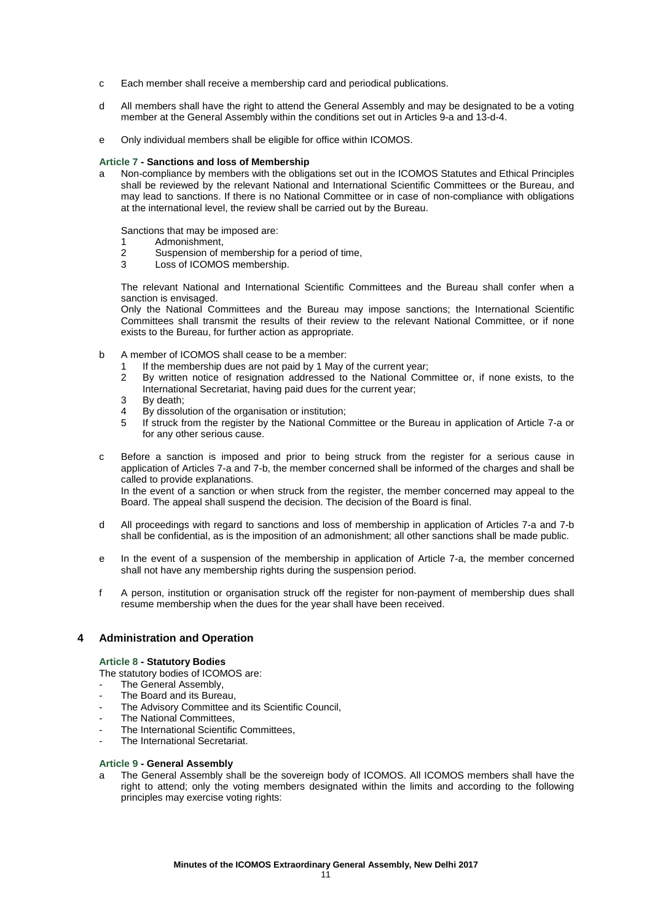- c Each member shall receive a membership card and periodical publications.
- d All members shall have the right to attend the General Assembly and may be designated to be a voting member at the General Assembly within the conditions set out in Articles 9-a and 13-d-4.
- e Only individual members shall be eligible for office within ICOMOS.

#### **Article 7 - Sanctions and loss of Membership**

a Non-compliance by members with the obligations set out in the ICOMOS Statutes and Ethical Principles shall be reviewed by the relevant National and International Scientific Committees or the Bureau, and may lead to sanctions. If there is no National Committee or in case of non-compliance with obligations at the international level, the review shall be carried out by the Bureau.

Sanctions that may be imposed are:

- 1 Admonishment,
- 2 Suspension of membership for a period of time,
- 3 Loss of ICOMOS membership.

The relevant National and International Scientific Committees and the Bureau shall confer when a sanction is envisaged.

Only the National Committees and the Bureau may impose sanctions; the International Scientific Committees shall transmit the results of their review to the relevant National Committee, or if none exists to the Bureau, for further action as appropriate.

- b A member of ICOMOS shall cease to be a member:
	- If the membership dues are not paid by 1 May of the current year;
	- 2 By written notice of resignation addressed to the National Committee or, if none exists, to the International Secretariat, having paid dues for the current year;
	- 3 By death;<br>4 By dissolu
	- By dissolution of the organisation or institution;
	- 5 If struck from the register by the National Committee or the Bureau in application of Article 7-a or for any other serious cause.
- c Before a sanction is imposed and prior to being struck from the register for a serious cause in application of Articles 7-a and 7-b, the member concerned shall be informed of the charges and shall be called to provide explanations.

In the event of a sanction or when struck from the register, the member concerned may appeal to the Board. The appeal shall suspend the decision. The decision of the Board is final.

- d All proceedings with regard to sanctions and loss of membership in application of Articles 7-a and 7-b shall be confidential, as is the imposition of an admonishment; all other sanctions shall be made public.
- e In the event of a suspension of the membership in application of Article 7-a, the member concerned shall not have any membership rights during the suspension period.
- f A person, institution or organisation struck off the register for non-payment of membership dues shall resume membership when the dues for the year shall have been received.

#### **4 Administration and Operation**

#### **Article 8 - Statutory Bodies**

The statutory bodies of ICOMOS are:

- The General Assembly,
- The Board and its Bureau,
- The Advisory Committee and its Scientific Council,
- The National Committees.
- The International Scientific Committees,
- The International Secretariat.

#### **Article 9 - General Assembly**

a The General Assembly shall be the sovereign body of ICOMOS. All ICOMOS members shall have the right to attend; only the voting members designated within the limits and according to the following principles may exercise voting rights: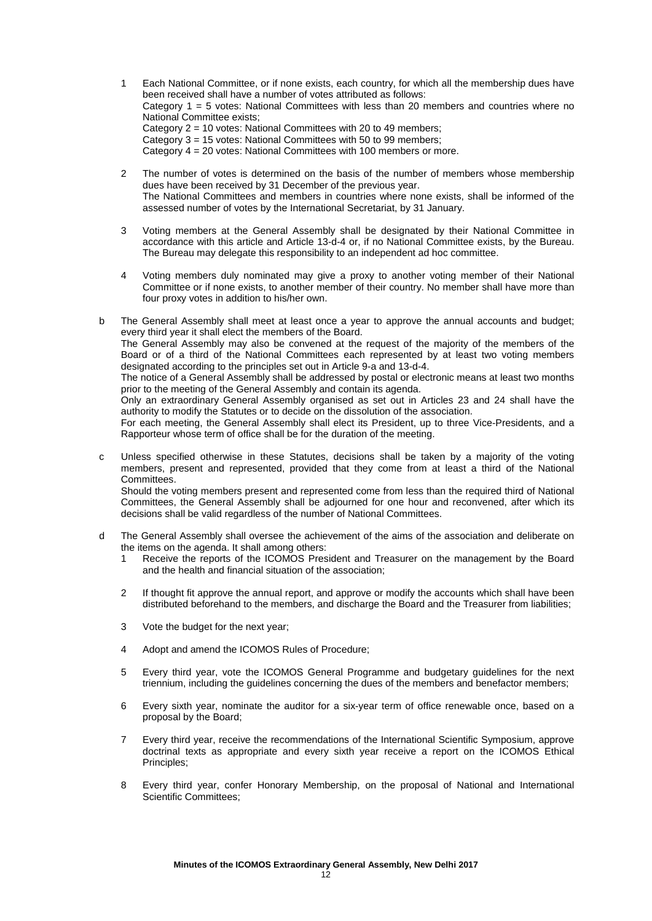- 1 Each National Committee, or if none exists, each country, for which all the membership dues have been received shall have a number of votes attributed as follows: Category  $1 = 5$  votes: National Committees with less than 20 members and countries where no National Committee exists; Category 2 = 10 votes: National Committees with 20 to 49 members; Category 3 = 15 votes: National Committees with 50 to 99 members; Category 4 = 20 votes: National Committees with 100 members or more.
- 2 The number of votes is determined on the basis of the number of members whose membership dues have been received by 31 December of the previous year. The National Committees and members in countries where none exists, shall be informed of the assessed number of votes by the International Secretariat, by 31 January.
- 3 Voting members at the General Assembly shall be designated by their National Committee in accordance with this article and Article 13-d-4 or, if no National Committee exists, by the Bureau. The Bureau may delegate this responsibility to an independent ad hoc committee.
- 4 Voting members duly nominated may give a proxy to another voting member of their National Committee or if none exists, to another member of their country. No member shall have more than four proxy votes in addition to his/her own.

b The General Assembly shall meet at least once a year to approve the annual accounts and budget; every third year it shall elect the members of the Board. The General Assembly may also be convened at the request of the majority of the members of the Board or of a third of the National Committees each represented by at least two voting members designated according to the principles set out in Article 9-a and 13-d-4. The notice of a General Assembly shall be addressed by postal or electronic means at least two months prior to the meeting of the General Assembly and contain its agenda. Only an extraordinary General Assembly organised as set out in Articles 23 and 24 shall have the authority to modify the Statutes or to decide on the dissolution of the association. For each meeting, the General Assembly shall elect its President, up to three Vice-Presidents, and a Rapporteur whose term of office shall be for the duration of the meeting.

c Unless specified otherwise in these Statutes, decisions shall be taken by a majority of the voting members, present and represented, provided that they come from at least a third of the National Committees.

Should the voting members present and represented come from less than the required third of National Committees, the General Assembly shall be adjourned for one hour and reconvened, after which its decisions shall be valid regardless of the number of National Committees.

- d The General Assembly shall oversee the achievement of the aims of the association and deliberate on the items on the agenda. It shall among others:
	- 1 Receive the reports of the ICOMOS President and Treasurer on the management by the Board and the health and financial situation of the association;
	- 2 If thought fit approve the annual report, and approve or modify the accounts which shall have been distributed beforehand to the members, and discharge the Board and the Treasurer from liabilities;
	- 3 Vote the budget for the next year;
	- 4 Adopt and amend the ICOMOS Rules of Procedure;
	- 5 Every third year, vote the ICOMOS General Programme and budgetary guidelines for the next triennium, including the guidelines concerning the dues of the members and benefactor members;
	- 6 Every sixth year, nominate the auditor for a six-year term of office renewable once, based on a proposal by the Board;
	- 7 Every third year, receive the recommendations of the International Scientific Symposium, approve doctrinal texts as appropriate and every sixth year receive a report on the ICOMOS Ethical Principles;
	- 8 Every third year, confer Honorary Membership, on the proposal of National and International Scientific Committees;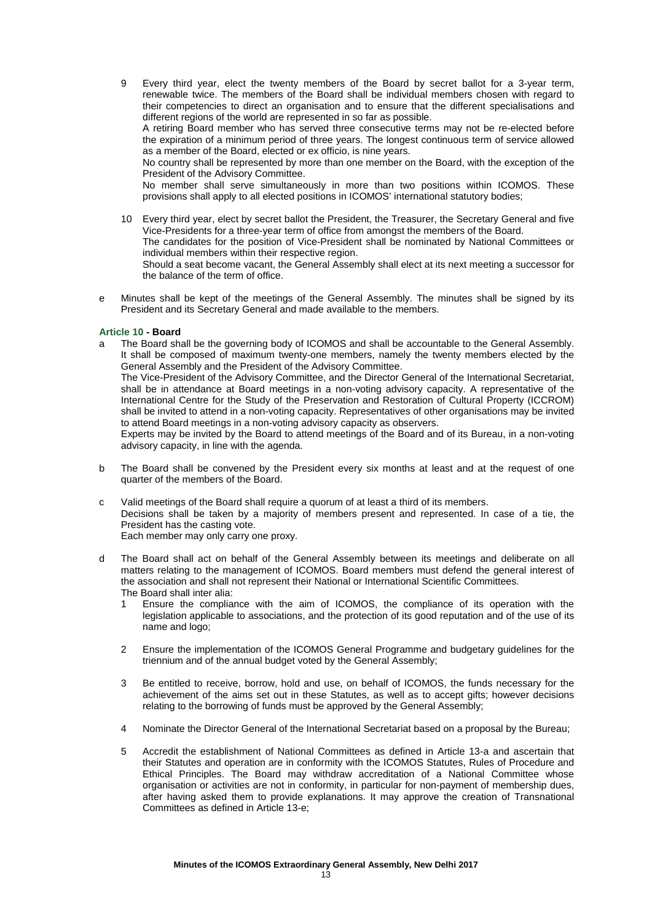- 9 Every third year, elect the twenty members of the Board by secret ballot for a 3-year term, renewable twice. The members of the Board shall be individual members chosen with regard to their competencies to direct an organisation and to ensure that the different specialisations and different regions of the world are represented in so far as possible. A retiring Board member who has served three consecutive terms may not be re-elected before the expiration of a minimum period of three years. The longest continuous term of service allowed as a member of the Board, elected or ex officio, is nine years. No country shall be represented by more than one member on the Board, with the exception of the President of the Advisory Committee. No member shall serve simultaneously in more than two positions within ICOMOS. These provisions shall apply to all elected positions in ICOMOS' international statutory bodies;
- 10 Every third year, elect by secret ballot the President, the Treasurer, the Secretary General and five Vice-Presidents for a three-year term of office from amongst the members of the Board. The candidates for the position of Vice-President shall be nominated by National Committees or individual members within their respective region. Should a seat become vacant, the General Assembly shall elect at its next meeting a successor for the balance of the term of office.
- e Minutes shall be kept of the meetings of the General Assembly. The minutes shall be signed by its President and its Secretary General and made available to the members.

#### **Article 10 - Board**

a The Board shall be the governing body of ICOMOS and shall be accountable to the General Assembly. It shall be composed of maximum twenty-one members, namely the twenty members elected by the General Assembly and the President of the Advisory Committee.

The Vice-President of the Advisory Committee, and the Director General of the International Secretariat, shall be in attendance at Board meetings in a non-voting advisory capacity. A representative of the International Centre for the Study of the Preservation and Restoration of Cultural Property (ICCROM) shall be invited to attend in a non-voting capacity. Representatives of other organisations may be invited to attend Board meetings in a non-voting advisory capacity as observers.

Experts may be invited by the Board to attend meetings of the Board and of its Bureau, in a non-voting advisory capacity, in line with the agenda.

- b The Board shall be convened by the President every six months at least and at the request of one quarter of the members of the Board.
- c Valid meetings of the Board shall require a quorum of at least a third of its members. Decisions shall be taken by a majority of members present and represented. In case of a tie, the President has the casting vote. Each member may only carry one proxy.
- d The Board shall act on behalf of the General Assembly between its meetings and deliberate on all matters relating to the management of ICOMOS. Board members must defend the general interest of the association and shall not represent their National or International Scientific Committees. The Board shall inter alia:
	- 1 Ensure the compliance with the aim of ICOMOS, the compliance of its operation with the legislation applicable to associations, and the protection of its good reputation and of the use of its name and logo;
	- 2 Ensure the implementation of the ICOMOS General Programme and budgetary guidelines for the triennium and of the annual budget voted by the General Assembly;
	- 3 Be entitled to receive, borrow, hold and use, on behalf of ICOMOS, the funds necessary for the achievement of the aims set out in these Statutes, as well as to accept gifts; however decisions relating to the borrowing of funds must be approved by the General Assembly;
	- 4 Nominate the Director General of the International Secretariat based on a proposal by the Bureau;
	- 5 Accredit the establishment of National Committees as defined in Article 13-a and ascertain that their Statutes and operation are in conformity with the ICOMOS Statutes, Rules of Procedure and Ethical Principles. The Board may withdraw accreditation of a National Committee whose organisation or activities are not in conformity, in particular for non-payment of membership dues, after having asked them to provide explanations. It may approve the creation of Transnational Committees as defined in Article 13-e;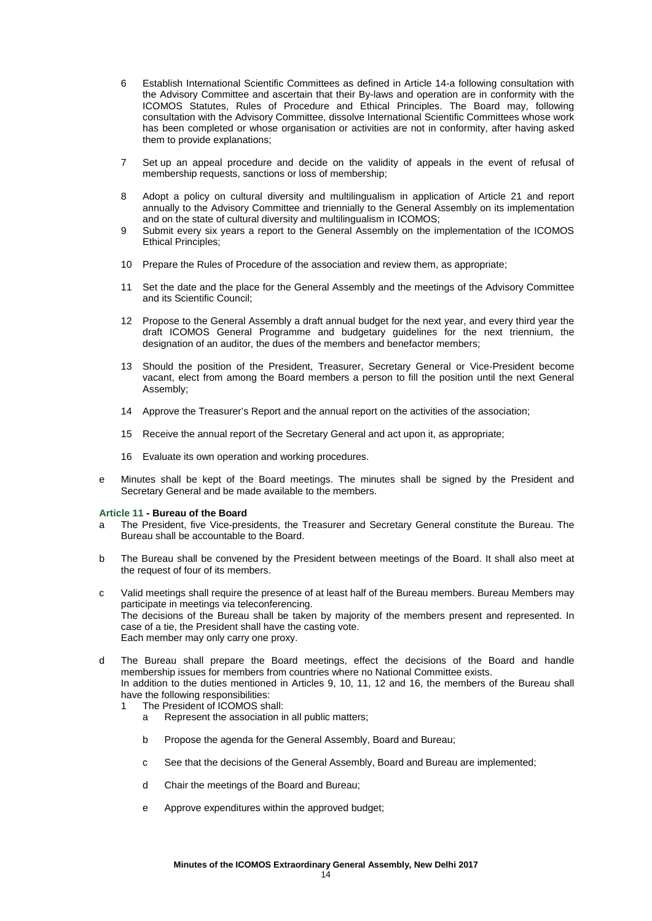- 6 Establish International Scientific Committees as defined in Article 14-a following consultation with the Advisory Committee and ascertain that their By-laws and operation are in conformity with the ICOMOS Statutes, Rules of Procedure and Ethical Principles. The Board may, following consultation with the Advisory Committee, dissolve International Scientific Committees whose work has been completed or whose organisation or activities are not in conformity, after having asked them to provide explanations;
- 7 Set up an appeal procedure and decide on the validity of appeals in the event of refusal of membership requests, sanctions or loss of membership;
- 8 Adopt a policy on cultural diversity and multilingualism in application of Article 21 and report annually to the Advisory Committee and triennially to the General Assembly on its implementation and on the state of cultural diversity and multilingualism in ICOMOS;
- Submit every six years a report to the General Assembly on the implementation of the ICOMOS Ethical Principles;
- 10 Prepare the Rules of Procedure of the association and review them, as appropriate;
- 11 Set the date and the place for the General Assembly and the meetings of the Advisory Committee and its Scientific Council;
- 12 Propose to the General Assembly a draft annual budget for the next year, and every third year the draft ICOMOS General Programme and budgetary guidelines for the next triennium, the designation of an auditor, the dues of the members and benefactor members;
- 13 Should the position of the President, Treasurer, Secretary General or Vice-President become vacant, elect from among the Board members a person to fill the position until the next General Assembly;
- 14 Approve the Treasurer's Report and the annual report on the activities of the association;
- 15 Receive the annual report of the Secretary General and act upon it, as appropriate;
- 16 Evaluate its own operation and working procedures.
- e Minutes shall be kept of the Board meetings. The minutes shall be signed by the President and Secretary General and be made available to the members.

#### **Article 11 - Bureau of the Board**

- The President, five Vice-presidents, the Treasurer and Secretary General constitute the Bureau. The Bureau shall be accountable to the Board.
- b The Bureau shall be convened by the President between meetings of the Board. It shall also meet at the request of four of its members.
- c Valid meetings shall require the presence of at least half of the Bureau members. Bureau Members may participate in meetings via teleconferencing. The decisions of the Bureau shall be taken by majority of the members present and represented. In case of a tie, the President shall have the casting vote. Each member may only carry one proxy.
- d The Bureau shall prepare the Board meetings, effect the decisions of the Board and handle membership issues for members from countries where no National Committee exists. In addition to the duties mentioned in Articles 9, 10, 11, 12 and 16, the members of the Bureau shall have the following responsibilities:
	- 1 The President of ICOMOS shall:
		- a Represent the association in all public matters;
		- b Propose the agenda for the General Assembly, Board and Bureau;
		- c See that the decisions of the General Assembly, Board and Bureau are implemented;
		- d Chair the meetings of the Board and Bureau;
		- e Approve expenditures within the approved budget;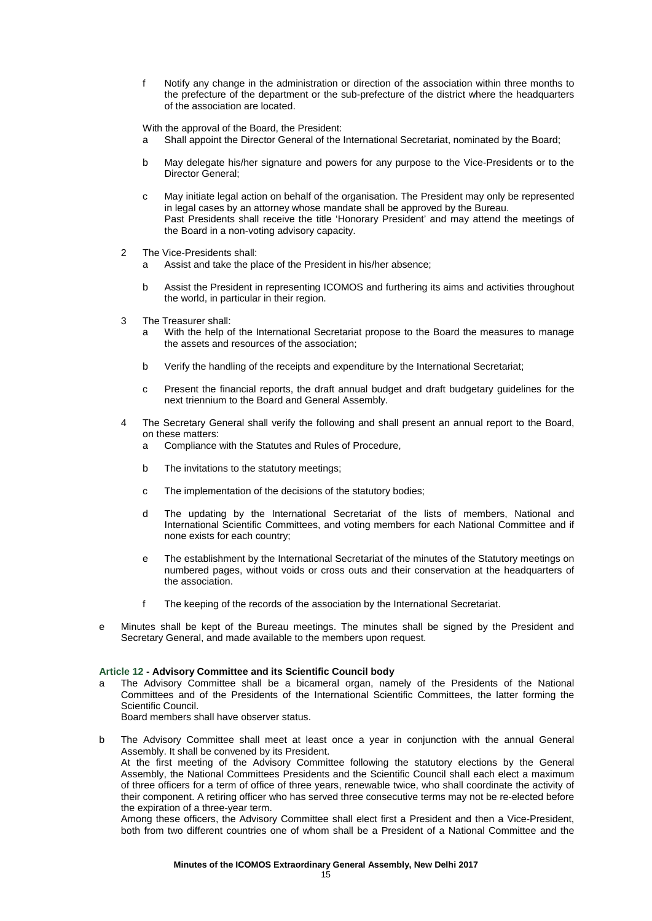f Notify any change in the administration or direction of the association within three months to the prefecture of the department or the sub-prefecture of the district where the headquarters of the association are located.

With the approval of the Board, the President:

- a Shall appoint the Director General of the International Secretariat, nominated by the Board;
- b May delegate his/her signature and powers for any purpose to the Vice-Presidents or to the Director General;
- c May initiate legal action on behalf of the organisation. The President may only be represented in legal cases by an attorney whose mandate shall be approved by the Bureau. Past Presidents shall receive the title 'Honorary President' and may attend the meetings of the Board in a non-voting advisory capacity.
- 2 The Vice-Presidents shall:
	- a Assist and take the place of the President in his/her absence;
	- b Assist the President in representing ICOMOS and furthering its aims and activities throughout the world, in particular in their region.
- 3 The Treasurer shall:
	- a With the help of the International Secretariat propose to the Board the measures to manage the assets and resources of the association;
	- b Verify the handling of the receipts and expenditure by the International Secretariat;
	- c Present the financial reports, the draft annual budget and draft budgetary guidelines for the next triennium to the Board and General Assembly.
- 4 The Secretary General shall verify the following and shall present an annual report to the Board, on these matters:
	- a Compliance with the Statutes and Rules of Procedure,
	- b The invitations to the statutory meetings;
	- c The implementation of the decisions of the statutory bodies;
	- d The updating by the International Secretariat of the lists of members, National and International Scientific Committees, and voting members for each National Committee and if none exists for each country;
	- e The establishment by the International Secretariat of the minutes of the Statutory meetings on numbered pages, without voids or cross outs and their conservation at the headquarters of the association.
	- f The keeping of the records of the association by the International Secretariat.
- e Minutes shall be kept of the Bureau meetings. The minutes shall be signed by the President and Secretary General, and made available to the members upon request.

#### **Article 12 - Advisory Committee and its Scientific Council body**

a The Advisory Committee shall be a bicameral organ, namely of the Presidents of the National Committees and of the Presidents of the International Scientific Committees, the latter forming the Scientific Council.

Board members shall have observer status.

b The Advisory Committee shall meet at least once a year in conjunction with the annual General Assembly. It shall be convened by its President.

At the first meeting of the Advisory Committee following the statutory elections by the General Assembly, the National Committees Presidents and the Scientific Council shall each elect a maximum of three officers for a term of office of three years, renewable twice, who shall coordinate the activity of their component. A retiring officer who has served three consecutive terms may not be re-elected before the expiration of a three-year term.

Among these officers, the Advisory Committee shall elect first a President and then a Vice-President, both from two different countries one of whom shall be a President of a National Committee and the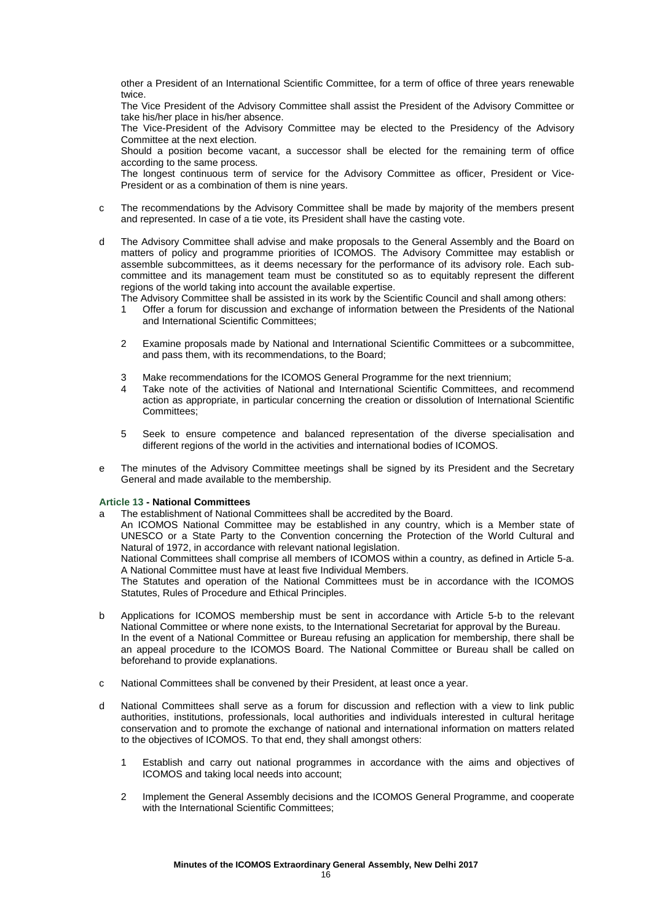other a President of an International Scientific Committee, for a term of office of three years renewable twice.

The Vice President of the Advisory Committee shall assist the President of the Advisory Committee or take his/her place in his/her absence.

The Vice-President of the Advisory Committee may be elected to the Presidency of the Advisory Committee at the next election.

Should a position become vacant, a successor shall be elected for the remaining term of office according to the same process.

The longest continuous term of service for the Advisory Committee as officer, President or Vice-President or as a combination of them is nine years.

- c The recommendations by the Advisory Committee shall be made by majority of the members present and represented. In case of a tie vote, its President shall have the casting vote.
- d The Advisory Committee shall advise and make proposals to the General Assembly and the Board on matters of policy and programme priorities of ICOMOS. The Advisory Committee may establish or assemble subcommittees, as it deems necessary for the performance of its advisory role. Each subcommittee and its management team must be constituted so as to equitably represent the different regions of the world taking into account the available expertise.

The Advisory Committee shall be assisted in its work by the Scientific Council and shall among others:

- 1 Offer a forum for discussion and exchange of information between the Presidents of the National and International Scientific Committees;
- 2 Examine proposals made by National and International Scientific Committees or a subcommittee, and pass them, with its recommendations, to the Board;
- 3 Make recommendations for the ICOMOS General Programme for the next triennium;
- 4 Take note of the activities of National and International Scientific Committees, and recommend action as appropriate, in particular concerning the creation or dissolution of International Scientific Committees;
- 5 Seek to ensure competence and balanced representation of the diverse specialisation and different regions of the world in the activities and international bodies of ICOMOS.
- e The minutes of the Advisory Committee meetings shall be signed by its President and the Secretary General and made available to the membership.

#### **Article 13 - National Committees**

The establishment of National Committees shall be accredited by the Board.

An ICOMOS National Committee may be established in any country, which is a Member state of UNESCO or a State Party to the Convention concerning the Protection of the World Cultural and Natural of 1972, in accordance with relevant national legislation.

National Committees shall comprise all members of ICOMOS within a country, as defined in Article 5-a. A National Committee must have at least five Individual Members.

The Statutes and operation of the National Committees must be in accordance with the ICOMOS Statutes, Rules of Procedure and Ethical Principles.

- b Applications for ICOMOS membership must be sent in accordance with Article 5-b to the relevant National Committee or where none exists, to the International Secretariat for approval by the Bureau. In the event of a National Committee or Bureau refusing an application for membership, there shall be an appeal procedure to the ICOMOS Board. The National Committee or Bureau shall be called on beforehand to provide explanations.
- c National Committees shall be convened by their President, at least once a year.
- d National Committees shall serve as a forum for discussion and reflection with a view to link public authorities, institutions, professionals, local authorities and individuals interested in cultural heritage conservation and to promote the exchange of national and international information on matters related to the objectives of ICOMOS. To that end, they shall amongst others:
	- 1 Establish and carry out national programmes in accordance with the aims and objectives of ICOMOS and taking local needs into account;
	- 2 Implement the General Assembly decisions and the ICOMOS General Programme, and cooperate with the International Scientific Committees: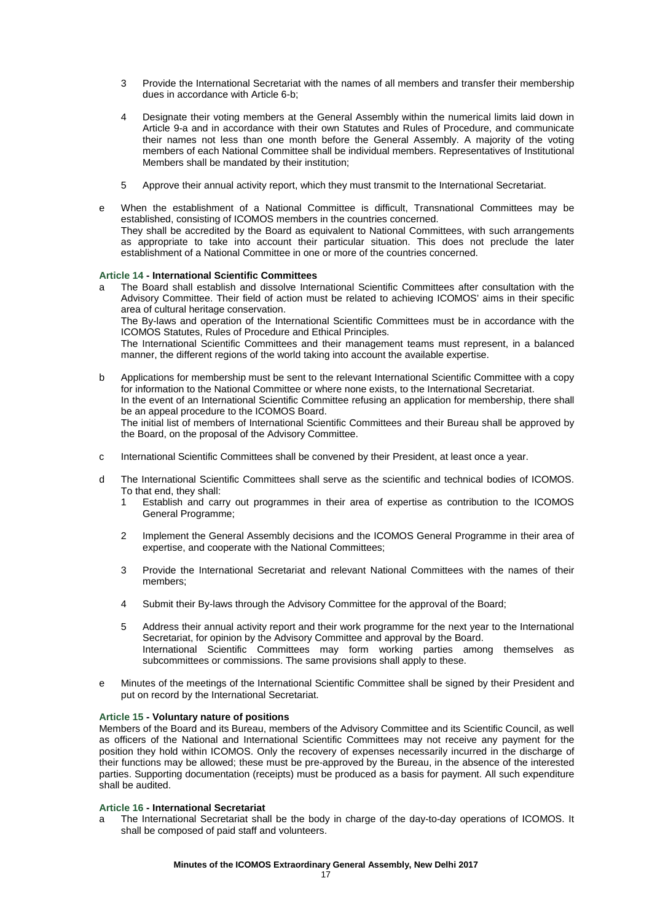- 3 Provide the International Secretariat with the names of all members and transfer their membership dues in accordance with Article 6-b;
- 4 Designate their voting members at the General Assembly within the numerical limits laid down in Article 9-a and in accordance with their own Statutes and Rules of Procedure, and communicate their names not less than one month before the General Assembly. A majority of the voting members of each National Committee shall be individual members. Representatives of Institutional Members shall be mandated by their institution;
- 5 Approve their annual activity report, which they must transmit to the International Secretariat.
- e When the establishment of a National Committee is difficult, Transnational Committees may be established, consisting of ICOMOS members in the countries concerned. They shall be accredited by the Board as equivalent to National Committees, with such arrangements as appropriate to take into account their particular situation. This does not preclude the later establishment of a National Committee in one or more of the countries concerned.

#### **Article 14 - International Scientific Committees**

- a The Board shall establish and dissolve International Scientific Committees after consultation with the Advisory Committee. Their field of action must be related to achieving ICOMOS' aims in their specific area of cultural heritage conservation. The By-laws and operation of the International Scientific Committees must be in accordance with the ICOMOS Statutes, Rules of Procedure and Ethical Principles. The International Scientific Committees and their management teams must represent, in a balanced manner, the different regions of the world taking into account the available expertise.
- b Applications for membership must be sent to the relevant International Scientific Committee with a copy for information to the National Committee or where none exists, to the International Secretariat. In the event of an International Scientific Committee refusing an application for membership, there shall be an appeal procedure to the ICOMOS Board. The initial list of members of International Scientific Committees and their Bureau shall be approved by the Board, on the proposal of the Advisory Committee.
- c International Scientific Committees shall be convened by their President, at least once a year.
- d The International Scientific Committees shall serve as the scientific and technical bodies of ICOMOS. To that end, they shall:
	- 1 Establish and carry out programmes in their area of expertise as contribution to the ICOMOS General Programme:
	- 2 Implement the General Assembly decisions and the ICOMOS General Programme in their area of expertise, and cooperate with the National Committees;
	- 3 Provide the International Secretariat and relevant National Committees with the names of their members;
	- 4 Submit their By-laws through the Advisory Committee for the approval of the Board;
	- 5 Address their annual activity report and their work programme for the next year to the International Secretariat, for opinion by the Advisory Committee and approval by the Board. International Scientific Committees may form working parties among themselves as subcommittees or commissions. The same provisions shall apply to these.
- e Minutes of the meetings of the International Scientific Committee shall be signed by their President and put on record by the International Secretariat.

#### **Article 15 - Voluntary nature of positions**

Members of the Board and its Bureau, members of the Advisory Committee and its Scientific Council, as well as officers of the National and International Scientific Committees may not receive any payment for the position they hold within ICOMOS. Only the recovery of expenses necessarily incurred in the discharge of their functions may be allowed; these must be pre-approved by the Bureau, in the absence of the interested parties. Supporting documentation (receipts) must be produced as a basis for payment. All such expenditure shall be audited.

#### **Article 16 - International Secretariat**

The International Secretariat shall be the body in charge of the day-to-day operations of ICOMOS. It shall be composed of paid staff and volunteers.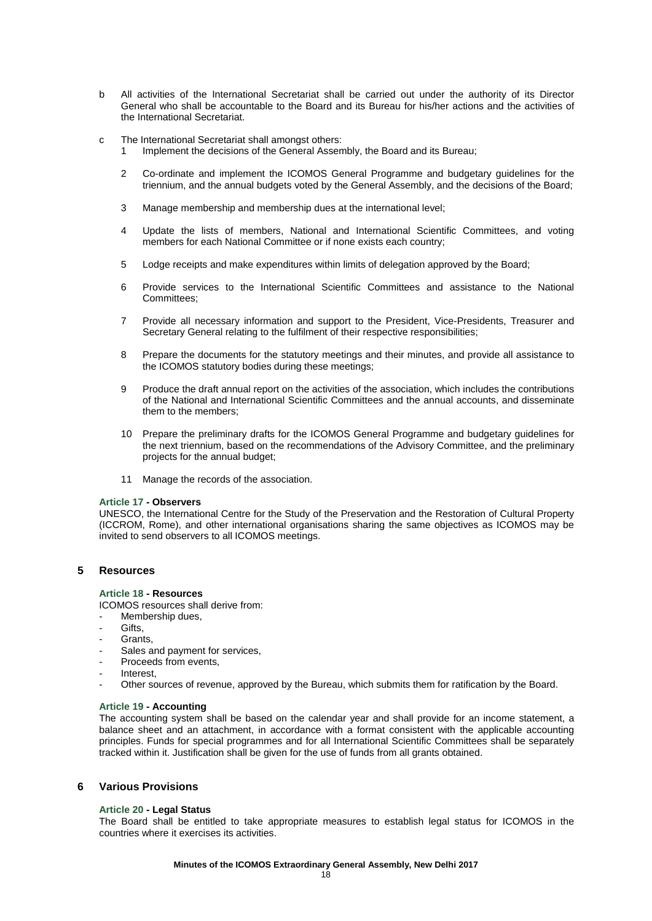- b All activities of the International Secretariat shall be carried out under the authority of its Director General who shall be accountable to the Board and its Bureau for his/her actions and the activities of the International Secretariat.
- c The International Secretariat shall amongst others:
	- 1 Implement the decisions of the General Assembly, the Board and its Bureau;
	- 2 Co-ordinate and implement the ICOMOS General Programme and budgetary guidelines for the triennium, and the annual budgets voted by the General Assembly, and the decisions of the Board;
	- 3 Manage membership and membership dues at the international level;
	- 4 Update the lists of members, National and International Scientific Committees, and voting members for each National Committee or if none exists each country;
	- 5 Lodge receipts and make expenditures within limits of delegation approved by the Board;
	- 6 Provide services to the International Scientific Committees and assistance to the National Committees;
	- 7 Provide all necessary information and support to the President, Vice-Presidents, Treasurer and Secretary General relating to the fulfilment of their respective responsibilities;
	- 8 Prepare the documents for the statutory meetings and their minutes, and provide all assistance to the ICOMOS statutory bodies during these meetings;
	- 9 Produce the draft annual report on the activities of the association, which includes the contributions of the National and International Scientific Committees and the annual accounts, and disseminate them to the members;
	- 10 Prepare the preliminary drafts for the ICOMOS General Programme and budgetary guidelines for the next triennium, based on the recommendations of the Advisory Committee, and the preliminary projects for the annual budget;
	- 11 Manage the records of the association.

#### **Article 17 - Observers**

UNESCO, the International Centre for the Study of the Preservation and the Restoration of Cultural Property (ICCROM, Rome), and other international organisations sharing the same objectives as ICOMOS may be invited to send observers to all ICOMOS meetings.

#### **5 Resources**

#### **Article 18 - Resources**

ICOMOS resources shall derive from:

- Membership dues,
- Gifts,
- Grants,
- Sales and payment for services,
- Proceeds from events,
- **Interest**
- Other sources of revenue, approved by the Bureau, which submits them for ratification by the Board.

#### **Article 19 - Accounting**

The accounting system shall be based on the calendar year and shall provide for an income statement, a balance sheet and an attachment, in accordance with a format consistent with the applicable accounting principles. Funds for special programmes and for all International Scientific Committees shall be separately tracked within it. Justification shall be given for the use of funds from all grants obtained.

#### **6 Various Provisions**

#### **Article 20 - Legal Status**

The Board shall be entitled to take appropriate measures to establish legal status for ICOMOS in the countries where it exercises its activities.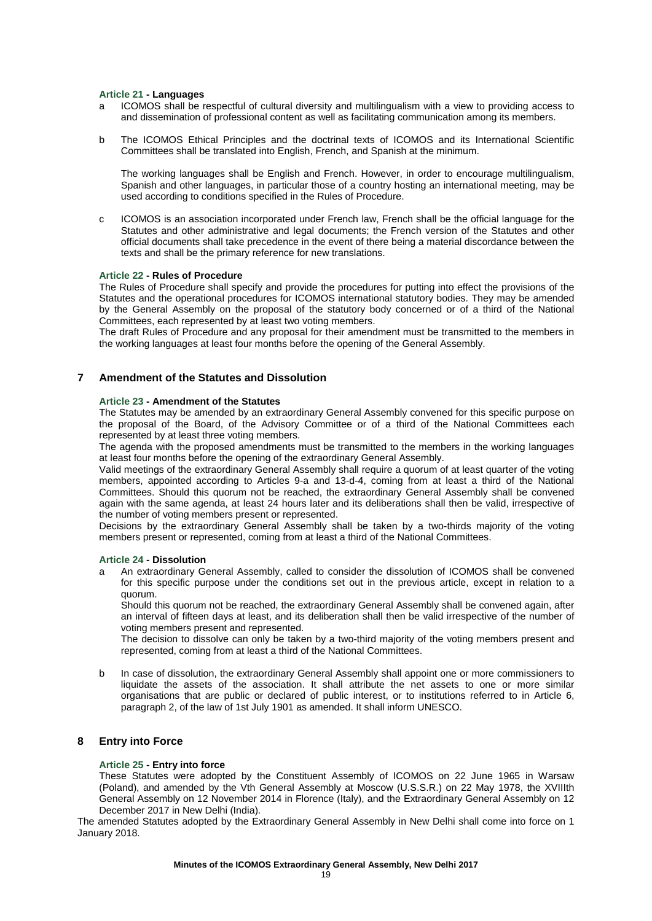#### **Article 21 - Languages**

- a ICOMOS shall be respectful of cultural diversity and multilingualism with a view to providing access to and dissemination of professional content as well as facilitating communication among its members.
- b The ICOMOS Ethical Principles and the doctrinal texts of ICOMOS and its International Scientific Committees shall be translated into English, French, and Spanish at the minimum.

The working languages shall be English and French. However, in order to encourage multilingualism, Spanish and other languages, in particular those of a country hosting an international meeting, may be used according to conditions specified in the Rules of Procedure.

c ICOMOS is an association incorporated under French law, French shall be the official language for the Statutes and other administrative and legal documents; the French version of the Statutes and other official documents shall take precedence in the event of there being a material discordance between the texts and shall be the primary reference for new translations.

#### **Article 22 - Rules of Procedure**

The Rules of Procedure shall specify and provide the procedures for putting into effect the provisions of the Statutes and the operational procedures for ICOMOS international statutory bodies. They may be amended by the General Assembly on the proposal of the statutory body concerned or of a third of the National Committees, each represented by at least two voting members.

The draft Rules of Procedure and any proposal for their amendment must be transmitted to the members in the working languages at least four months before the opening of the General Assembly.

#### **7 Amendment of the Statutes and Dissolution**

#### **Article 23 - Amendment of the Statutes**

The Statutes may be amended by an extraordinary General Assembly convened for this specific purpose on the proposal of the Board, of the Advisory Committee or of a third of the National Committees each represented by at least three voting members.

The agenda with the proposed amendments must be transmitted to the members in the working languages at least four months before the opening of the extraordinary General Assembly.

Valid meetings of the extraordinary General Assembly shall require a quorum of at least quarter of the voting members, appointed according to Articles 9-a and 13-d-4, coming from at least a third of the National Committees. Should this quorum not be reached, the extraordinary General Assembly shall be convened again with the same agenda, at least 24 hours later and its deliberations shall then be valid, irrespective of the number of voting members present or represented.

Decisions by the extraordinary General Assembly shall be taken by a two-thirds majority of the voting members present or represented, coming from at least a third of the National Committees.

#### **Article 24 - Dissolution**

a An extraordinary General Assembly, called to consider the dissolution of ICOMOS shall be convened for this specific purpose under the conditions set out in the previous article, except in relation to a quorum.

Should this quorum not be reached, the extraordinary General Assembly shall be convened again, after an interval of fifteen days at least, and its deliberation shall then be valid irrespective of the number of voting members present and represented.

The decision to dissolve can only be taken by a two-third majority of the voting members present and represented, coming from at least a third of the National Committees.

b In case of dissolution, the extraordinary General Assembly shall appoint one or more commissioners to liquidate the assets of the association. It shall attribute the net assets to one or more similar organisations that are public or declared of public interest, or to institutions referred to in Article 6, paragraph 2, of the law of 1st July 1901 as amended. It shall inform UNESCO.

#### **8 Entry into Force**

#### **Article 25 - Entry into force**

These Statutes were adopted by the Constituent Assembly of ICOMOS on 22 June 1965 in Warsaw (Poland), and amended by the Vth General Assembly at Moscow (U.S.S.R.) on 22 May 1978, the XVIIIth General Assembly on 12 November 2014 in Florence (Italy), and the Extraordinary General Assembly on 12 December 2017 in New Delhi (India).

The amended Statutes adopted by the Extraordinary General Assembly in New Delhi shall come into force on 1 January 2018.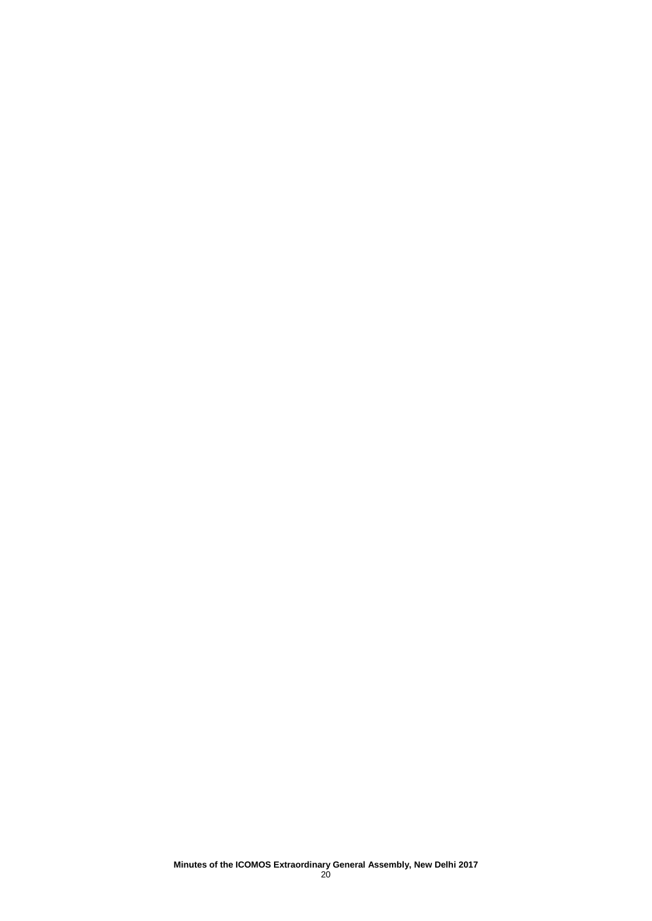**Minutes of the ICOMOS Extraordinary General Assembly, New Delhi 2017**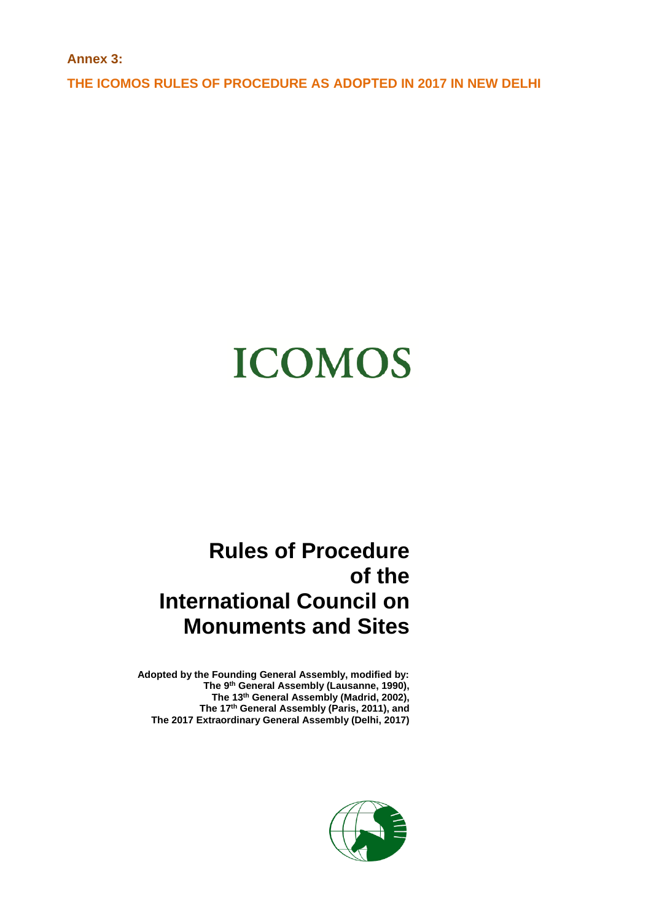**Annex 3: THE ICOMOS RULES OF PROCEDURE AS ADOPTED IN 2017 IN NEW DELHI** 

# **ICOMOS**

# **Rules of Procedure of the International Council on Monuments and Sites**

**Adopted by the Founding General Assembly, modified by: The 9th General Assembly (Lausanne, 1990), The 13th General Assembly (Madrid, 2002), The 17th General Assembly (Paris, 2011), and The 2017 Extraordinary General Assembly (Delhi, 2017)** 

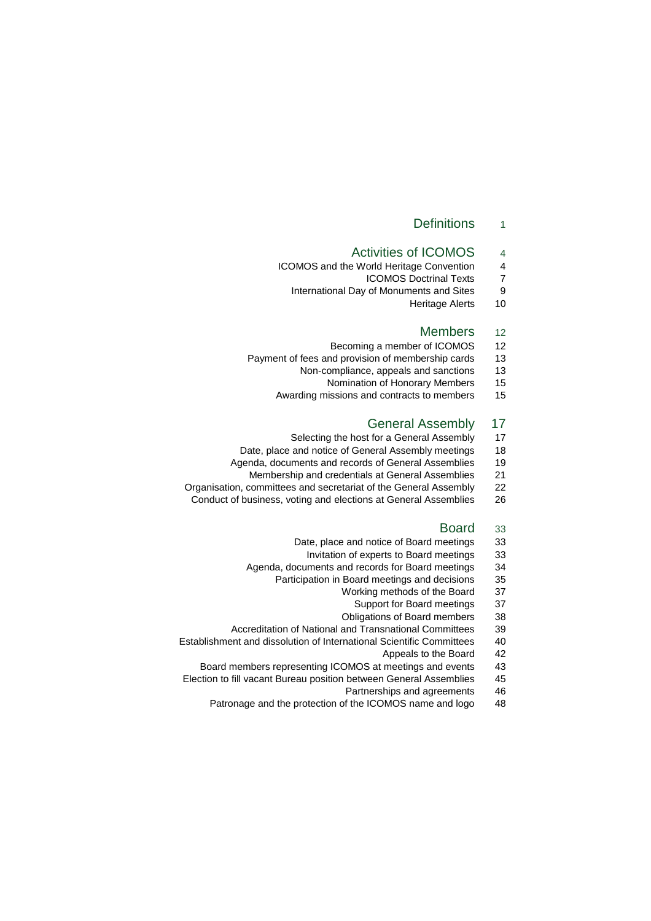#### Definitions 1

#### Activities of ICOMOS 4

- ICOMOS and the World Heritage Convention 4
	- ICOMOS Doctrinal Texts 7
	- International Day of Monuments and Sites 9
		- Heritage Alerts 10

#### Members 12

- Becoming a member of ICOMOS 12
- Payment of fees and provision of membership cards 13
	- Non-compliance, appeals and sanctions 13
		- Nomination of Honorary Members 15
	- Awarding missions and contracts to members 15

#### General Assembly 17

- Selecting the host for a General Assembly 17
- Date, place and notice of General Assembly meetings 18
- Agenda, documents and records of General Assemblies 19
	- Membership and credentials at General Assemblies 21
- Organisation, committees and secretariat of the General Assembly 22
- Conduct of business, voting and elections at General Assemblies 26

#### Board 33

- Date, place and notice of Board meetings 33
	- Invitation of experts to Board meetings 33
- Agenda, documents and records for Board meetings 34
	- Participation in Board meetings and decisions 35
		- Working methods of the Board 37
			- Support for Board meetings 37
		- Obligations of Board members 38
- Accreditation of National and Transnational Committees 39
- Establishment and dissolution of International Scientific Committees 40
	- Appeals to the Board 42
	- Board members representing ICOMOS at meetings and events 43
- Election to fill vacant Bureau position between General Assemblies 45
	- Partnerships and agreements 46
	- Patronage and the protection of the ICOMOS name and logo 48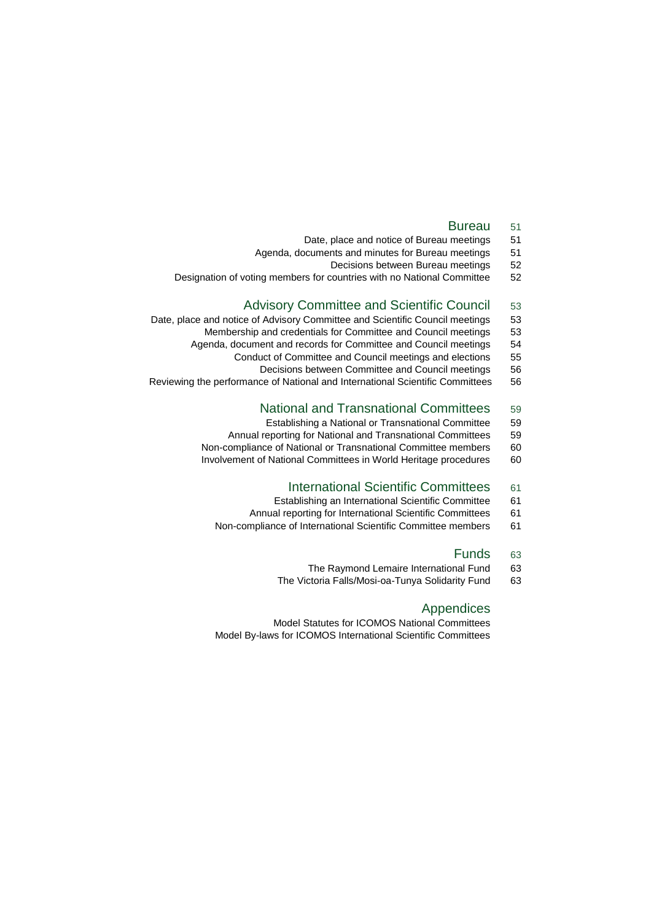#### Bureau 51

- Date, place and notice of Bureau meetings 51
- Agenda, documents and minutes for Bureau meetings 51
	- Decisions between Bureau meetings 52
- Designation of voting members for countries with no National Committee 52

#### Advisory Committee and Scientific Council 53

- Date, place and notice of Advisory Committee and Scientific Council meetings 53
	- Membership and credentials for Committee and Council meetings 53
	- Agenda, document and records for Committee and Council meetings 54
		- Conduct of Committee and Council meetings and elections 55
			- Decisions between Committee and Council meetings 56
- Reviewing the performance of National and International Scientific Committees 56

#### National and Transnational Committees 59

- Establishing a National or Transnational Committee 59
- Annual reporting for National and Transnational Committees 59
- Non-compliance of National or Transnational Committee members 60
- Involvement of National Committees in World Heritage procedures 60

#### International Scientific Committees 61

- Establishing an International Scientific Committee 61
- Annual reporting for International Scientific Committees 61
- Non-compliance of International Scientific Committee members 61

#### Funds 63

- The Raymond Lemaire International Fund 63
- The Victoria Falls/Mosi-oa-Tunya Solidarity Fund 63

#### Appendices

Model Statutes for ICOMOS National Committees Model By-laws for ICOMOS International Scientific Committees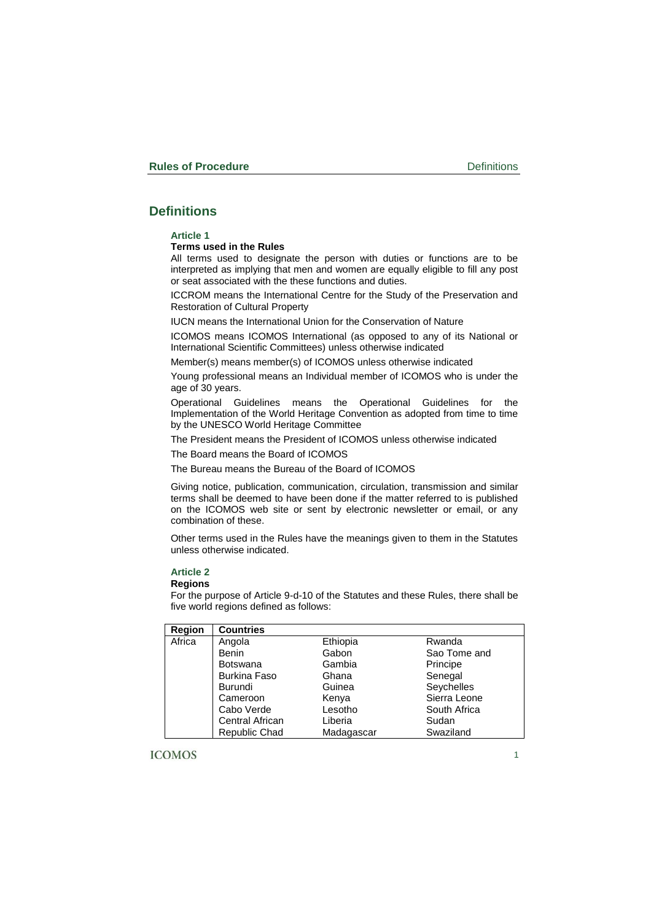#### **Definitions**

#### **Article 1**

#### **Terms used in the Rules**

All terms used to designate the person with duties or functions are to be interpreted as implying that men and women are equally eligible to fill any post or seat associated with the these functions and duties.

ICCROM means the International Centre for the Study of the Preservation and Restoration of Cultural Property

IUCN means the International Union for the Conservation of Nature

ICOMOS means ICOMOS International (as opposed to any of its National or International Scientific Committees) unless otherwise indicated

Member(s) means member(s) of ICOMOS unless otherwise indicated

Young professional means an Individual member of ICOMOS who is under the age of 30 years.

Operational Guidelines means the Operational Guidelines for the Implementation of the World Heritage Convention as adopted from time to time by the UNESCO World Heritage Committee

The President means the President of ICOMOS unless otherwise indicated

The Board means the Board of ICOMOS

The Bureau means the Bureau of the Board of ICOMOS

Giving notice, publication, communication, circulation, transmission and similar terms shall be deemed to have been done if the matter referred to is published on the ICOMOS web site or sent by electronic newsletter or email, or any combination of these.

Other terms used in the Rules have the meanings given to them in the Statutes unless otherwise indicated.

#### **Article 2**

#### **Regions**

For the purpose of Article 9-d-10 of the Statutes and these Rules, there shall be five world regions defined as follows:

| Region | <b>Countries</b>       |            |              |
|--------|------------------------|------------|--------------|
| Africa | Angola                 | Ethiopia   | Rwanda       |
|        | <b>Benin</b>           | Gabon      | Sao Tome and |
|        | <b>Botswana</b>        | Gambia     | Principe     |
|        | <b>Burkina Faso</b>    | Ghana      | Senegal      |
|        | <b>Burundi</b>         | Guinea     | Seychelles   |
|        | Cameroon               | Kenya      | Sierra Leone |
|        | Cabo Verde             | Lesotho    | South Africa |
|        | <b>Central African</b> | Liberia    | Sudan        |
|        | Republic Chad          | Madagascar | Swaziland    |

**ICOMOS**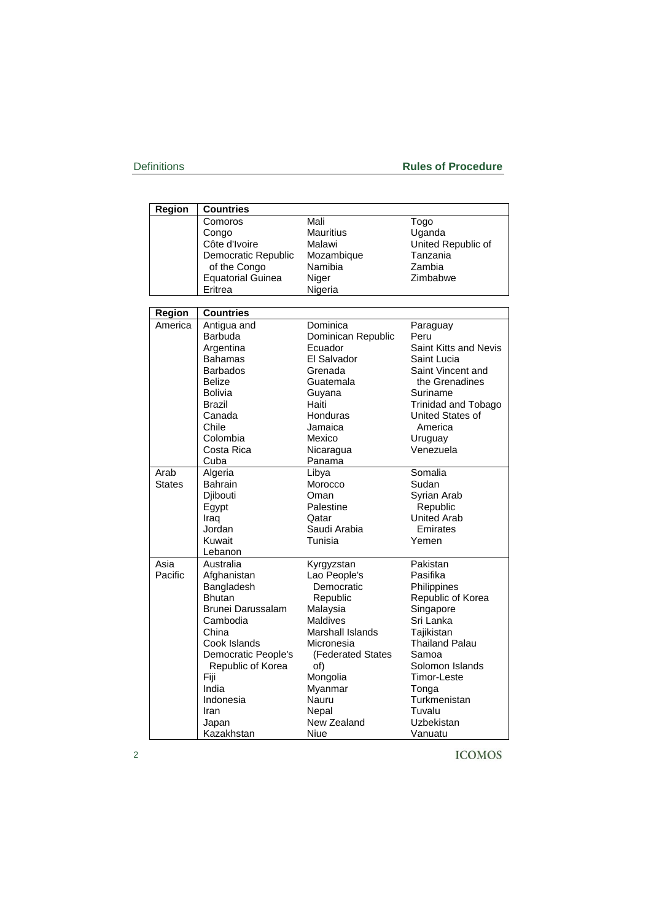| Region  | <b>Countries</b>         |                    |                            |
|---------|--------------------------|--------------------|----------------------------|
|         | Comoros                  | Mali               | Togo                       |
|         | Congo                    | <b>Mauritius</b>   | Uganda                     |
|         | Côte d'Ivoire            | Malawi             | United Republic of         |
|         | Democratic Republic      | Mozambique         | Tanzania                   |
|         | of the Congo             | Namibia            | Zambia                     |
|         | <b>Equatorial Guinea</b> | Niger              | Zimbabwe                   |
|         | Eritrea                  | Nigeria            |                            |
|         |                          |                    |                            |
| Region  | <b>Countries</b>         |                    |                            |
| America | Antigua and              | Dominica           | Paraguay                   |
|         | <b>Barbuda</b>           | Dominican Republic | Peru                       |
|         | Argentina                | Ecuador            | Saint Kitts and Nevis      |
|         | <b>Bahamas</b>           | El Salvador        | Saint Lucia                |
|         | <b>Barbados</b>          | Grenada            | Saint Vincent and          |
|         | <b>Belize</b>            | Guatemala          | the Grenadines             |
|         | <b>Bolivia</b>           | Guyana             | Suriname                   |
|         | Brazil                   | Haiti              | <b>Trinidad and Tobago</b> |
|         | Canada                   | Honduras           | United States of           |
|         | Chile                    | Jamaica            | America                    |
|         | Colombia                 | Mexico             |                            |
|         |                          |                    | Uruguay                    |
|         | Costa Rica               | Nicaragua          | Venezuela                  |
|         | Cuba                     | Panama             |                            |
| Arab    | Algeria                  | Libya              | Somalia                    |
| States  | <b>Bahrain</b>           | Morocco            | Sudan                      |
|         | <b>Diibouti</b>          | Oman               | Syrian Arab                |
|         | Egypt                    | Palestine          | Republic                   |
|         | Iraq                     | Qatar              | <b>United Arab</b>         |
|         | Jordan                   | Saudi Arabia       | Emirates                   |
|         | Kuwait                   | Tunisia            | Yemen                      |
|         | Lebanon                  |                    |                            |
| Asia    | Australia                | Kyrgyzstan         | Pakistan                   |
| Pacific | Afghanistan              | Lao People's       | Pasifika                   |
|         | Bangladesh               | Democratic         | Philippines                |
|         | <b>Bhutan</b>            | Republic           | Republic of Korea          |
|         | Brunei Darussalam        | Malaysia           | Singapore                  |
|         | Cambodia                 | <b>Maldives</b>    | Sri Lanka                  |
|         | China                    | Marshall Islands   | Tajikistan                 |
|         | Cook Islands             | Micronesia         | <b>Thailand Palau</b>      |
|         | Democratic People's      | (Federated States  | Samoa                      |
|         | Republic of Korea        | of)                | Solomon Islands            |
|         | Fiji                     | Mongolia           | Timor-Leste                |
|         | India                    | Myanmar            | Tonga                      |
|         | Indonesia                | Nauru              | Turkmenistan               |
|         | Iran                     | Nepal              | Tuvalu                     |
|         |                          | New Zealand        | Uzbekistan                 |
|         | Japan                    | Niue               |                            |
|         | Kazakhstan               |                    | Vanuatu                    |

**ICOMOS**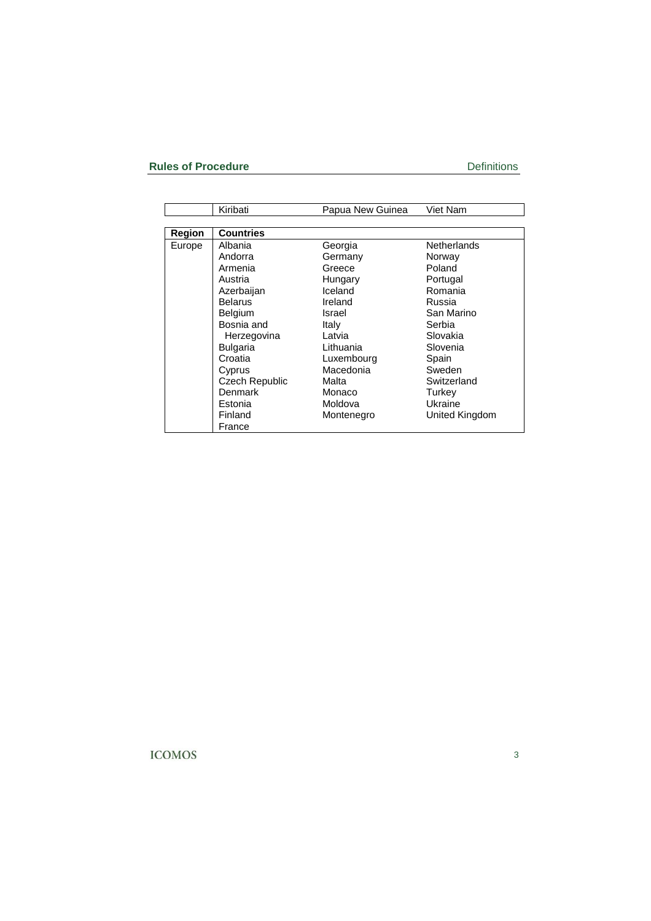## **Rules of Procedure Definitions**

|        | Kiribati         | Papua New Guinea | Viet Nam       |
|--------|------------------|------------------|----------------|
|        |                  |                  |                |
| Region | <b>Countries</b> |                  |                |
| Europe | Albania          | Georgia          | Netherlands    |
|        | Andorra          | Germany          | Norway         |
|        | Armenia          | Greece           | Poland         |
|        | Austria          | Hungary          | Portugal       |
|        | Azerbaijan       | Iceland          | Romania        |
|        | <b>Belarus</b>   | Ireland          | Russia         |
|        | <b>Belgium</b>   | Israel           | San Marino     |
|        | Bosnia and       | Italy            | Serbia         |
|        | Herzegovina      | Latvia           | Slovakia       |
|        | <b>Bulgaria</b>  | Lithuania        | Slovenia       |
|        | Croatia          | Luxembourg       | Spain          |
|        | Cyprus           | Macedonia        | Sweden         |
|        | Czech Republic   | Malta            | Switzerland    |
|        | Denmark          | Monaco           | Turkey         |
|        | Estonia          | Moldova          | Ukraine        |
|        | Finland          | Montenegro       | United Kingdom |
|        | France           |                  |                |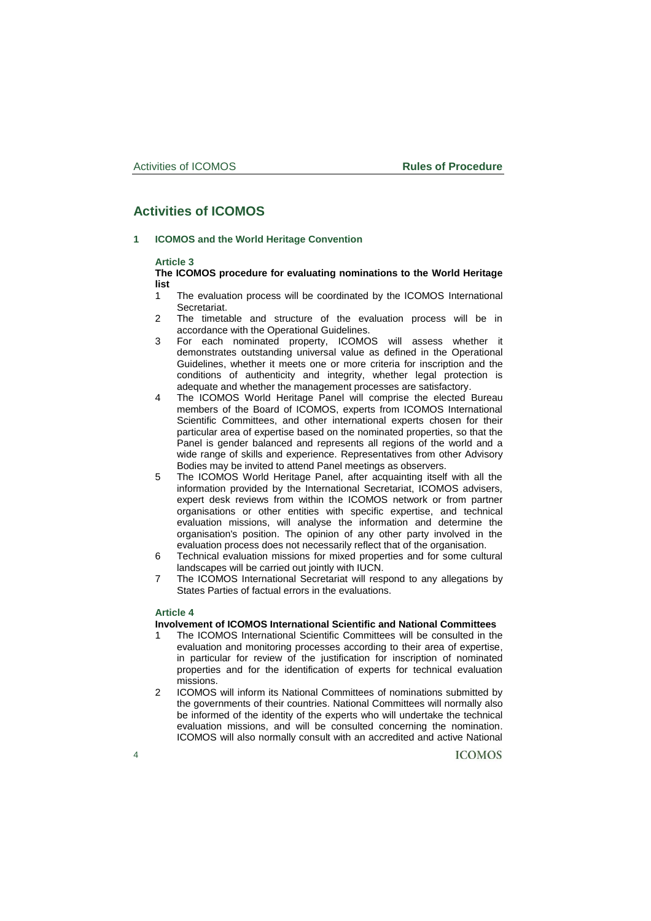#### **Activities of ICOMOS**

**1 ICOMOS and the World Heritage Convention**

#### **Article 3**

**The ICOMOS procedure for evaluating nominations to the World Heritage list**

- 1 The evaluation process will be coordinated by the ICOMOS International Secretariat.
- 2 The timetable and structure of the evaluation process will be in accordance with the Operational Guidelines.
- 3 For each nominated property, ICOMOS will assess whether it demonstrates outstanding universal value as defined in the Operational Guidelines, whether it meets one or more criteria for inscription and the conditions of authenticity and integrity, whether legal protection is adequate and whether the management processes are satisfactory.
- 4 The ICOMOS World Heritage Panel will comprise the elected Bureau members of the Board of ICOMOS, experts from ICOMOS International Scientific Committees, and other international experts chosen for their particular area of expertise based on the nominated properties, so that the Panel is gender balanced and represents all regions of the world and a wide range of skills and experience. Representatives from other Advisory Bodies may be invited to attend Panel meetings as observers.
- 5 The ICOMOS World Heritage Panel, after acquainting itself with all the information provided by the International Secretariat, ICOMOS advisers, expert desk reviews from within the ICOMOS network or from partner organisations or other entities with specific expertise, and technical evaluation missions, will analyse the information and determine the organisation's position. The opinion of any other party involved in the evaluation process does not necessarily reflect that of the organisation.
- 6 Technical evaluation missions for mixed properties and for some cultural landscapes will be carried out jointly with IUCN.
- 7 The ICOMOS International Secretariat will respond to any allegations by States Parties of factual errors in the evaluations.

#### **Article 4**

#### **Involvement of ICOMOS International Scientific and National Committees**

- 1 The ICOMOS International Scientific Committees will be consulted in the evaluation and monitoring processes according to their area of expertise, in particular for review of the justification for inscription of nominated properties and for the identification of experts for technical evaluation missions.
- 2 ICOMOS will inform its National Committees of nominations submitted by the governments of their countries. National Committees will normally also be informed of the identity of the experts who will undertake the technical evaluation missions, and will be consulted concerning the nomination. ICOMOS will also normally consult with an accredited and active National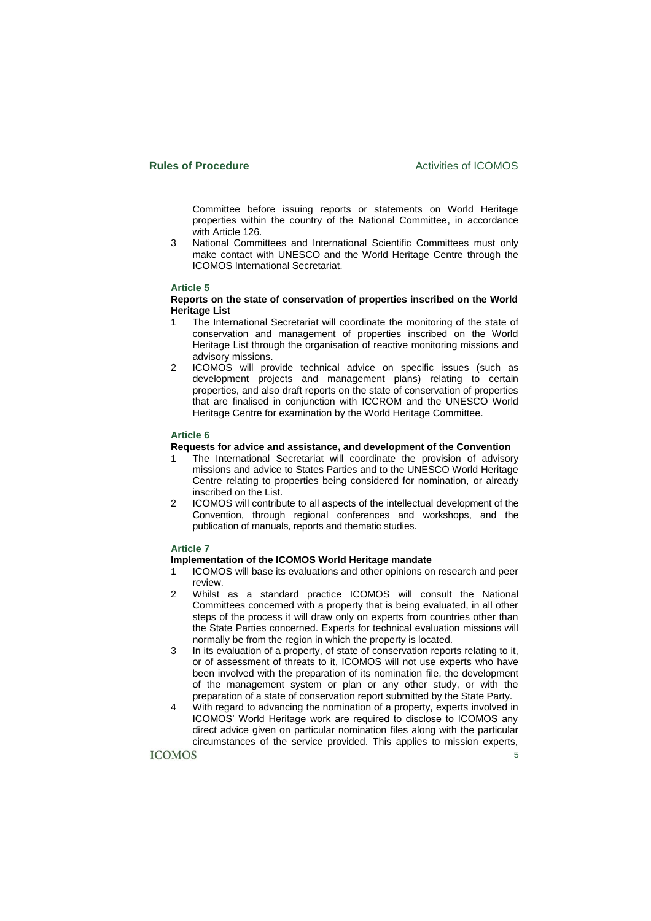#### **Rules of Procedure Activities of ICOMOS**

Committee before issuing reports or statements on World Heritage properties within the country of the National Committee, in accordance with Article 126.

3 National Committees and International Scientific Committees must only make contact with UNESCO and the World Heritage Centre through the ICOMOS International Secretariat.

#### **Article 5**

#### **Reports on the state of conservation of properties inscribed on the World Heritage List**

- 1 The International Secretariat will coordinate the monitoring of the state of conservation and management of properties inscribed on the World Heritage List through the organisation of reactive monitoring missions and advisory missions.
- 2 ICOMOS will provide technical advice on specific issues (such as development projects and management plans) relating to certain properties, and also draft reports on the state of conservation of properties that are finalised in conjunction with ICCROM and the UNESCO World Heritage Centre for examination by the World Heritage Committee.

#### **Article 6**

#### **Requests for advice and assistance, and development of the Convention**

- 1 The International Secretariat will coordinate the provision of advisory missions and advice to States Parties and to the UNESCO World Heritage Centre relating to properties being considered for nomination, or already inscribed on the List.
- 2 ICOMOS will contribute to all aspects of the intellectual development of the Convention, through regional conferences and workshops, and the publication of manuals, reports and thematic studies.

#### **Article 7**

#### **Implementation of the ICOMOS World Heritage mandate**

- 1 ICOMOS will base its evaluations and other opinions on research and peer review.
- 2 Whilst as a standard practice ICOMOS will consult the National Committees concerned with a property that is being evaluated, in all other steps of the process it will draw only on experts from countries other than the State Parties concerned. Experts for technical evaluation missions will normally be from the region in which the property is located.
- 3 In its evaluation of a property, of state of conservation reports relating to it, or of assessment of threats to it, ICOMOS will not use experts who have been involved with the preparation of its nomination file, the development of the management system or plan or any other study, or with the preparation of a state of conservation report submitted by the State Party.
- 4 With regard to advancing the nomination of a property, experts involved in ICOMOS' World Heritage work are required to disclose to ICOMOS any direct advice given on particular nomination files along with the particular circumstances of the service provided. This applies to mission experts,

#### **ICOMOS**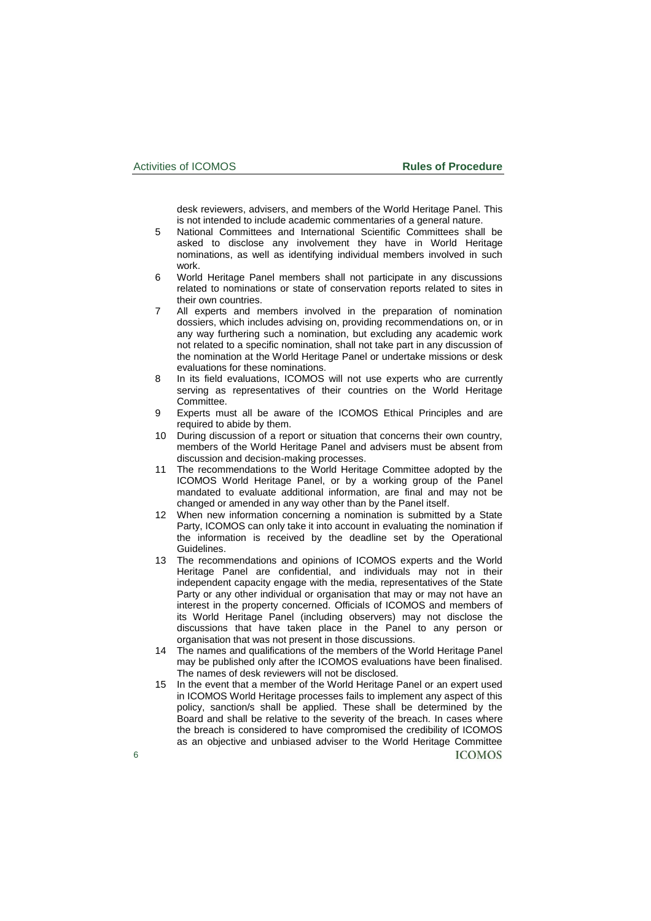desk reviewers, advisers, and members of the World Heritage Panel. This is not intended to include academic commentaries of a general nature.

- 5 National Committees and International Scientific Committees shall be asked to disclose any involvement they have in World Heritage nominations, as well as identifying individual members involved in such work.
- 6 World Heritage Panel members shall not participate in any discussions related to nominations or state of conservation reports related to sites in their own countries.
- 7 All experts and members involved in the preparation of nomination dossiers, which includes advising on, providing recommendations on, or in any way furthering such a nomination, but excluding any academic work not related to a specific nomination, shall not take part in any discussion of the nomination at the World Heritage Panel or undertake missions or desk evaluations for these nominations.
- 8 In its field evaluations, ICOMOS will not use experts who are currently serving as representatives of their countries on the World Heritage Committee.
- 9 Experts must all be aware of the ICOMOS Ethical Principles and are required to abide by them.
- 10 During discussion of a report or situation that concerns their own country, members of the World Heritage Panel and advisers must be absent from discussion and decision-making processes.
- 11 The recommendations to the World Heritage Committee adopted by the ICOMOS World Heritage Panel, or by a working group of the Panel mandated to evaluate additional information, are final and may not be changed or amended in any way other than by the Panel itself.
- 12 When new information concerning a nomination is submitted by a State Party, ICOMOS can only take it into account in evaluating the nomination if the information is received by the deadline set by the Operational Guidelines.
- 13 The recommendations and opinions of ICOMOS experts and the World Heritage Panel are confidential, and individuals may not in their independent capacity engage with the media, representatives of the State Party or any other individual or organisation that may or may not have an interest in the property concerned. Officials of ICOMOS and members of its World Heritage Panel (including observers) may not disclose the discussions that have taken place in the Panel to any person or organisation that was not present in those discussions.
- 14 The names and qualifications of the members of the World Heritage Panel may be published only after the ICOMOS evaluations have been finalised. The names of desk reviewers will not be disclosed.
- 15 In the event that a member of the World Heritage Panel or an expert used in ICOMOS World Heritage processes fails to implement any aspect of this policy, sanction/s shall be applied. These shall be determined by the Board and shall be relative to the severity of the breach. In cases where the breach is considered to have compromised the credibility of ICOMOS as an objective and unbiased adviser to the World Heritage Committee

**ICOMOS**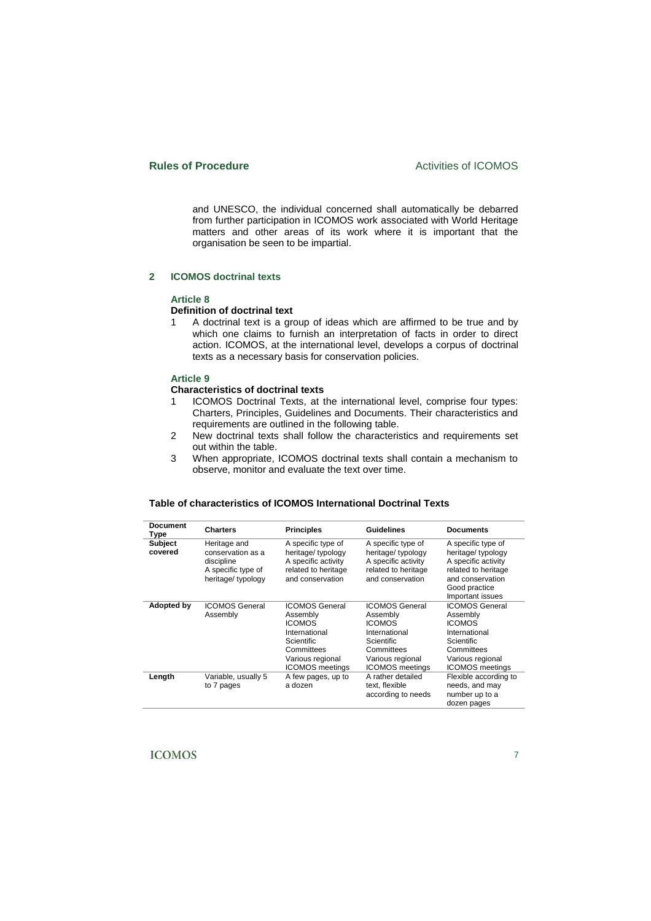#### **Rules of Procedure Activities of ICOMOS**

and UNESCO, the individual concerned shall automatically be debarred from further participation in ICOMOS work associated with World Heritage matters and other areas of its work where it is important that the organisation be seen to be impartial.

#### **2 ICOMOS doctrinal texts**

#### **Article 8**

#### **Definition of doctrinal text**

1 A doctrinal text is a group of ideas which are affirmed to be true and by which one claims to furnish an interpretation of facts in order to direct action. ICOMOS, at the international level, develops a corpus of doctrinal texts as a necessary basis for conservation policies.

#### **Article 9**

#### **Characteristics of doctrinal texts**

- 1 ICOMOS Doctrinal Texts, at the international level, comprise four types: Charters, Principles, Guidelines and Documents. Their characteristics and requirements are outlined in the following table.
- 2 New doctrinal texts shall follow the characteristics and requirements set out within the table.
- 3 When appropriate, ICOMOS doctrinal texts shall contain a mechanism to observe, monitor and evaluate the text over time.

#### **Table of characteristics of ICOMOS International Doctrinal Texts**

| <b>Document</b><br>Type | <b>Charters</b>       | <b>Principles</b>                       | <b>Guidelines</b>                       | <b>Documents</b>                        |
|-------------------------|-----------------------|-----------------------------------------|-----------------------------------------|-----------------------------------------|
| Subject                 | Heritage and          | A specific type of                      | A specific type of                      | A specific type of                      |
| covered                 | conservation as a     | heritage/ typology                      | heritage/typology                       | heritage/ typology                      |
|                         | discipline            | A specific activity                     | A specific activity                     | A specific activity                     |
|                         | A specific type of    | related to heritage<br>and conservation | related to heritage<br>and conservation | related to heritage<br>and conservation |
|                         | heritage/ typology    |                                         |                                         |                                         |
|                         |                       |                                         |                                         | Good practice<br>Important issues       |
| <b>Adopted by</b>       | <b>ICOMOS General</b> | <b>ICOMOS General</b>                   | <b>ICOMOS General</b>                   | <b>ICOMOS General</b>                   |
|                         | Assembly              | Assembly                                | Assembly                                | Assembly                                |
|                         |                       |                                         |                                         |                                         |
|                         |                       | <b>ICOMOS</b>                           | <b>ICOMOS</b>                           | <b>ICOMOS</b>                           |
|                         |                       | International                           | International                           | International                           |
|                         |                       | Scientific                              | Scientific                              | Scientific                              |
|                         |                       | Committees                              | Committees                              | Committees                              |
|                         |                       | Various regional                        | Various regional                        | Various regional                        |
|                         |                       | <b>ICOMOS</b> meetings                  | <b>ICOMOS</b> meetings                  | ICOMOS meetings                         |
| Length                  | Variable, usually 5   | A few pages, up to                      | A rather detailed                       | Flexible according to                   |
|                         | to 7 pages            | a dozen                                 | text, flexible                          | needs, and may                          |
|                         |                       |                                         | according to needs                      | number up to a                          |
|                         |                       |                                         |                                         | dozen pages                             |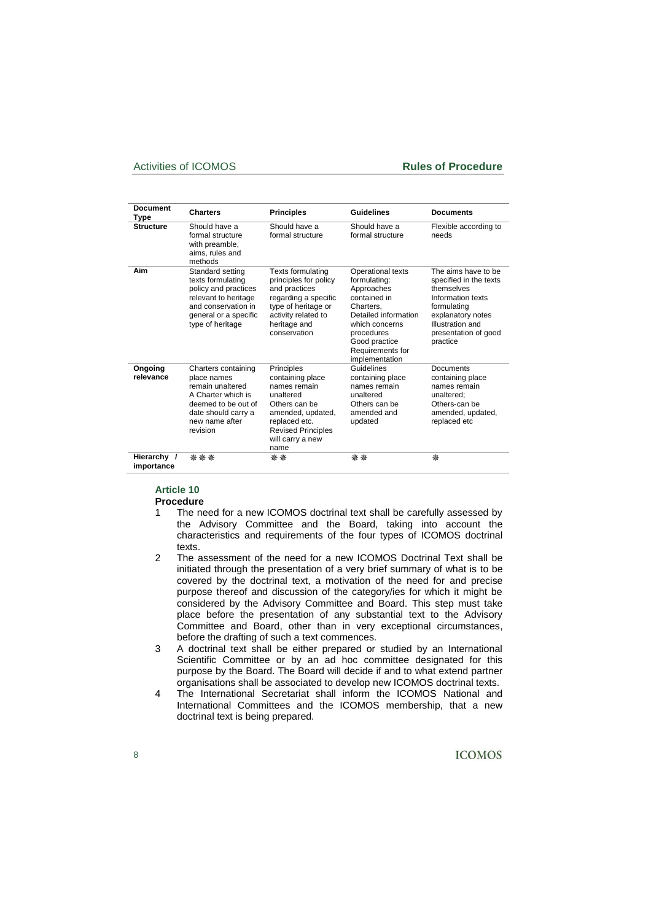#### Activities of ICOMOS **Rules of Procedure**

| <b>Document</b><br>Type   | <b>Charters</b>                                                                                                                                           | <b>Principles</b>                                                                                                                                                           | <b>Guidelines</b>                                                                                                                                                                           | <b>Documents</b>                                                                                                                                                             |
|---------------------------|-----------------------------------------------------------------------------------------------------------------------------------------------------------|-----------------------------------------------------------------------------------------------------------------------------------------------------------------------------|---------------------------------------------------------------------------------------------------------------------------------------------------------------------------------------------|------------------------------------------------------------------------------------------------------------------------------------------------------------------------------|
| <b>Structure</b>          | Should have a<br>formal structure<br>with preamble,<br>aims, rules and<br>methods                                                                         | Should have a<br>formal structure                                                                                                                                           | Should have a<br>formal structure                                                                                                                                                           | Flexible according to<br>needs                                                                                                                                               |
| Aim                       | Standard setting<br>texts formulating<br>policy and practices<br>relevant to heritage<br>and conservation in<br>general or a specific<br>type of heritage | Texts formulating<br>principles for policy<br>and practices<br>regarding a specific<br>type of heritage or<br>activity related to<br>heritage and<br>conservation           | Operational texts<br>formulating:<br>Approaches<br>contained in<br>Charters.<br>Detailed information<br>which concerns<br>procedures<br>Good practice<br>Requirements for<br>implementation | The aims have to be<br>specified in the texts<br>themselves<br>Information texts<br>formulating<br>explanatory notes<br>Illustration and<br>presentation of good<br>practice |
| Ongoing<br>relevance      | Charters containing<br>place names<br>remain unaltered<br>A Charter which is<br>deemed to be out of<br>date should carry a<br>new name after<br>revision  | Principles<br>containing place<br>names remain<br>unaltered<br>Others can be<br>amended, updated,<br>replaced etc.<br><b>Revised Principles</b><br>will carry a new<br>name | Guidelines<br>containing place<br>names remain<br>unaltered<br>Others can be<br>amended and<br>updated                                                                                      | Documents<br>containing place<br>names remain<br>unaltered:<br>Others-can be<br>amended, updated,<br>replaced etc                                                            |
| Hierarchy /<br>importance | 楽楽楽                                                                                                                                                       | 楽楽                                                                                                                                                                          | 楽楽                                                                                                                                                                                          | 鱉                                                                                                                                                                            |

## **Article 10**

- **Procedure**
- 1 The need for a new ICOMOS doctrinal text shall be carefully assessed by the Advisory Committee and the Board, taking into account the characteristics and requirements of the four types of ICOMOS doctrinal texts.
- 2 The assessment of the need for a new ICOMOS Doctrinal Text shall be initiated through the presentation of a very brief summary of what is to be covered by the doctrinal text, a motivation of the need for and precise purpose thereof and discussion of the category/ies for which it might be considered by the Advisory Committee and Board. This step must take place before the presentation of any substantial text to the Advisory Committee and Board, other than in very exceptional circumstances, before the drafting of such a text commences.
- 3 A doctrinal text shall be either prepared or studied by an International Scientific Committee or by an ad hoc committee designated for this purpose by the Board. The Board will decide if and to what extend partner organisations shall be associated to develop new ICOMOS doctrinal texts.
- 4 The International Secretariat shall inform the ICOMOS National and International Committees and the ICOMOS membership, that a new doctrinal text is being prepared.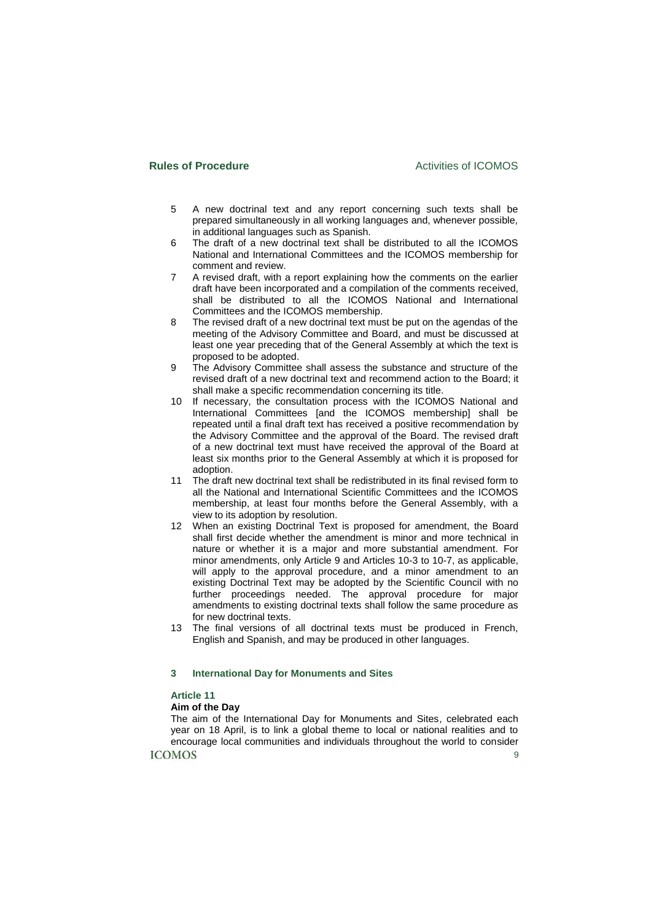#### **Rules of Procedure Activities of ICOMOS**

- 5 A new doctrinal text and any report concerning such texts shall be prepared simultaneously in all working languages and, whenever possible, in additional languages such as Spanish.
- 6 The draft of a new doctrinal text shall be distributed to all the ICOMOS National and International Committees and the ICOMOS membership for comment and review.
- 7 A revised draft, with a report explaining how the comments on the earlier draft have been incorporated and a compilation of the comments received, shall be distributed to all the ICOMOS National and International Committees and the ICOMOS membership.
- 8 The revised draft of a new doctrinal text must be put on the agendas of the meeting of the Advisory Committee and Board, and must be discussed at least one year preceding that of the General Assembly at which the text is proposed to be adopted.
- 9 The Advisory Committee shall assess the substance and structure of the revised draft of a new doctrinal text and recommend action to the Board; it shall make a specific recommendation concerning its title.
- 10 If necessary, the consultation process with the ICOMOS National and International Committees [and the ICOMOS membership] shall be repeated until a final draft text has received a positive recommendation by the Advisory Committee and the approval of the Board. The revised draft of a new doctrinal text must have received the approval of the Board at least six months prior to the General Assembly at which it is proposed for adoption.
- 11 The draft new doctrinal text shall be redistributed in its final revised form to all the National and International Scientific Committees and the ICOMOS membership, at least four months before the General Assembly, with a view to its adoption by resolution.
- 12 When an existing Doctrinal Text is proposed for amendment, the Board shall first decide whether the amendment is minor and more technical in nature or whether it is a major and more substantial amendment. For minor amendments, only Article 9 and Articles 10-3 to 10-7, as applicable, will apply to the approval procedure, and a minor amendment to an existing Doctrinal Text may be adopted by the Scientific Council with no further proceedings needed. The approval procedure for major amendments to existing doctrinal texts shall follow the same procedure as for new doctrinal texts.
- 13 The final versions of all doctrinal texts must be produced in French, English and Spanish, and may be produced in other languages.

#### **3 International Day for Monuments and Sites**

#### **Article 11**

#### **Aim of the Day**

The aim of the International Day for Monuments and Sites, celebrated each year on 18 April, is to link a global theme to local or national realities and to encourage local communities and individuals throughout the world to consider **ICOMOS**  $\Omega$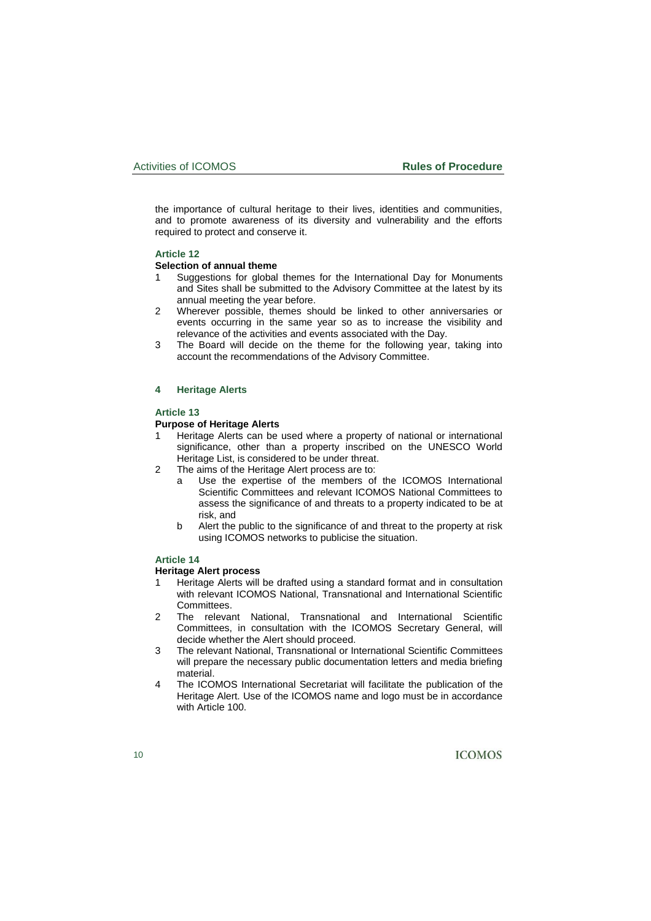the importance of cultural heritage to their lives, identities and communities, and to promote awareness of its diversity and vulnerability and the efforts required to protect and conserve it.

#### **Article 12**

#### **Selection of annual theme**

- 1 Suggestions for global themes for the International Day for Monuments and Sites shall be submitted to the Advisory Committee at the latest by its annual meeting the year before.
- 2 Wherever possible, themes should be linked to other anniversaries or events occurring in the same year so as to increase the visibility and relevance of the activities and events associated with the Day.
- 3 The Board will decide on the theme for the following year, taking into account the recommendations of the Advisory Committee.

#### **4 Heritage Alerts**

#### **Article 13**

#### **Purpose of Heritage Alerts**

- 1 Heritage Alerts can be used where a property of national or international significance, other than a property inscribed on the UNESCO World Heritage List, is considered to be under threat.
- 2 The aims of the Heritage Alert process are to:
	- a Use the expertise of the members of the ICOMOS International Scientific Committees and relevant ICOMOS National Committees to assess the significance of and threats to a property indicated to be at risk, and
	- b Alert the public to the significance of and threat to the property at risk using ICOMOS networks to publicise the situation.

#### **Article 14**

#### **Heritage Alert process**

- 1 Heritage Alerts will be drafted using a standard format and in consultation with relevant ICOMOS National, Transnational and International Scientific Committees.
- 2 The relevant National, Transnational and International Scientific Committees, in consultation with the ICOMOS Secretary General, will decide whether the Alert should proceed.
- 3 The relevant National, Transnational or International Scientific Committees will prepare the necessary public documentation letters and media briefing material.
- 4 The ICOMOS International Secretariat will facilitate the publication of the Heritage Alert. Use of the ICOMOS name and logo must be in accordance with Article 100.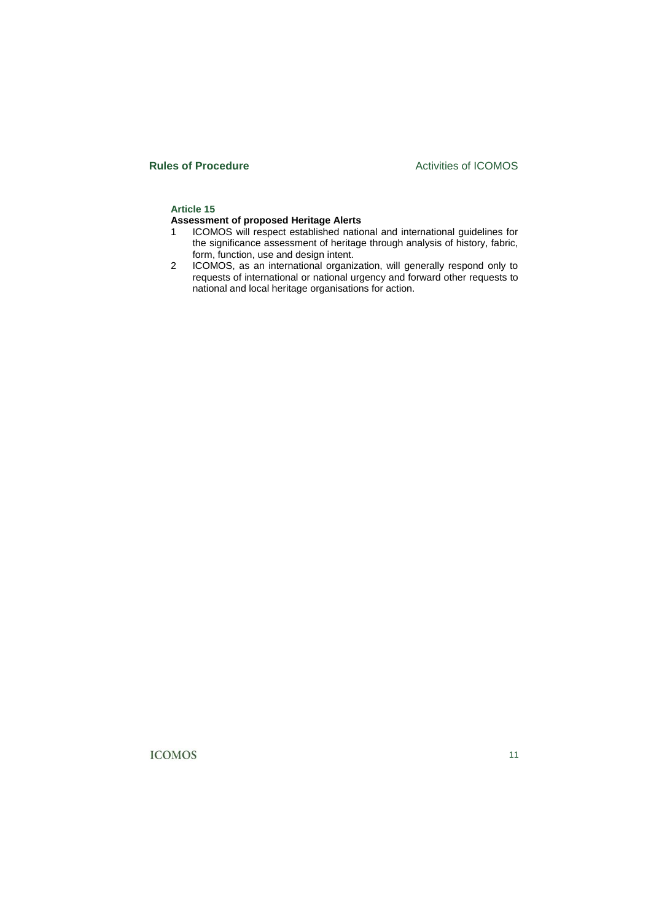#### **Rules of Procedure Activities of ICOMOS**

#### **Article 15**

#### **Assessment of proposed Heritage Alerts**

- 1 ICOMOS will respect established national and international guidelines for the significance assessment of heritage through analysis of history, fabric, form, function, use and design intent.
- 2 ICOMOS, as an international organization, will generally respond only to requests of international or national urgency and forward other requests to national and local heritage organisations for action.

**ICOMOS**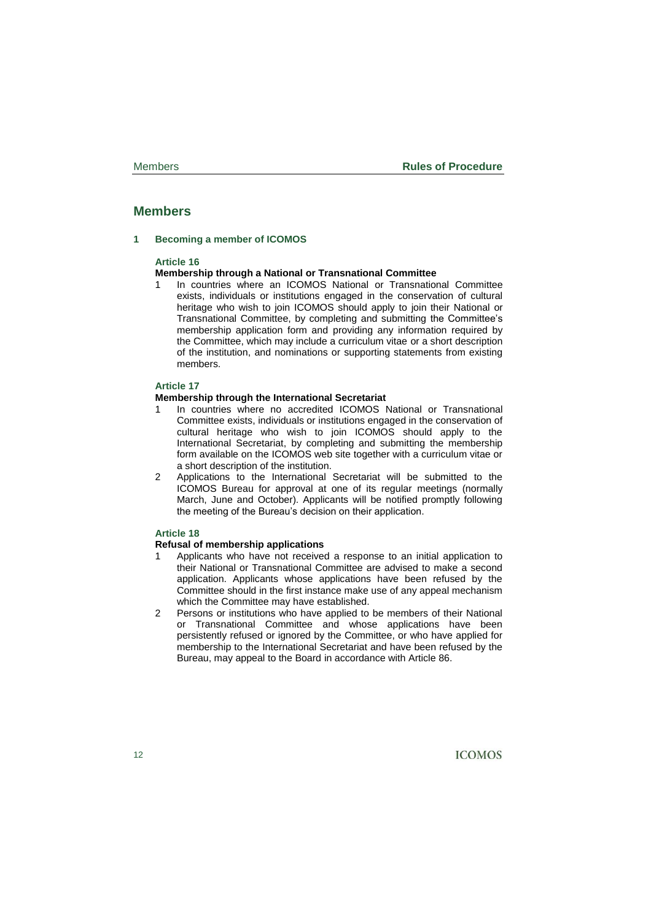#### **Members**

**1 Becoming a member of ICOMOS** 

#### **Article 16**

#### **Membership through a National or Transnational Committee**

1 In countries where an ICOMOS National or Transnational Committee exists, individuals or institutions engaged in the conservation of cultural heritage who wish to join ICOMOS should apply to join their National or Transnational Committee, by completing and submitting the Committee's membership application form and providing any information required by the Committee, which may include a curriculum vitae or a short description of the institution, and nominations or supporting statements from existing members.

#### **Article 17**

#### **Membership through the International Secretariat**

- 1 In countries where no accredited ICOMOS National or Transnational Committee exists, individuals or institutions engaged in the conservation of cultural heritage who wish to join ICOMOS should apply to the International Secretariat, by completing and submitting the membership form available on the ICOMOS web site together with a curriculum vitae or a short description of the institution.
- 2 Applications to the International Secretariat will be submitted to the ICOMOS Bureau for approval at one of its regular meetings (normally March, June and October). Applicants will be notified promptly following the meeting of the Bureau's decision on their application.

#### **Article 18**

#### **Refusal of membership applications**

- 1 Applicants who have not received a response to an initial application to their National or Transnational Committee are advised to make a second application. Applicants whose applications have been refused by the Committee should in the first instance make use of any appeal mechanism which the Committee may have established.
- 2 Persons or institutions who have applied to be members of their National or Transnational Committee and whose applications have been persistently refused or ignored by the Committee, or who have applied for membership to the International Secretariat and have been refused by the Bureau, may appeal to the Board in accordance with Article 86.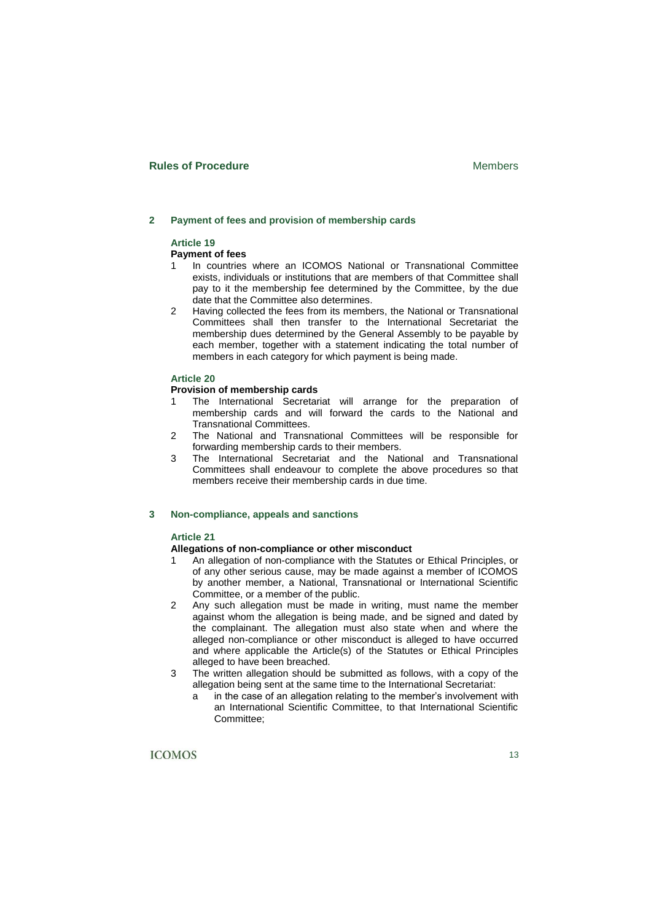#### **Rules of Procedure** Members **Members**

#### **2 Payment of fees and provision of membership cards**

#### **Article 19**

#### **Payment of fees**

- 1 In countries where an ICOMOS National or Transnational Committee exists, individuals or institutions that are members of that Committee shall pay to it the membership fee determined by the Committee, by the due date that the Committee also determines.
- 2 Having collected the fees from its members, the National or Transnational Committees shall then transfer to the International Secretariat the membership dues determined by the General Assembly to be payable by each member, together with a statement indicating the total number of members in each category for which payment is being made.

#### **Article 20**

#### **Provision of membership cards**

- 1 The International Secretariat will arrange for the preparation of membership cards and will forward the cards to the National and Transnational Committees.
- 2 The National and Transnational Committees will be responsible for forwarding membership cards to their members.
- 3 The International Secretariat and the National and Transnational Committees shall endeavour to complete the above procedures so that members receive their membership cards in due time.

#### **3 Non-compliance, appeals and sanctions**

#### **Article 21**

#### **Allegations of non-compliance or other misconduct**

- 1 An allegation of non-compliance with the Statutes or Ethical Principles, or of any other serious cause, may be made against a member of ICOMOS by another member, a National, Transnational or International Scientific Committee, or a member of the public.
- 2 Any such allegation must be made in writing, must name the member against whom the allegation is being made, and be signed and dated by the complainant. The allegation must also state when and where the alleged non-compliance or other misconduct is alleged to have occurred and where applicable the Article(s) of the Statutes or Ethical Principles alleged to have been breached.
- 3 The written allegation should be submitted as follows, with a copy of the allegation being sent at the same time to the International Secretariat:
	- a in the case of an allegation relating to the member's involvement with an International Scientific Committee, to that International Scientific Committee;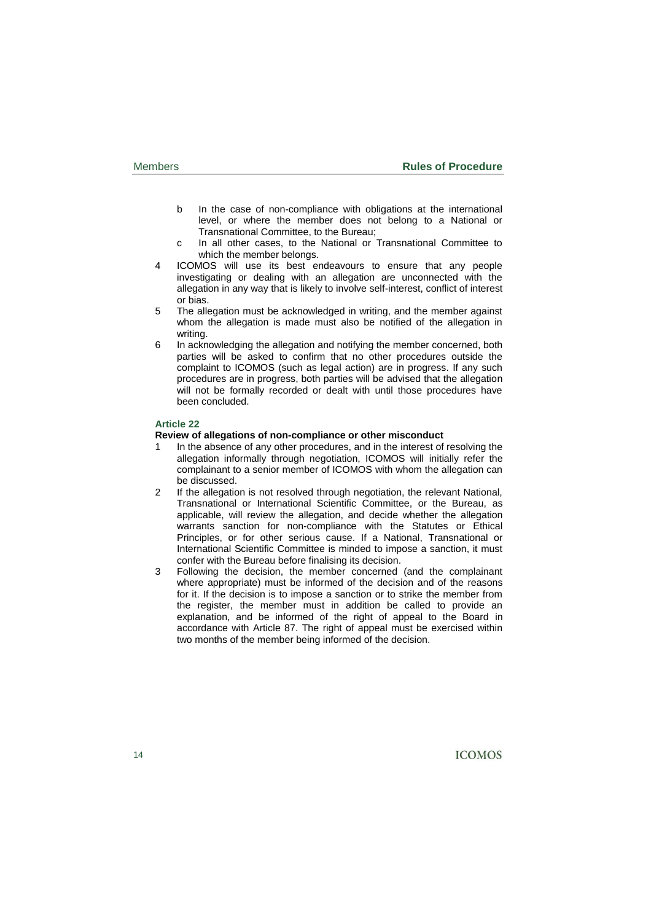- b In the case of non-compliance with obligations at the international level, or where the member does not belong to a National or Transnational Committee, to the Bureau;
- c In all other cases, to the National or Transnational Committee to which the member belongs.
- 4 ICOMOS will use its best endeavours to ensure that any people investigating or dealing with an allegation are unconnected with the allegation in any way that is likely to involve self-interest, conflict of interest or bias.
- 5 The allegation must be acknowledged in writing, and the member against whom the allegation is made must also be notified of the allegation in writing.
- 6 In acknowledging the allegation and notifying the member concerned, both parties will be asked to confirm that no other procedures outside the complaint to ICOMOS (such as legal action) are in progress. If any such procedures are in progress, both parties will be advised that the allegation will not be formally recorded or dealt with until those procedures have been concluded.

### **Review of allegations of non-compliance or other misconduct**

- 1 In the absence of any other procedures, and in the interest of resolving the allegation informally through negotiation, ICOMOS will initially refer the complainant to a senior member of ICOMOS with whom the allegation can be discussed.
- 2 If the allegation is not resolved through negotiation, the relevant National, Transnational or International Scientific Committee, or the Bureau, as applicable, will review the allegation, and decide whether the allegation warrants sanction for non-compliance with the Statutes or Ethical Principles, or for other serious cause. If a National, Transnational or International Scientific Committee is minded to impose a sanction, it must confer with the Bureau before finalising its decision.
- 3 Following the decision, the member concerned (and the complainant where appropriate) must be informed of the decision and of the reasons for it. If the decision is to impose a sanction or to strike the member from the register, the member must in addition be called to provide an explanation, and be informed of the right of appeal to the Board in accordance with Article 87. The right of appeal must be exercised within two months of the member being informed of the decision.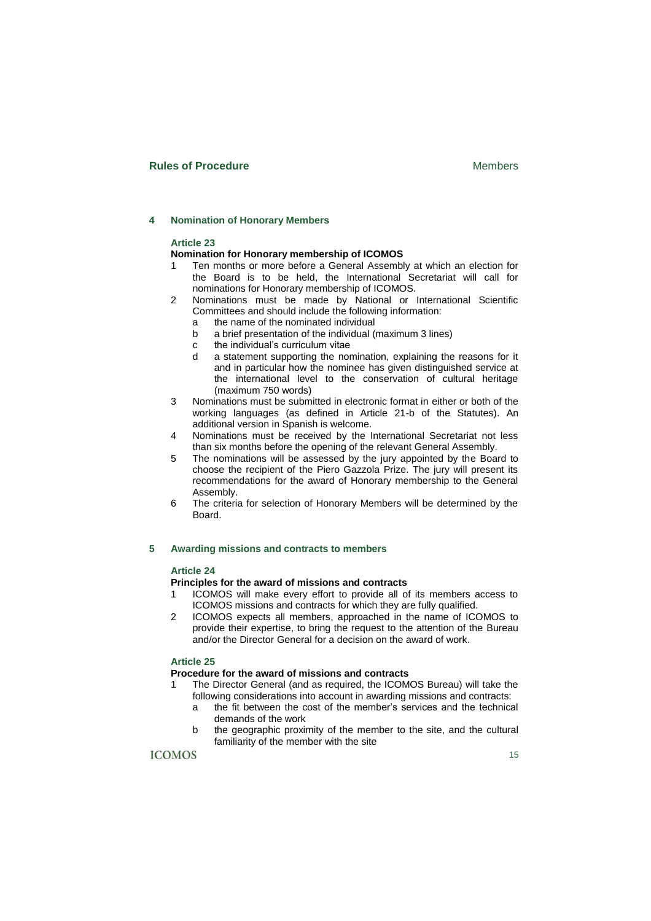# **Rules of Procedure** Members **Members**

# **4 Nomination of Honorary Members**

# **Article 23**

# **Nomination for Honorary membership of ICOMOS**

- 1 Ten months or more before a General Assembly at which an election for the Board is to be held, the International Secretariat will call for nominations for Honorary membership of ICOMOS.
- 2 Nominations must be made by National or International Scientific Committees and should include the following information:
	- a the name of the nominated individual
	- b a brief presentation of the individual (maximum 3 lines)
	- c the individual's curriculum vitae
	- d a statement supporting the nomination, explaining the reasons for it and in particular how the nominee has given distinguished service at the international level to the conservation of cultural heritage (maximum 750 words)
- 3 Nominations must be submitted in electronic format in either or both of the working languages (as defined in Article 21-b of the Statutes). An additional version in Spanish is welcome.
- 4 Nominations must be received by the International Secretariat not less than six months before the opening of the relevant General Assembly.
- 5 The nominations will be assessed by the jury appointed by the Board to choose the recipient of the Piero Gazzola Prize. The jury will present its recommendations for the award of Honorary membership to the General Assembly.
- 6 The criteria for selection of Honorary Members will be determined by the Board.

# **5 Awarding missions and contracts to members**

# **Article 24**

# **Principles for the award of missions and contracts**

- 1 ICOMOS will make every effort to provide all of its members access to ICOMOS missions and contracts for which they are fully qualified.
- 2 ICOMOS expects all members, approached in the name of ICOMOS to provide their expertise, to bring the request to the attention of the Bureau and/or the Director General for a decision on the award of work.

### **Article 25**

### **Procedure for the award of missions and contracts**

- 1 The Director General (and as required, the ICOMOS Bureau) will take the following considerations into account in awarding missions and contracts:
	- a the fit between the cost of the member's services and the technical demands of the work
	- b the geographic proximity of the member to the site, and the cultural familiarity of the member with the site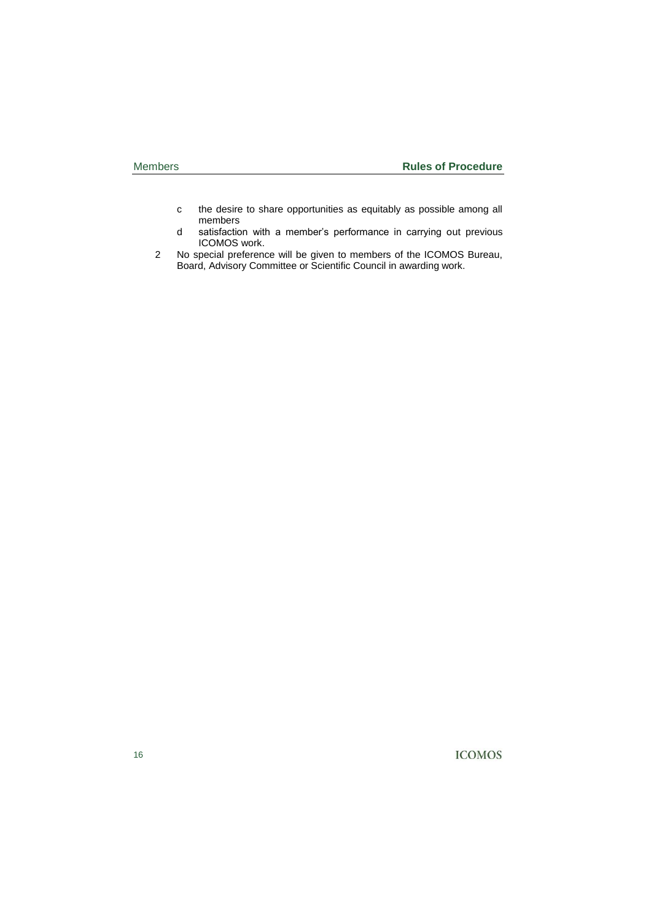- c the desire to share opportunities as equitably as possible among all members
- d satisfaction with a member's performance in carrying out previous ICOMOS work.
- 2 No special preference will be given to members of the ICOMOS Bureau, Board, Advisory Committee or Scientific Council in awarding work.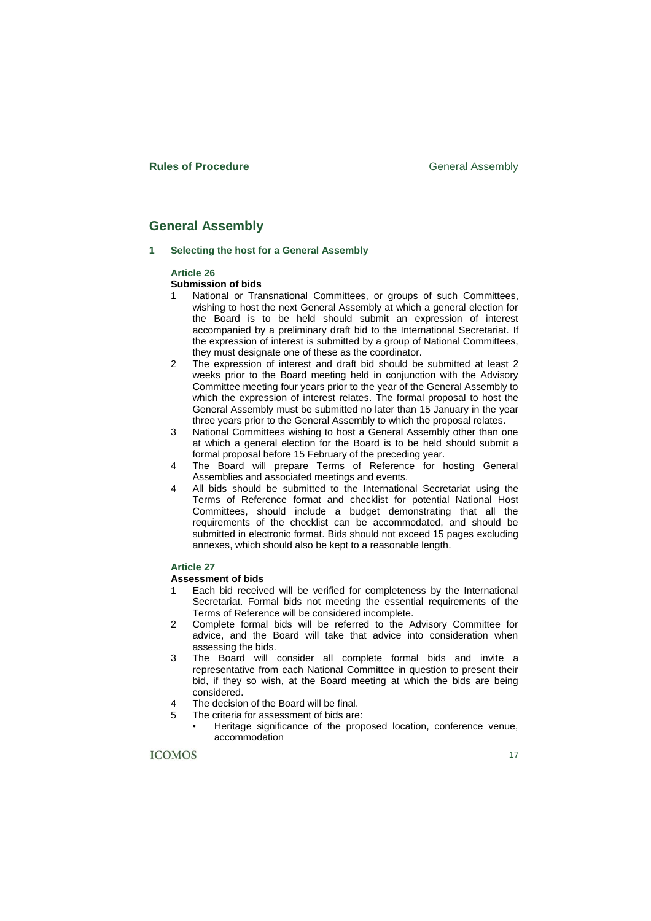# **General Assembly**

**1 Selecting the host for a General Assembly**

### **Article 26**

### **Submission of bids**

- 1 National or Transnational Committees, or groups of such Committees, wishing to host the next General Assembly at which a general election for the Board is to be held should submit an expression of interest accompanied by a preliminary draft bid to the International Secretariat. If the expression of interest is submitted by a group of National Committees, they must designate one of these as the coordinator.
- 2 The expression of interest and draft bid should be submitted at least 2 weeks prior to the Board meeting held in conjunction with the Advisory Committee meeting four years prior to the year of the General Assembly to which the expression of interest relates. The formal proposal to host the General Assembly must be submitted no later than 15 January in the year three years prior to the General Assembly to which the proposal relates.
- 3 National Committees wishing to host a General Assembly other than one at which a general election for the Board is to be held should submit a formal proposal before 15 February of the preceding year.
- 4 The Board will prepare Terms of Reference for hosting General Assemblies and associated meetings and events.
- 4 All bids should be submitted to the International Secretariat using the Terms of Reference format and checklist for potential National Host Committees, should include a budget demonstrating that all the requirements of the checklist can be accommodated, and should be submitted in electronic format. Bids should not exceed 15 pages excluding annexes, which should also be kept to a reasonable length.

# **Article 27**

#### **Assessment of bids**

- 1 Each bid received will be verified for completeness by the International Secretariat. Formal bids not meeting the essential requirements of the Terms of Reference will be considered incomplete.
- 2 Complete formal bids will be referred to the Advisory Committee for advice, and the Board will take that advice into consideration when assessing the bids.
- 3 The Board will consider all complete formal bids and invite a representative from each National Committee in question to present their bid, if they so wish, at the Board meeting at which the bids are being considered.
- 4 The decision of the Board will be final.
- 5 The criteria for assessment of bids are:
	- Heritage significance of the proposed location, conference venue, accommodation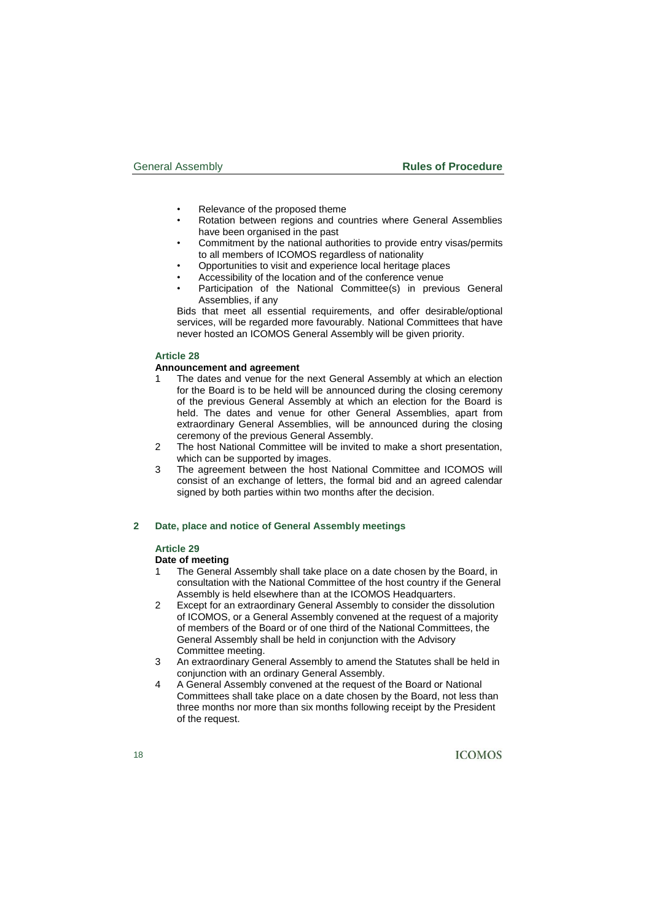- Relevance of the proposed theme
- Rotation between regions and countries where General Assemblies have been organised in the past
- Commitment by the national authorities to provide entry visas/permits to all members of ICOMOS regardless of nationality
- Opportunities to visit and experience local heritage places
- Accessibility of the location and of the conference venue
- Participation of the National Committee(s) in previous General Assemblies, if any

Bids that meet all essential requirements, and offer desirable/optional services, will be regarded more favourably. National Committees that have never hosted an ICOMOS General Assembly will be given priority.

# **Article 28**

# **Announcement and agreement**

- The dates and venue for the next General Assembly at which an election for the Board is to be held will be announced during the closing ceremony of the previous General Assembly at which an election for the Board is held. The dates and venue for other General Assemblies, apart from extraordinary General Assemblies, will be announced during the closing ceremony of the previous General Assembly.
- 2 The host National Committee will be invited to make a short presentation, which can be supported by images.
- 3 The agreement between the host National Committee and ICOMOS will consist of an exchange of letters, the formal bid and an agreed calendar signed by both parties within two months after the decision.

# **2 Date, place and notice of General Assembly meetings**

### **Article 29**

# **Date of meeting**

- 1 The General Assembly shall take place on a date chosen by the Board, in consultation with the National Committee of the host country if the General Assembly is held elsewhere than at the ICOMOS Headquarters.
- 2 Except for an extraordinary General Assembly to consider the dissolution of ICOMOS, or a General Assembly convened at the request of a majority of members of the Board or of one third of the National Committees, the General Assembly shall be held in conjunction with the Advisory Committee meeting.
- 3 An extraordinary General Assembly to amend the Statutes shall be held in conjunction with an ordinary General Assembly.
- 4 A General Assembly convened at the request of the Board or National Committees shall take place on a date chosen by the Board, not less than three months nor more than six months following receipt by the President of the request.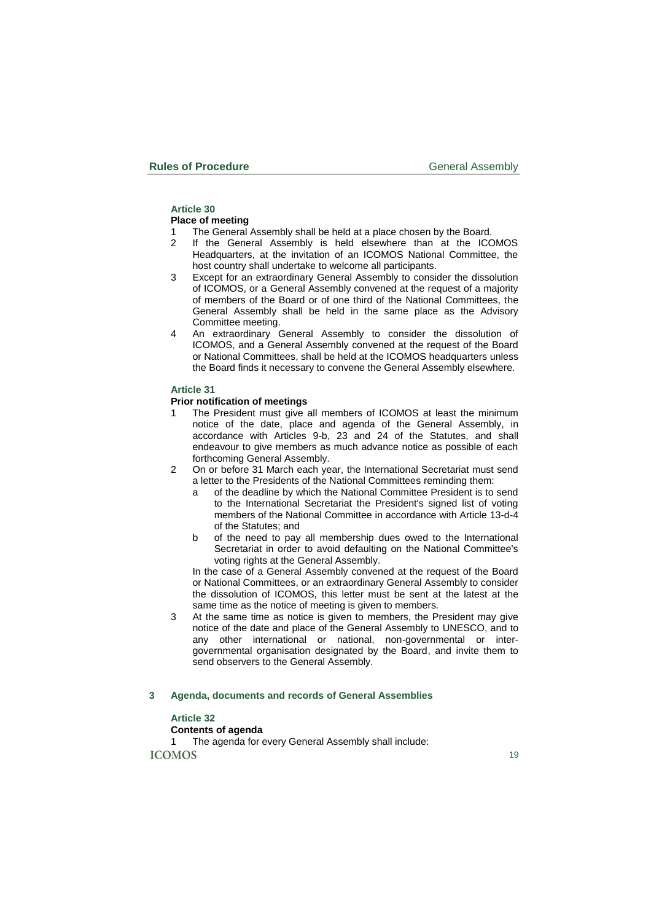# **Article 30 Place of meeting**

- The General Assembly shall be held at a place chosen by the Board.
- 2 If the General Assembly is held elsewhere than at the ICOMOS Headquarters, at the invitation of an ICOMOS National Committee, the host country shall undertake to welcome all participants.
- 3 Except for an extraordinary General Assembly to consider the dissolution of ICOMOS, or a General Assembly convened at the request of a majority of members of the Board or of one third of the National Committees, the General Assembly shall be held in the same place as the Advisory Committee meeting.
- 4 An extraordinary General Assembly to consider the dissolution of ICOMOS, and a General Assembly convened at the request of the Board or National Committees, shall be held at the ICOMOS headquarters unless the Board finds it necessary to convene the General Assembly elsewhere.

# **Article 31**

### **Prior notification of meetings**

- 1 The President must give all members of ICOMOS at least the minimum notice of the date, place and agenda of the General Assembly, in accordance with Articles 9-b, 23 and 24 of the Statutes, and shall endeavour to give members as much advance notice as possible of each forthcoming General Assembly.
- 2 On or before 31 March each year, the International Secretariat must send a letter to the Presidents of the National Committees reminding them:
	- a of the deadline by which the National Committee President is to send to the International Secretariat the President's signed list of voting members of the National Committee in accordance with Article 13-d-4 of the Statutes; and
	- b of the need to pay all membership dues owed to the International Secretariat in order to avoid defaulting on the National Committee's voting rights at the General Assembly.

In the case of a General Assembly convened at the request of the Board or National Committees, or an extraordinary General Assembly to consider the dissolution of ICOMOS, this letter must be sent at the latest at the same time as the notice of meeting is given to members.

3 At the same time as notice is given to members, the President may give notice of the date and place of the General Assembly to UNESCO, and to any other international or national, non-governmental or intergovernmental organisation designated by the Board, and invite them to send observers to the General Assembly.

#### **3 Agenda, documents and records of General Assemblies**

### **Article 32**

### **Contents of agenda**

1 The agenda for every General Assembly shall include: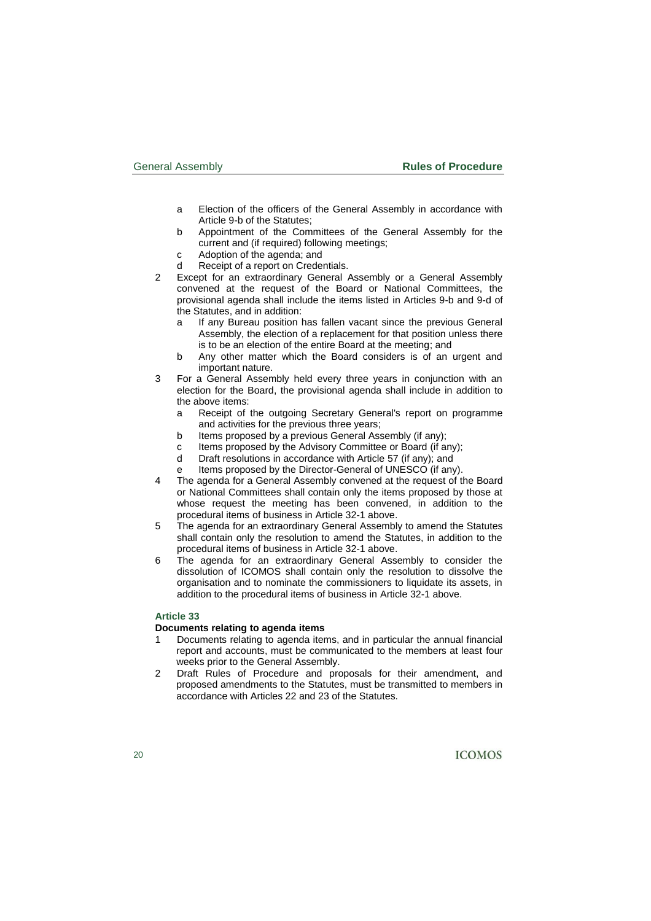- a Election of the officers of the General Assembly in accordance with Article 9-b of the Statutes;
- b Appointment of the Committees of the General Assembly for the current and (if required) following meetings;
- c Adoption of the agenda; and
- d Receipt of a report on Credentials.
- 2 Except for an extraordinary General Assembly or a General Assembly convened at the request of the Board or National Committees, the provisional agenda shall include the items listed in Articles 9-b and 9-d of the Statutes, and in addition:
	- a If any Bureau position has fallen vacant since the previous General Assembly, the election of a replacement for that position unless there is to be an election of the entire Board at the meeting; and
	- b Any other matter which the Board considers is of an urgent and important nature.
- 3 For a General Assembly held every three years in conjunction with an election for the Board, the provisional agenda shall include in addition to the above items:
	- a Receipt of the outgoing Secretary General's report on programme and activities for the previous three years;
	- b Items proposed by a previous General Assembly (if any);
	- c Items proposed by the Advisory Committee or Board (if any);
	- d Draft resolutions in accordance with Article 57 (if any); and
	- e Items proposed by the Director-General of UNESCO (if any).
- 4 The agenda for a General Assembly convened at the request of the Board or National Committees shall contain only the items proposed by those at whose request the meeting has been convened, in addition to the procedural items of business in Article 32-1 above.
- 5 The agenda for an extraordinary General Assembly to amend the Statutes shall contain only the resolution to amend the Statutes, in addition to the procedural items of business in Article 32-1 above.
- 6 The agenda for an extraordinary General Assembly to consider the dissolution of ICOMOS shall contain only the resolution to dissolve the organisation and to nominate the commissioners to liquidate its assets, in addition to the procedural items of business in Article 32-1 above.

# **Documents relating to agenda items**

- 1 Documents relating to agenda items, and in particular the annual financial report and accounts, must be communicated to the members at least four weeks prior to the General Assembly.
- 2 Draft Rules of Procedure and proposals for their amendment, and proposed amendments to the Statutes, must be transmitted to members in accordance with Articles 22 and 23 of the Statutes.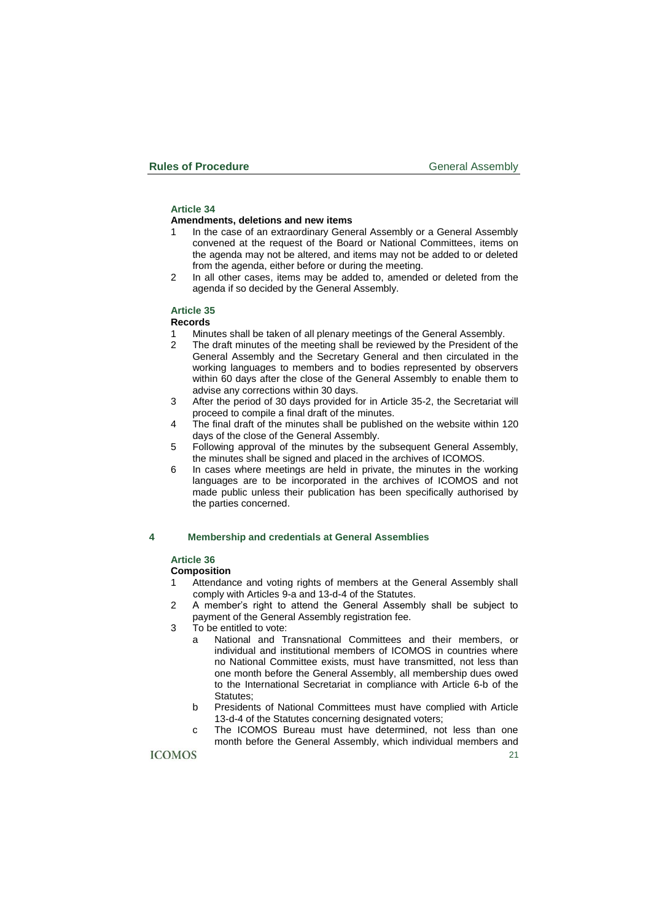# **Amendments, deletions and new items**

- 1 In the case of an extraordinary General Assembly or a General Assembly convened at the request of the Board or National Committees, items on the agenda may not be altered, and items may not be added to or deleted from the agenda, either before or during the meeting.
- 2 In all other cases, items may be added to, amended or deleted from the agenda if so decided by the General Assembly.

# **Article 35**

# **Records**

- 1 Minutes shall be taken of all plenary meetings of the General Assembly.
- 2 The draft minutes of the meeting shall be reviewed by the President of the General Assembly and the Secretary General and then circulated in the working languages to members and to bodies represented by observers within 60 days after the close of the General Assembly to enable them to advise any corrections within 30 days.
- 3 After the period of 30 days provided for in Article 35-2, the Secretariat will proceed to compile a final draft of the minutes.
- 4 The final draft of the minutes shall be published on the website within 120 days of the close of the General Assembly.
- 5 Following approval of the minutes by the subsequent General Assembly, the minutes shall be signed and placed in the archives of ICOMOS.
- 6 In cases where meetings are held in private, the minutes in the working languages are to be incorporated in the archives of ICOMOS and not made public unless their publication has been specifically authorised by the parties concerned.

### **4 Membership and credentials at General Assemblies**

### **Article 36**

# **Composition**

- Attendance and voting rights of members at the General Assembly shall comply with Articles 9-a and 13-d-4 of the Statutes.
- 2 A member's right to attend the General Assembly shall be subject to payment of the General Assembly registration fee.
- 3 To be entitled to vote:
	- a National and Transnational Committees and their members, or individual and institutional members of ICOMOS in countries where no National Committee exists, must have transmitted, not less than one month before the General Assembly, all membership dues owed to the International Secretariat in compliance with Article 6-b of the Statutes;
	- b Presidents of National Committees must have complied with Article 13-d-4 of the Statutes concerning designated voters;
	- c The ICOMOS Bureau must have determined, not less than one month before the General Assembly, which individual members and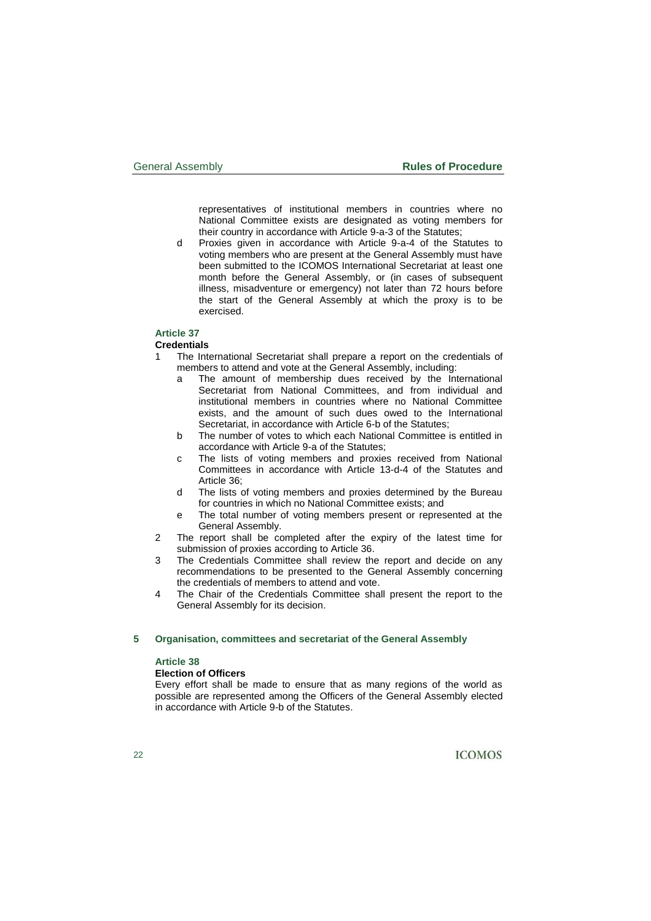representatives of institutional members in countries where no National Committee exists are designated as voting members for their country in accordance with Article 9-a-3 of the Statutes;

d Proxies given in accordance with Article 9-a-4 of the Statutes to voting members who are present at the General Assembly must have been submitted to the ICOMOS International Secretariat at least one month before the General Assembly, or (in cases of subsequent illness, misadventure or emergency) not later than 72 hours before the start of the General Assembly at which the proxy is to be exercised.

# **Article 37**

# **Credentials**

- The International Secretariat shall prepare a report on the credentials of members to attend and vote at the General Assembly, including:
	- a The amount of membership dues received by the International Secretariat from National Committees, and from individual and institutional members in countries where no National Committee exists, and the amount of such dues owed to the International Secretariat, in accordance with Article 6-b of the Statutes;
	- b The number of votes to which each National Committee is entitled in accordance with Article 9-a of the Statutes;
	- c The lists of voting members and proxies received from National Committees in accordance with Article 13-d-4 of the Statutes and Article 36;
	- d The lists of voting members and proxies determined by the Bureau for countries in which no National Committee exists; and
	- e The total number of voting members present or represented at the General Assembly.
- 2 The report shall be completed after the expiry of the latest time for submission of proxies according to Article 36.
- 3 The Credentials Committee shall review the report and decide on any recommendations to be presented to the General Assembly concerning the credentials of members to attend and vote.
- 4 The Chair of the Credentials Committee shall present the report to the General Assembly for its decision.

# **5 Organisation, committees and secretariat of the General Assembly**

### **Article 38**

### **Election of Officers**

Every effort shall be made to ensure that as many regions of the world as possible are represented among the Officers of the General Assembly elected in accordance with Article 9-b of the Statutes.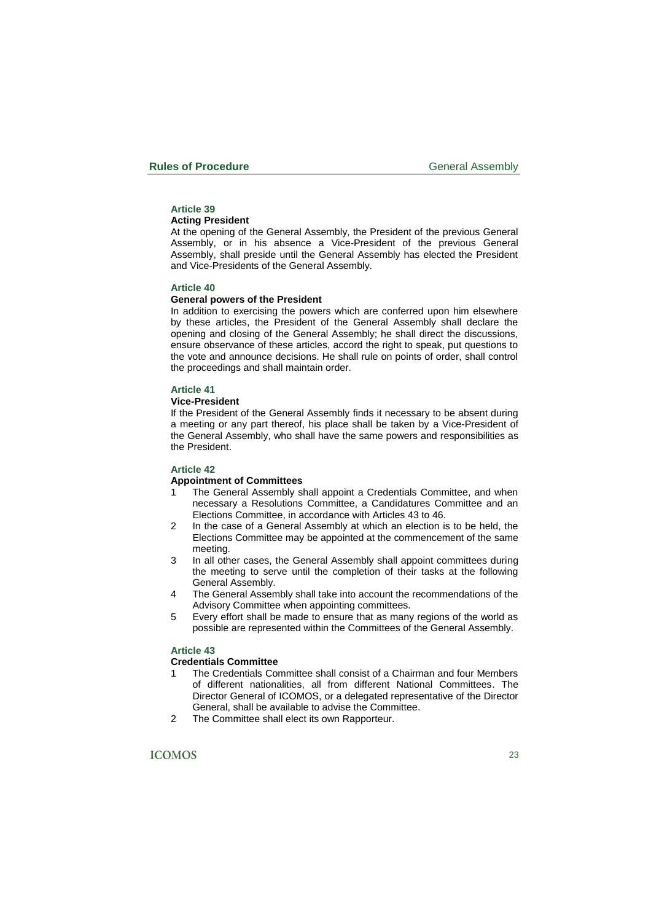# **Acting President**

At the opening of the General Assembly, the President of the previous General Assembly, or in his absence a Vice-President of the previous General Assembly, shall preside until the General Assembly has elected the President and Vice-Presidents of the General Assembly.

### **Article 40**

#### **General powers of the President**

In addition to exercising the powers which are conferred upon him elsewhere by these articles, the President of the General Assembly shall declare the opening and closing of the General Assembly; he shall direct the discussions, ensure observance of these articles, accord the right to speak, put questions to the vote and announce decisions. He shall rule on points of order, shall control the proceedings and shall maintain order.

#### **Article 41**

### **Vice-President**

If the President of the General Assembly finds it necessary to be absent during a meeting or any part thereof, his place shall be taken by a Vice-President of the General Assembly, who shall have the same powers and responsibilities as the President.

### **Article 42**

# **Appointment of Committees**

- 1 The General Assembly shall appoint a Credentials Committee, and when necessary a Resolutions Committee, a Candidatures Committee and an Elections Committee, in accordance with Articles 43 to 46.
- 2 In the case of a General Assembly at which an election is to be held, the Elections Committee may be appointed at the commencement of the same meeting.
- 3 In all other cases, the General Assembly shall appoint committees during the meeting to serve until the completion of their tasks at the following General Assembly.
- 4 The General Assembly shall take into account the recommendations of the Advisory Committee when appointing committees.
- 5 Every effort shall be made to ensure that as many regions of the world as possible are represented within the Committees of the General Assembly.

# **Article 43**

# **Credentials Committee**

- 1 The Credentials Committee shall consist of a Chairman and four Members of different nationalities, all from different National Committees. The Director General of ICOMOS, or a delegated representative of the Director General, shall be available to advise the Committee.
- 2 The Committee shall elect its own Rapporteur.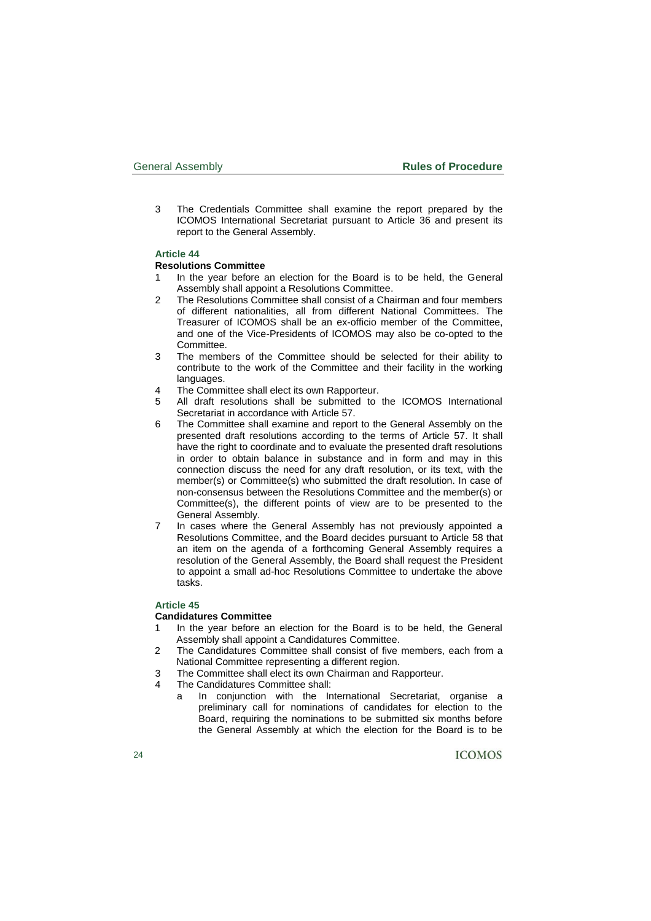3 The Credentials Committee shall examine the report prepared by the ICOMOS International Secretariat pursuant to Article 36 and present its report to the General Assembly.

# **Article 44**

# **Resolutions Committee**

- 1 In the year before an election for the Board is to be held, the General Assembly shall appoint a Resolutions Committee.
- 2 The Resolutions Committee shall consist of a Chairman and four members of different nationalities, all from different National Committees. The Treasurer of ICOMOS shall be an ex-officio member of the Committee, and one of the Vice-Presidents of ICOMOS may also be co-opted to the Committee.
- 3 The members of the Committee should be selected for their ability to contribute to the work of the Committee and their facility in the working languages.
- 4 The Committee shall elect its own Rapporteur.
- 5 All draft resolutions shall be submitted to the ICOMOS International Secretariat in accordance with Article 57.
- 6 The Committee shall examine and report to the General Assembly on the presented draft resolutions according to the terms of Article 57. It shall have the right to coordinate and to evaluate the presented draft resolutions in order to obtain balance in substance and in form and may in this connection discuss the need for any draft resolution, or its text, with the member(s) or Committee(s) who submitted the draft resolution. In case of non-consensus between the Resolutions Committee and the member(s) or Committee(s), the different points of view are to be presented to the General Assembly.
- 7 In cases where the General Assembly has not previously appointed a Resolutions Committee, and the Board decides pursuant to Article 58 that an item on the agenda of a forthcoming General Assembly requires a resolution of the General Assembly, the Board shall request the President to appoint a small ad-hoc Resolutions Committee to undertake the above tasks.

# **Article 45**

# **Candidatures Committee**

- 1 In the year before an election for the Board is to be held, the General Assembly shall appoint a Candidatures Committee.
- 2 The Candidatures Committee shall consist of five members, each from a National Committee representing a different region.
- 3 The Committee shall elect its own Chairman and Rapporteur.
- 4 The Candidatures Committee shall:
	- a In conjunction with the International Secretariat, organise a preliminary call for nominations of candidates for election to the Board, requiring the nominations to be submitted six months before the General Assembly at which the election for the Board is to be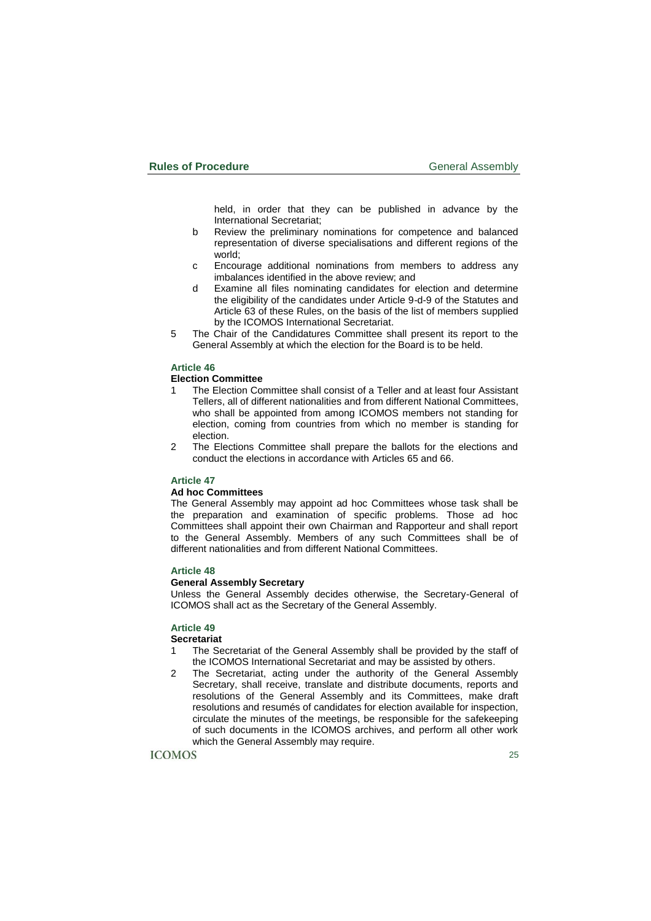held, in order that they can be published in advance by the International Secretariat;

- b Review the preliminary nominations for competence and balanced representation of diverse specialisations and different regions of the world;
- c Encourage additional nominations from members to address any imbalances identified in the above review; and
- Examine all files nominating candidates for election and determine the eligibility of the candidates under Article 9-d-9 of the Statutes and Article 63 of these Rules, on the basis of the list of members supplied by the ICOMOS International Secretariat.
- 5 The Chair of the Candidatures Committee shall present its report to the General Assembly at which the election for the Board is to be held.

#### **Article 46**

# **Election Committee**

- 1 The Election Committee shall consist of a Teller and at least four Assistant Tellers, all of different nationalities and from different National Committees, who shall be appointed from among ICOMOS members not standing for election, coming from countries from which no member is standing for election.
- 2 The Elections Committee shall prepare the ballots for the elections and conduct the elections in accordance with Articles 65 and 66.

### **Article 47**

### **Ad hoc Committees**

The General Assembly may appoint ad hoc Committees whose task shall be the preparation and examination of specific problems. Those ad hoc Committees shall appoint their own Chairman and Rapporteur and shall report to the General Assembly. Members of any such Committees shall be of different nationalities and from different National Committees.

# **Article 48**

# **General Assembly Secretary**

Unless the General Assembly decides otherwise, the Secretary-General of ICOMOS shall act as the Secretary of the General Assembly.

### **Article 49**

# **Secretariat**

- The Secretariat of the General Assembly shall be provided by the staff of the ICOMOS International Secretariat and may be assisted by others.
- 2 The Secretariat, acting under the authority of the General Assembly Secretary, shall receive, translate and distribute documents, reports and resolutions of the General Assembly and its Committees, make draft resolutions and resumés of candidates for election available for inspection, circulate the minutes of the meetings, be responsible for the safekeeping of such documents in the ICOMOS archives, and perform all other work which the General Assembly may require.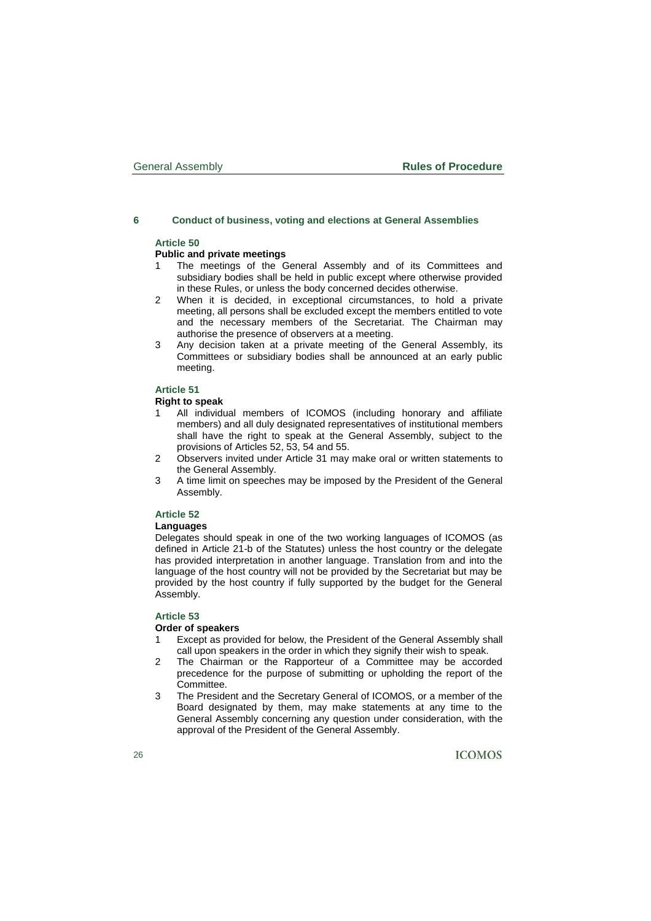# **6 Conduct of business, voting and elections at General Assemblies**

### **Article 50**

# **Public and private meetings**

- 1 The meetings of the General Assembly and of its Committees and subsidiary bodies shall be held in public except where otherwise provided in these Rules, or unless the body concerned decides otherwise.
- 2 When it is decided, in exceptional circumstances, to hold a private meeting, all persons shall be excluded except the members entitled to vote and the necessary members of the Secretariat. The Chairman may authorise the presence of observers at a meeting.
- 3 Any decision taken at a private meeting of the General Assembly, its Committees or subsidiary bodies shall be announced at an early public meeting.

# **Article 51**

# **Right to speak**

- 1 All individual members of ICOMOS (including honorary and affiliate members) and all duly designated representatives of institutional members shall have the right to speak at the General Assembly, subject to the provisions of Articles 52, 53, 54 and 55.
- 2 Observers invited under Article 31 may make oral or written statements to the General Assembly.
- 3 A time limit on speeches may be imposed by the President of the General Assembly.

### **Article 52**

# **Languages**

Delegates should speak in one of the two working languages of ICOMOS (as defined in Article 21-b of the Statutes) unless the host country or the delegate has provided interpretation in another language. Translation from and into the language of the host country will not be provided by the Secretariat but may be provided by the host country if fully supported by the budget for the General Assembly.

# **Article 53**

# **Order of speakers**

- 1 Except as provided for below, the President of the General Assembly shall call upon speakers in the order in which they signify their wish to speak.
- 2 The Chairman or the Rapporteur of a Committee may be accorded precedence for the purpose of submitting or upholding the report of the **Committee.**
- 3 The President and the Secretary General of ICOMOS, or a member of the Board designated by them, may make statements at any time to the General Assembly concerning any question under consideration, with the approval of the President of the General Assembly.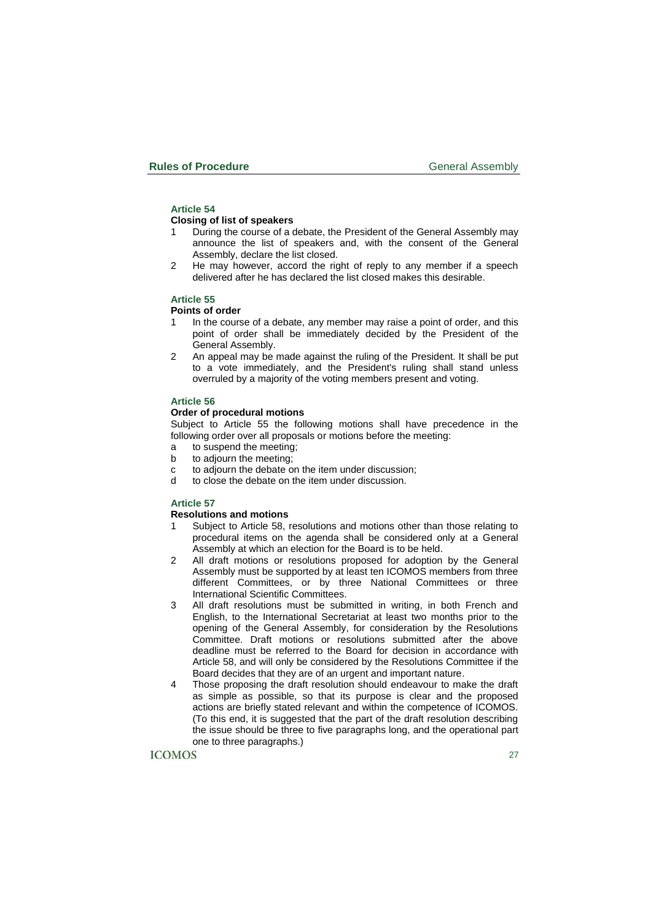# **Closing of list of speakers**

- 1 During the course of a debate, the President of the General Assembly may announce the list of speakers and, with the consent of the General Assembly, declare the list closed.
- 2 He may however, accord the right of reply to any member if a speech delivered after he has declared the list closed makes this desirable.

### **Article 55**

### **Points of order**

- 1 In the course of a debate, any member may raise a point of order, and this point of order shall be immediately decided by the President of the General Assembly.
- 2 An appeal may be made against the ruling of the President. It shall be put to a vote immediately, and the President's ruling shall stand unless overruled by a majority of the voting members present and voting.

#### **Article 56**

# **Order of procedural motions**

Subject to Article 55 the following motions shall have precedence in the following order over all proposals or motions before the meeting:

- a to suspend the meeting;
- b to adjourn the meeting;
- c to adjourn the debate on the item under discussion;
- d to close the debate on the item under discussion.

# **Article 57**

### **Resolutions and motions**

- 1 Subject to Article 58, resolutions and motions other than those relating to procedural items on the agenda shall be considered only at a General Assembly at which an election for the Board is to be held.
- 2 All draft motions or resolutions proposed for adoption by the General Assembly must be supported by at least ten ICOMOS members from three different Committees, or by three National Committees or three International Scientific Committees.
- 3 All draft resolutions must be submitted in writing, in both French and English, to the International Secretariat at least two months prior to the opening of the General Assembly, for consideration by the Resolutions Committee. Draft motions or resolutions submitted after the above deadline must be referred to the Board for decision in accordance with Article 58, and will only be considered by the Resolutions Committee if the Board decides that they are of an urgent and important nature.
- 4 Those proposing the draft resolution should endeavour to make the draft as simple as possible, so that its purpose is clear and the proposed actions are briefly stated relevant and within the competence of ICOMOS. (To this end, it is suggested that the part of the draft resolution describing the issue should be three to five paragraphs long, and the operational part one to three paragraphs.)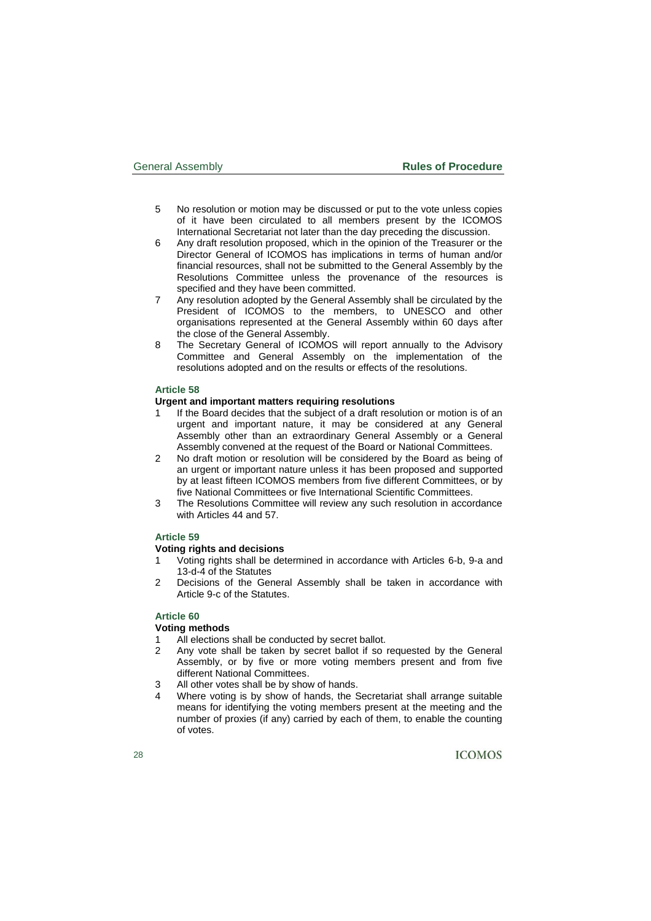- 5 No resolution or motion may be discussed or put to the vote unless copies of it have been circulated to all members present by the ICOMOS International Secretariat not later than the day preceding the discussion.
- 6 Any draft resolution proposed, which in the opinion of the Treasurer or the Director General of ICOMOS has implications in terms of human and/or financial resources, shall not be submitted to the General Assembly by the Resolutions Committee unless the provenance of the resources is specified and they have been committed.
- 7 Any resolution adopted by the General Assembly shall be circulated by the President of ICOMOS to the members, to UNESCO and other organisations represented at the General Assembly within 60 days after the close of the General Assembly.
- 8 The Secretary General of ICOMOS will report annually to the Advisory Committee and General Assembly on the implementation of the resolutions adopted and on the results or effects of the resolutions.

# **Urgent and important matters requiring resolutions**

- 1 If the Board decides that the subject of a draft resolution or motion is of an urgent and important nature, it may be considered at any General Assembly other than an extraordinary General Assembly or a General Assembly convened at the request of the Board or National Committees.
- 2 No draft motion or resolution will be considered by the Board as being of an urgent or important nature unless it has been proposed and supported by at least fifteen ICOMOS members from five different Committees, or by five National Committees or five International Scientific Committees.
- 3 The Resolutions Committee will review any such resolution in accordance with Articles 44 and 57.

### **Article 59**

### **Voting rights and decisions**

- 1 Voting rights shall be determined in accordance with Articles 6-b, 9-a and 13-d-4 of the Statutes
- 2 Decisions of the General Assembly shall be taken in accordance with Article 9-c of the Statutes.

# **Article 60**

# **Voting methods**

- 1 All elections shall be conducted by secret ballot.
- 2 Any vote shall be taken by secret ballot if so requested by the General Assembly, or by five or more voting members present and from five different National Committees.
- 3 All other votes shall be by show of hands.
- 4 Where voting is by show of hands, the Secretariat shall arrange suitable means for identifying the voting members present at the meeting and the number of proxies (if any) carried by each of them, to enable the counting of votes.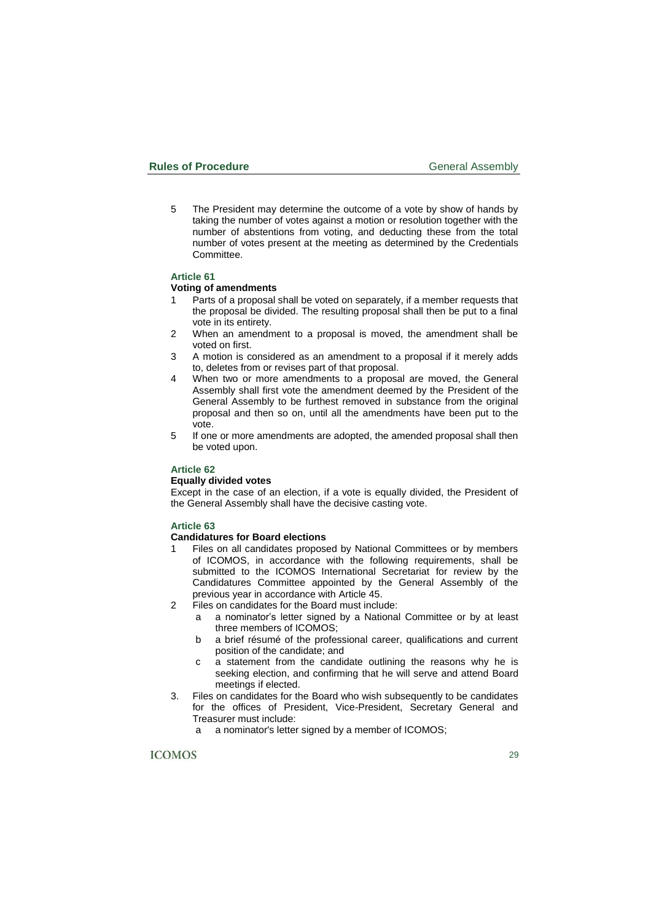5 The President may determine the outcome of a vote by show of hands by taking the number of votes against a motion or resolution together with the number of abstentions from voting, and deducting these from the total number of votes present at the meeting as determined by the Credentials Committee.

### **Article 61**

### **Voting of amendments**

- 1 Parts of a proposal shall be voted on separately, if a member requests that the proposal be divided. The resulting proposal shall then be put to a final vote in its entirety.
- 2 When an amendment to a proposal is moved, the amendment shall be voted on first.
- 3 A motion is considered as an amendment to a proposal if it merely adds to, deletes from or revises part of that proposal.
- 4 When two or more amendments to a proposal are moved, the General Assembly shall first vote the amendment deemed by the President of the General Assembly to be furthest removed in substance from the original proposal and then so on, until all the amendments have been put to the vote.
- 5 If one or more amendments are adopted, the amended proposal shall then be voted upon.

### **Article 62**

# **Equally divided votes**

Except in the case of an election, if a vote is equally divided, the President of the General Assembly shall have the decisive casting vote.

# **Article 63**

# **Candidatures for Board elections**

- 1 Files on all candidates proposed by National Committees or by members of ICOMOS, in accordance with the following requirements, shall be submitted to the ICOMOS International Secretariat for review by the Candidatures Committee appointed by the General Assembly of the previous year in accordance with Article 45.
- 2 Files on candidates for the Board must include:
	- a a nominator's letter signed by a National Committee or by at least three members of ICOMOS;
	- b a brief résumé of the professional career, qualifications and current position of the candidate; and
	- c a statement from the candidate outlining the reasons why he is seeking election, and confirming that he will serve and attend Board meetings if elected.
- 3. Files on candidates for the Board who wish subsequently to be candidates for the offices of President, Vice-President, Secretary General and Treasurer must include:
	- a a nominator's letter signed by a member of ICOMOS;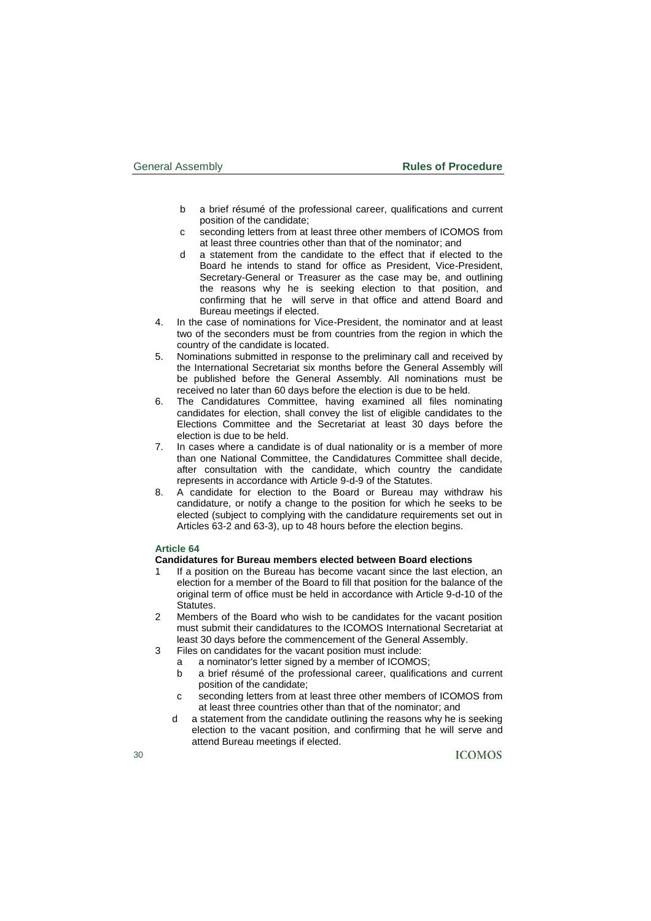- b a brief résumé of the professional career, qualifications and current position of the candidate;
- c seconding letters from at least three other members of ICOMOS from at least three countries other than that of the nominator; and
- d a statement from the candidate to the effect that if elected to the Board he intends to stand for office as President, Vice-President, Secretary-General or Treasurer as the case may be, and outlining the reasons why he is seeking election to that position, and confirming that he will serve in that office and attend Board and Bureau meetings if elected.
- 4. In the case of nominations for Vice-President, the nominator and at least two of the seconders must be from countries from the region in which the country of the candidate is located.
- 5. Nominations submitted in response to the preliminary call and received by the International Secretariat six months before the General Assembly will be published before the General Assembly. All nominations must be received no later than 60 days before the election is due to be held.
- 6. The Candidatures Committee, having examined all files nominating candidates for election, shall convey the list of eligible candidates to the Elections Committee and the Secretariat at least 30 days before the election is due to be held.
- 7. In cases where a candidate is of dual nationality or is a member of more than one National Committee, the Candidatures Committee shall decide, after consultation with the candidate, which country the candidate represents in accordance with Article 9-d-9 of the Statutes.
- 8. A candidate for election to the Board or Bureau may withdraw his candidature, or notify a change to the position for which he seeks to be elected (subject to complying with the candidature requirements set out in Articles 63-2 and 63-3), up to 48 hours before the election begins.

# **Candidatures for Bureau members elected between Board elections**

- 1 If a position on the Bureau has become vacant since the last election, an election for a member of the Board to fill that position for the balance of the original term of office must be held in accordance with Article 9-d-10 of the Statutes.
- 2 Members of the Board who wish to be candidates for the vacant position must submit their candidatures to the ICOMOS International Secretariat at least 30 days before the commencement of the General Assembly.
- 3 Files on candidates for the vacant position must include:
	- a a nominator's letter signed by a member of ICOMOS;
	- b a brief résumé of the professional career, qualifications and current position of the candidate;
	- c seconding letters from at least three other members of ICOMOS from at least three countries other than that of the nominator; and
	- d a statement from the candidate outlining the reasons why he is seeking election to the vacant position, and confirming that he will serve and attend Bureau meetings if elected.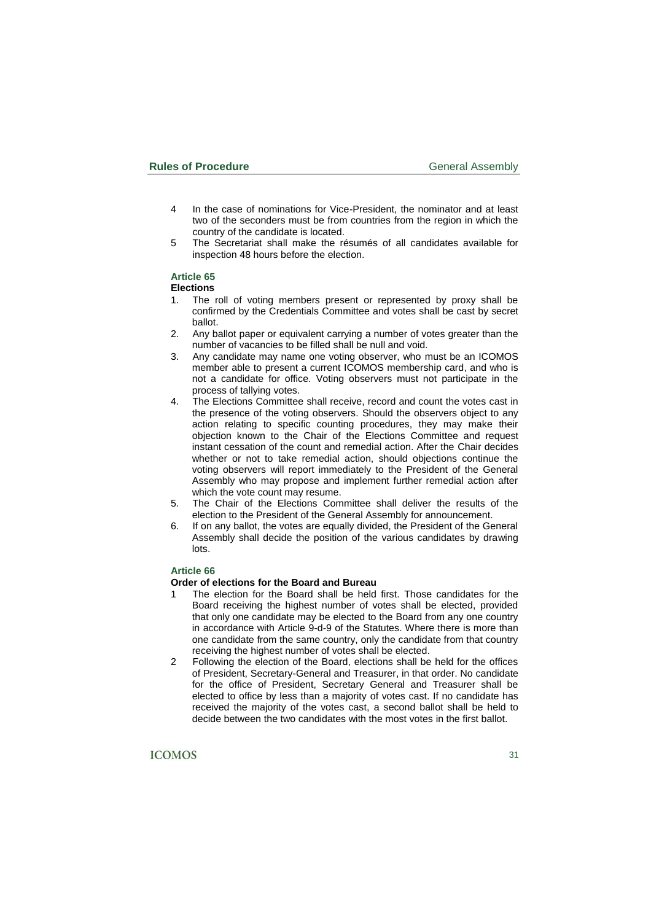- 4 In the case of nominations for Vice-President, the nominator and at least two of the seconders must be from countries from the region in which the country of the candidate is located.
- 5 The Secretariat shall make the résumés of all candidates available for inspection 48 hours before the election.

# **Elections**

- 1. The roll of voting members present or represented by proxy shall be confirmed by the Credentials Committee and votes shall be cast by secret ballot.
- 2. Any ballot paper or equivalent carrying a number of votes greater than the number of vacancies to be filled shall be null and void.
- 3. Any candidate may name one voting observer, who must be an ICOMOS member able to present a current ICOMOS membership card, and who is not a candidate for office. Voting observers must not participate in the process of tallying votes.
- 4. The Elections Committee shall receive, record and count the votes cast in the presence of the voting observers. Should the observers object to any action relating to specific counting procedures, they may make their objection known to the Chair of the Elections Committee and request instant cessation of the count and remedial action. After the Chair decides whether or not to take remedial action, should objections continue the voting observers will report immediately to the President of the General Assembly who may propose and implement further remedial action after which the vote count may resume.
- 5. The Chair of the Elections Committee shall deliver the results of the election to the President of the General Assembly for announcement.
- 6. If on any ballot, the votes are equally divided, the President of the General Assembly shall decide the position of the various candidates by drawing lots.

# **Article 66**

# **Order of elections for the Board and Bureau**

- 1 The election for the Board shall be held first. Those candidates for the Board receiving the highest number of votes shall be elected, provided that only one candidate may be elected to the Board from any one country in accordance with Article 9-d-9 of the Statutes. Where there is more than one candidate from the same country, only the candidate from that country receiving the highest number of votes shall be elected.
- 2 Following the election of the Board, elections shall be held for the offices of President, Secretary-General and Treasurer, in that order. No candidate for the office of President, Secretary General and Treasurer shall be elected to office by less than a majority of votes cast. If no candidate has received the majority of the votes cast, a second ballot shall be held to decide between the two candidates with the most votes in the first ballot.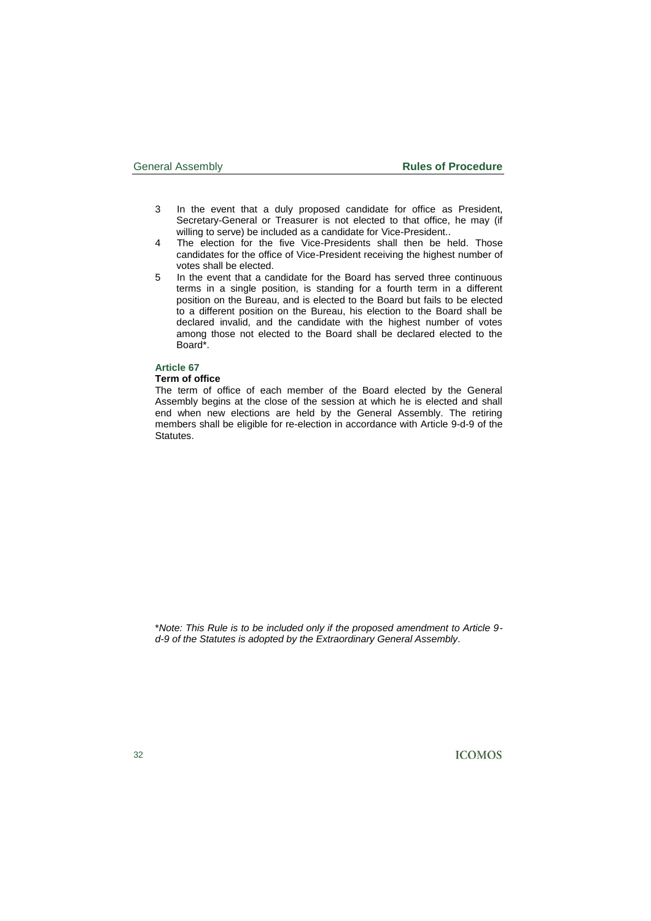- 3 In the event that a duly proposed candidate for office as President, Secretary-General or Treasurer is not elected to that office, he may (if willing to serve) be included as a candidate for Vice-President..
- 4 The election for the five Vice-Presidents shall then be held. Those candidates for the office of Vice-President receiving the highest number of votes shall be elected.
- 5 In the event that a candidate for the Board has served three continuous terms in a single position, is standing for a fourth term in a different position on the Bureau, and is elected to the Board but fails to be elected to a different position on the Bureau, his election to the Board shall be declared invalid, and the candidate with the highest number of votes among those not elected to the Board shall be declared elected to the Board\*.

# **Term of office**

The term of office of each member of the Board elected by the General Assembly begins at the close of the session at which he is elected and shall end when new elections are held by the General Assembly. The retiring members shall be eligible for re-election in accordance with Article 9-d-9 of the Statutes.

\**Note: This Rule is to be included only if the proposed amendment to Article 9 d-9 of the Statutes is adopted by the Extraordinary General Assembly.*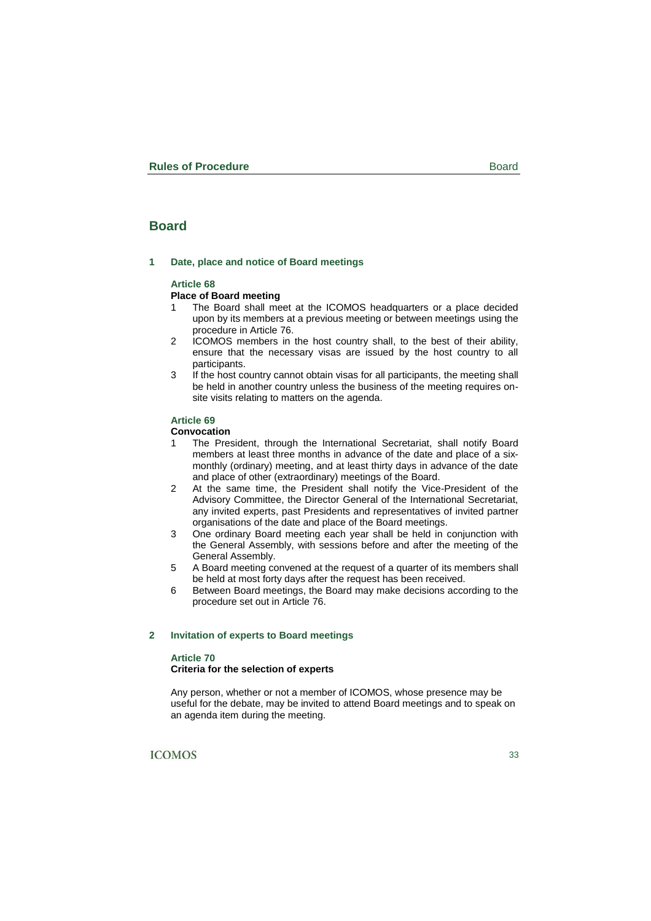# **Board**

**1 Date, place and notice of Board meetings**

# **Article 68**

# **Place of Board meeting**

- 1 The Board shall meet at the ICOMOS headquarters or a place decided upon by its members at a previous meeting or between meetings using the procedure in Article 76.
- 2 ICOMOS members in the host country shall, to the best of their ability, ensure that the necessary visas are issued by the host country to all participants.
- 3 If the host country cannot obtain visas for all participants, the meeting shall be held in another country unless the business of the meeting requires onsite visits relating to matters on the agenda.

### **Article 69**

### **Convocation**

- 1 The President, through the International Secretariat, shall notify Board members at least three months in advance of the date and place of a sixmonthly (ordinary) meeting, and at least thirty days in advance of the date and place of other (extraordinary) meetings of the Board.
- 2 At the same time, the President shall notify the Vice-President of the Advisory Committee, the Director General of the International Secretariat, any invited experts, past Presidents and representatives of invited partner organisations of the date and place of the Board meetings.
- 3 One ordinary Board meeting each year shall be held in conjunction with the General Assembly, with sessions before and after the meeting of the General Assembly.
- 5 A Board meeting convened at the request of a quarter of its members shall be held at most forty days after the request has been received.
- 6 Between Board meetings, the Board may make decisions according to the procedure set out in Article 76.

### **2 Invitation of experts to Board meetings**

# **Article 70**

# **Criteria for the selection of experts**

Any person, whether or not a member of ICOMOS, whose presence may be useful for the debate, may be invited to attend Board meetings and to speak on an agenda item during the meeting.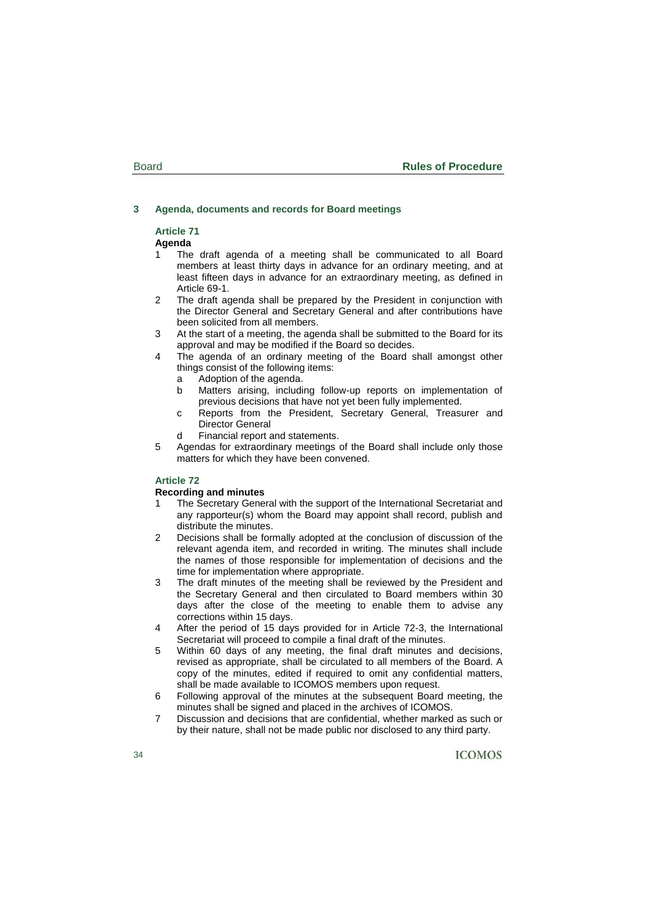# **3 Agenda, documents and records for Board meetings**

# **Article 71**

# **Agenda**

- The draft agenda of a meeting shall be communicated to all Board members at least thirty days in advance for an ordinary meeting, and at least fifteen days in advance for an extraordinary meeting, as defined in Article 69-1.
- 2 The draft agenda shall be prepared by the President in conjunction with the Director General and Secretary General and after contributions have been solicited from all members.
- 3 At the start of a meeting, the agenda shall be submitted to the Board for its approval and may be modified if the Board so decides.
- 4 The agenda of an ordinary meeting of the Board shall amongst other things consist of the following items:
	- a Adoption of the agenda.
	- b Matters arising, including follow-up reports on implementation of previous decisions that have not yet been fully implemented.
	- c Reports from the President, Secretary General, Treasurer and Director General
	- d Financial report and statements.
- 5 Agendas for extraordinary meetings of the Board shall include only those matters for which they have been convened.

# **Article 72**

# **Recording and minutes**

- 1 The Secretary General with the support of the International Secretariat and any rapporteur(s) whom the Board may appoint shall record, publish and distribute the minutes.
- 2 Decisions shall be formally adopted at the conclusion of discussion of the relevant agenda item, and recorded in writing. The minutes shall include the names of those responsible for implementation of decisions and the time for implementation where appropriate.
- 3 The draft minutes of the meeting shall be reviewed by the President and the Secretary General and then circulated to Board members within 30 days after the close of the meeting to enable them to advise any corrections within 15 days.
- 4 After the period of 15 days provided for in Article 72-3, the International Secretariat will proceed to compile a final draft of the minutes.
- 5 Within 60 days of any meeting, the final draft minutes and decisions, revised as appropriate, shall be circulated to all members of the Board. A copy of the minutes, edited if required to omit any confidential matters, shall be made available to ICOMOS members upon request.
- 6 Following approval of the minutes at the subsequent Board meeting, the minutes shall be signed and placed in the archives of ICOMOS.
- 7 Discussion and decisions that are confidential, whether marked as such or by their nature, shall not be made public nor disclosed to any third party.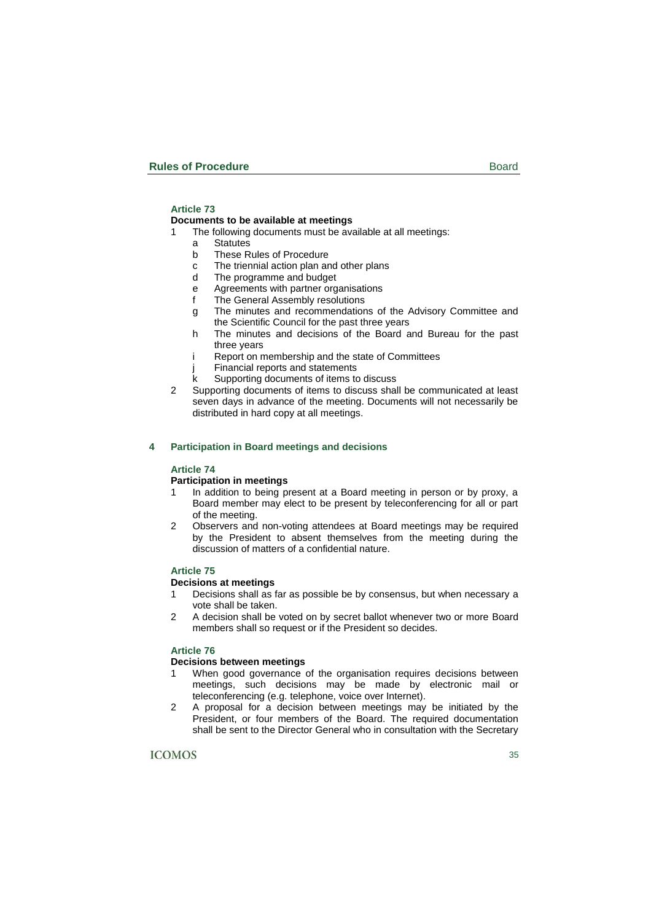# **Documents to be available at meetings**

- 1 The following documents must be available at all meetings:
	- a Statutes
	- b These Rules of Procedure
	- c The triennial action plan and other plans
	- d The programme and budget
	- e Agreements with partner organisations
	- f The General Assembly resolutions
	- g The minutes and recommendations of the Advisory Committee and the Scientific Council for the past three years
	- h The minutes and decisions of the Board and Bureau for the past three years
	- i Report on membership and the state of Committees
	- Financial reports and statements
	- k Supporting documents of items to discuss
- 2 Supporting documents of items to discuss shall be communicated at least seven days in advance of the meeting. Documents will not necessarily be distributed in hard copy at all meetings.

# **4 Participation in Board meetings and decisions**

### **Article 74**

### **Participation in meetings**

- 1 In addition to being present at a Board meeting in person or by proxy, a Board member may elect to be present by teleconferencing for all or part of the meeting.
- 2 Observers and non-voting attendees at Board meetings may be required by the President to absent themselves from the meeting during the discussion of matters of a confidential nature.

# **Article 75**

# **Decisions at meetings**

- 1 Decisions shall as far as possible be by consensus, but when necessary a vote shall be taken.
- 2 A decision shall be voted on by secret ballot whenever two or more Board members shall so request or if the President so decides.

# **Article 76**

# **Decisions between meetings**

- 1 When good governance of the organisation requires decisions between meetings, such decisions may be made by electronic mail or teleconferencing (e.g. telephone, voice over Internet).
- 2 A proposal for a decision between meetings may be initiated by the President, or four members of the Board. The required documentation shall be sent to the Director General who in consultation with the Secretary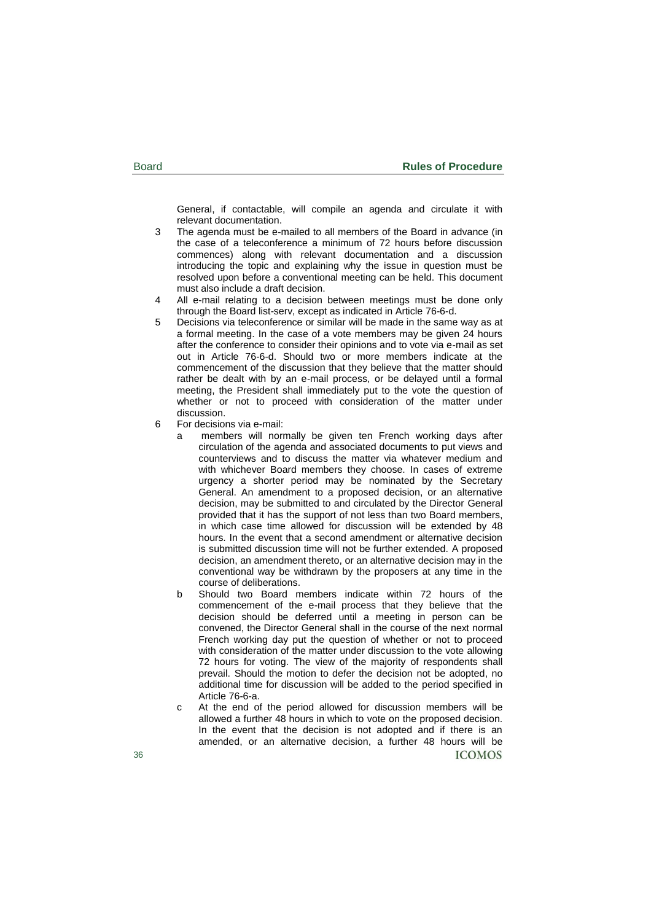General, if contactable, will compile an agenda and circulate it with relevant documentation.

- 3 The agenda must be e-mailed to all members of the Board in advance (in the case of a teleconference a minimum of 72 hours before discussion commences) along with relevant documentation and a discussion introducing the topic and explaining why the issue in question must be resolved upon before a conventional meeting can be held. This document must also include a draft decision.
- 4 All e-mail relating to a decision between meetings must be done only through the Board list-serv, except as indicated in Article 76-6-d.
- 5 Decisions via teleconference or similar will be made in the same way as at a formal meeting. In the case of a vote members may be given 24 hours after the conference to consider their opinions and to vote via e-mail as set out in Article 76-6-d. Should two or more members indicate at the commencement of the discussion that they believe that the matter should rather be dealt with by an e-mail process, or be delayed until a formal meeting, the President shall immediately put to the vote the question of whether or not to proceed with consideration of the matter under discussion.
- 6 For decisions via e-mail:
	- members will normally be given ten French working days after circulation of the agenda and associated documents to put views and counterviews and to discuss the matter via whatever medium and with whichever Board members they choose. In cases of extreme urgency a shorter period may be nominated by the Secretary General. An amendment to a proposed decision, or an alternative decision, may be submitted to and circulated by the Director General provided that it has the support of not less than two Board members, in which case time allowed for discussion will be extended by 48 hours. In the event that a second amendment or alternative decision is submitted discussion time will not be further extended. A proposed decision, an amendment thereto, or an alternative decision may in the conventional way be withdrawn by the proposers at any time in the course of deliberations.
	- b Should two Board members indicate within 72 hours of the commencement of the e-mail process that they believe that the decision should be deferred until a meeting in person can be convened, the Director General shall in the course of the next normal French working day put the question of whether or not to proceed with consideration of the matter under discussion to the vote allowing 72 hours for voting. The view of the majority of respondents shall prevail. Should the motion to defer the decision not be adopted, no additional time for discussion will be added to the period specified in Article 76-6-a.
	- c At the end of the period allowed for discussion members will be allowed a further 48 hours in which to vote on the proposed decision. In the event that the decision is not adopted and if there is an amended, or an alternative decision, a further 48 hours will be **ICOMOS**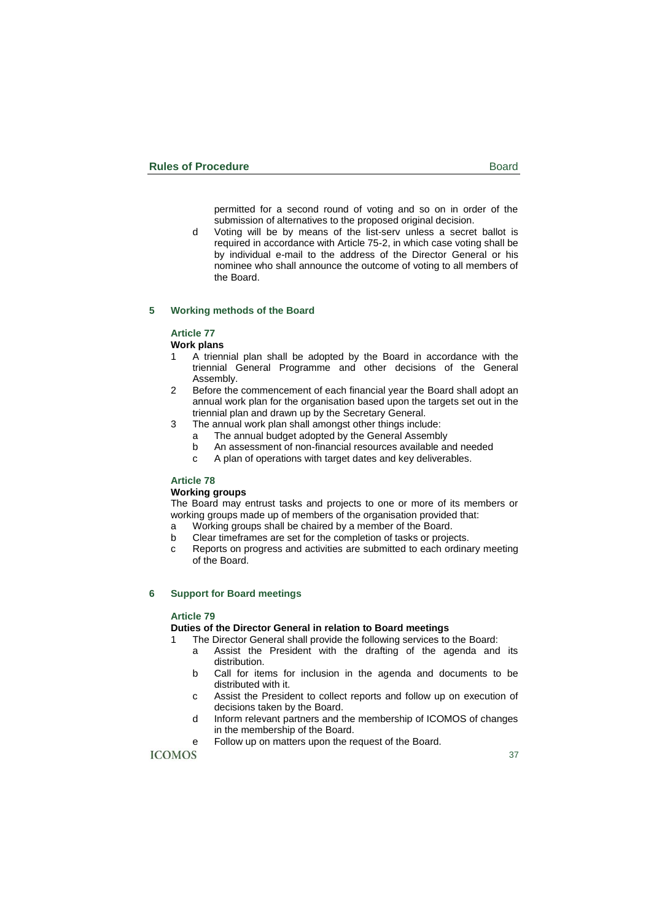permitted for a second round of voting and so on in order of the submission of alternatives to the proposed original decision.

d Voting will be by means of the list-serv unless a secret ballot is required in accordance with Article 75-2, in which case voting shall be by individual e-mail to the address of the Director General or his nominee who shall announce the outcome of voting to all members of the Board.

# **5 Working methods of the Board**

# **Article 77**

# **Work plans**

- 1 A triennial plan shall be adopted by the Board in accordance with the triennial General Programme and other decisions of the General Assembly.
- 2 Before the commencement of each financial year the Board shall adopt an annual work plan for the organisation based upon the targets set out in the triennial plan and drawn up by the Secretary General.
- 3 The annual work plan shall amongst other things include:
	- a The annual budget adopted by the General Assembly
	- b An assessment of non-financial resources available and needed
	- c A plan of operations with target dates and key deliverables.

# **Article 78**

# **Working groups**

The Board may entrust tasks and projects to one or more of its members or working groups made up of members of the organisation provided that:

- a Working groups shall be chaired by a member of the Board.
- b Clear timeframes are set for the completion of tasks or projects.
- c Reports on progress and activities are submitted to each ordinary meeting of the Board.

# **6 Support for Board meetings**

# **Article 79**

### **Duties of the Director General in relation to Board meetings**

1 The Director General shall provide the following services to the Board:

- a Assist the President with the drafting of the agenda and its distribution.
- b Call for items for inclusion in the agenda and documents to be distributed with it.
- c Assist the President to collect reports and follow up on execution of decisions taken by the Board.
- d Inform relevant partners and the membership of ICOMOS of changes in the membership of the Board.
- e Follow up on matters upon the request of the Board.

- 
- 37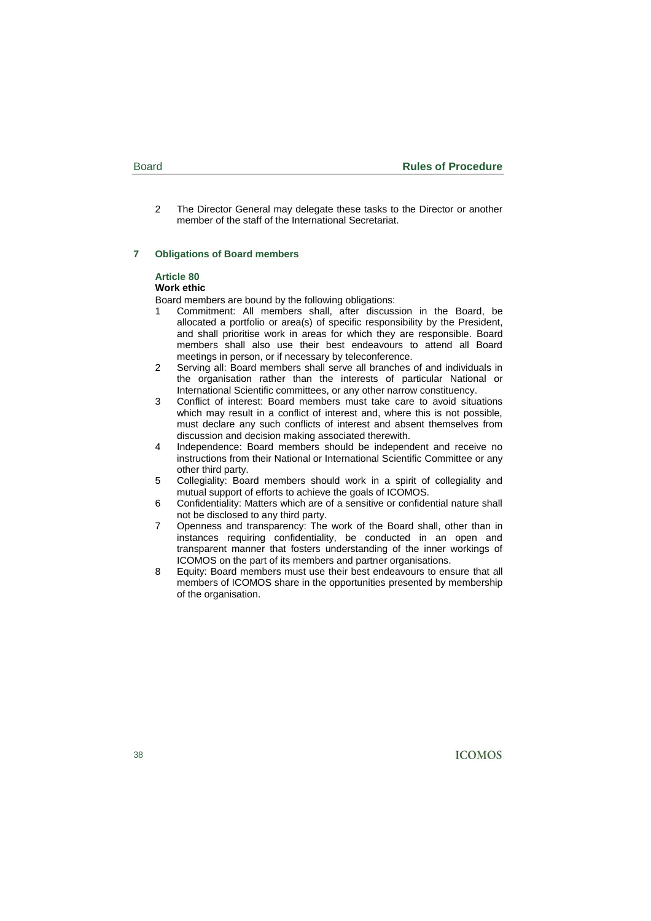2 The Director General may delegate these tasks to the Director or another member of the staff of the International Secretariat.

# **7 Obligations of Board members**

# **Article 80**

# **Work ethic**

Board members are bound by the following obligations:

- 1 Commitment: All members shall, after discussion in the Board, be allocated a portfolio or area(s) of specific responsibility by the President, and shall prioritise work in areas for which they are responsible. Board members shall also use their best endeavours to attend all Board meetings in person, or if necessary by teleconference.
- 2 Serving all: Board members shall serve all branches of and individuals in the organisation rather than the interests of particular National or International Scientific committees, or any other narrow constituency.
- 3 Conflict of interest: Board members must take care to avoid situations which may result in a conflict of interest and, where this is not possible, must declare any such conflicts of interest and absent themselves from discussion and decision making associated therewith.
- 4 Independence: Board members should be independent and receive no instructions from their National or International Scientific Committee or any other third party.
- 5 Collegiality: Board members should work in a spirit of collegiality and mutual support of efforts to achieve the goals of ICOMOS.
- 6 Confidentiality: Matters which are of a sensitive or confidential nature shall not be disclosed to any third party.
- 7 Openness and transparency: The work of the Board shall, other than in instances requiring confidentiality, be conducted in an open and transparent manner that fosters understanding of the inner workings of ICOMOS on the part of its members and partner organisations.
- 8 Equity: Board members must use their best endeavours to ensure that all members of ICOMOS share in the opportunities presented by membership of the organisation.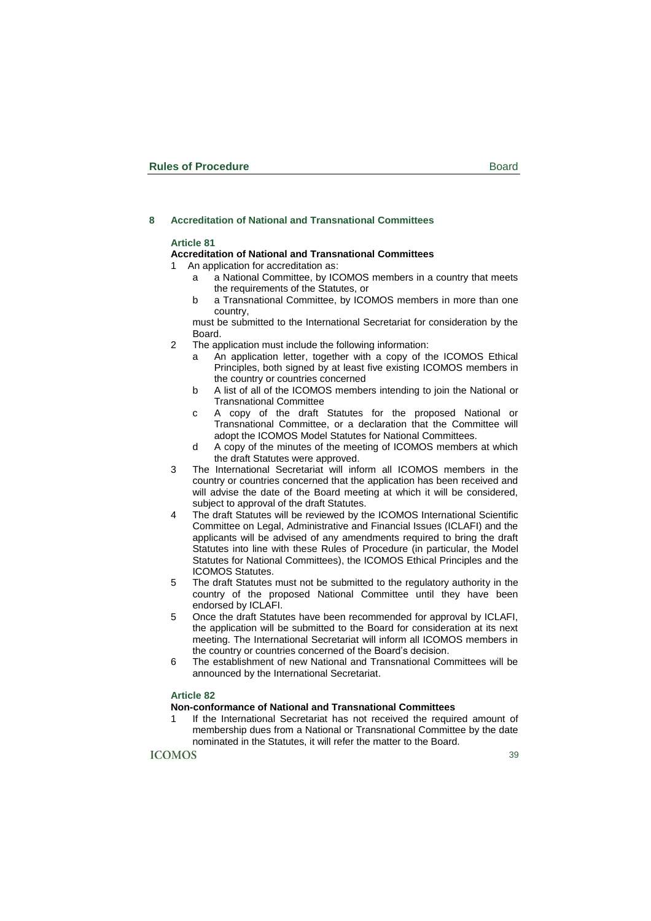# **8 Accreditation of National and Transnational Committees**

### **Article 81**

# **Accreditation of National and Transnational Committees**

- 1 An application for accreditation as:
	- a a National Committee, by ICOMOS members in a country that meets the requirements of the Statutes, or
	- b a Transnational Committee, by ICOMOS members in more than one country,

must be submitted to the International Secretariat for consideration by the **Board** 

- 2 The application must include the following information:
	- a An application letter, together with a copy of the ICOMOS Ethical Principles, both signed by at least five existing ICOMOS members in the country or countries concerned
	- b A list of all of the ICOMOS members intending to join the National or Transnational Committee
	- c A copy of the draft Statutes for the proposed National or Transnational Committee, or a declaration that the Committee will adopt the ICOMOS Model Statutes for National Committees.
	- d A copy of the minutes of the meeting of ICOMOS members at which the draft Statutes were approved.
- 3 The International Secretariat will inform all ICOMOS members in the country or countries concerned that the application has been received and will advise the date of the Board meeting at which it will be considered, subject to approval of the draft Statutes.
- 4 The draft Statutes will be reviewed by the ICOMOS International Scientific Committee on Legal, Administrative and Financial Issues (ICLAFI) and the applicants will be advised of any amendments required to bring the draft Statutes into line with these Rules of Procedure (in particular, the Model Statutes for National Committees), the ICOMOS Ethical Principles and the ICOMOS Statutes.
- 5 The draft Statutes must not be submitted to the regulatory authority in the country of the proposed National Committee until they have been endorsed by ICLAFI.
- 5 Once the draft Statutes have been recommended for approval by ICLAFI, the application will be submitted to the Board for consideration at its next meeting. The International Secretariat will inform all ICOMOS members in the country or countries concerned of the Board's decision.
- 6 The establishment of new National and Transnational Committees will be announced by the International Secretariat.

### **Article 82**

### **Non-conformance of National and Transnational Committees**

If the International Secretariat has not received the required amount of membership dues from a National or Transnational Committee by the date nominated in the Statutes, it will refer the matter to the Board.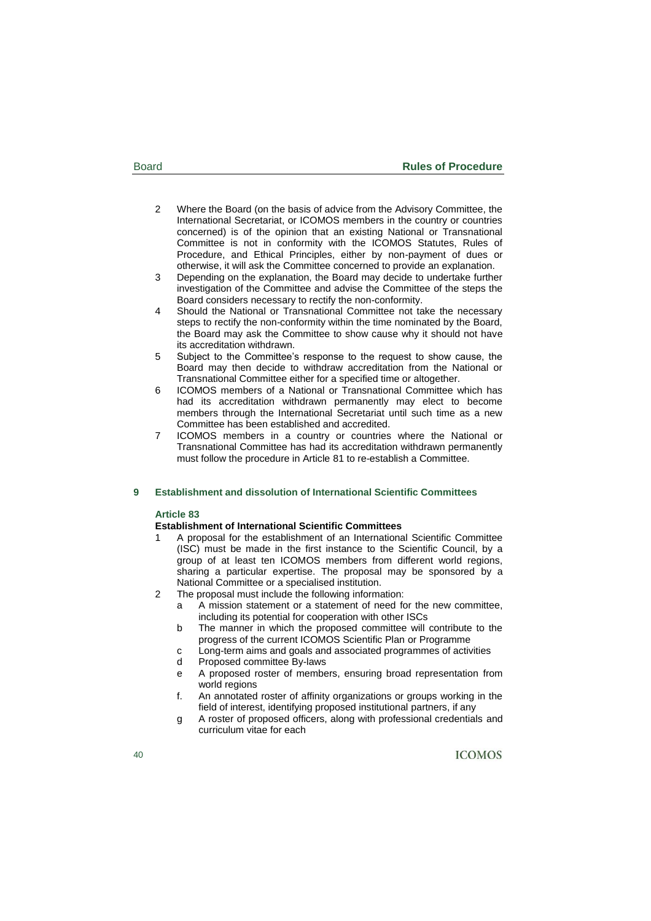- 2 Where the Board (on the basis of advice from the Advisory Committee, the International Secretariat, or ICOMOS members in the country or countries concerned) is of the opinion that an existing National or Transnational Committee is not in conformity with the ICOMOS Statutes, Rules of Procedure, and Ethical Principles, either by non-payment of dues or otherwise, it will ask the Committee concerned to provide an explanation.
- 3 Depending on the explanation, the Board may decide to undertake further investigation of the Committee and advise the Committee of the steps the Board considers necessary to rectify the non-conformity.
- 4 Should the National or Transnational Committee not take the necessary steps to rectify the non-conformity within the time nominated by the Board, the Board may ask the Committee to show cause why it should not have its accreditation withdrawn.
- 5 Subject to the Committee's response to the request to show cause, the Board may then decide to withdraw accreditation from the National or Transnational Committee either for a specified time or altogether.
- 6 ICOMOS members of a National or Transnational Committee which has had its accreditation withdrawn permanently may elect to become members through the International Secretariat until such time as a new Committee has been established and accredited.
- 7 ICOMOS members in a country or countries where the National or Transnational Committee has had its accreditation withdrawn permanently must follow the procedure in Article 81 to re-establish a Committee.

### **9 Establishment and dissolution of International Scientific Committees**

#### **Article 83**

# **Establishment of International Scientific Committees**

- 1 A proposal for the establishment of an International Scientific Committee (ISC) must be made in the first instance to the Scientific Council, by a group of at least ten ICOMOS members from different world regions, sharing a particular expertise. The proposal may be sponsored by a National Committee or a specialised institution.
- 2 The proposal must include the following information:
	- a A mission statement or a statement of need for the new committee, including its potential for cooperation with other ISCs
	- b The manner in which the proposed committee will contribute to the progress of the current ICOMOS Scientific Plan or Programme
	- c Long-term aims and goals and associated programmes of activities
	- d Proposed committee By-laws
	- e A proposed roster of members, ensuring broad representation from world regions
	- f. An annotated roster of affinity organizations or groups working in the field of interest, identifying proposed institutional partners, if any
	- g A roster of proposed officers, along with professional credentials and curriculum vitae for each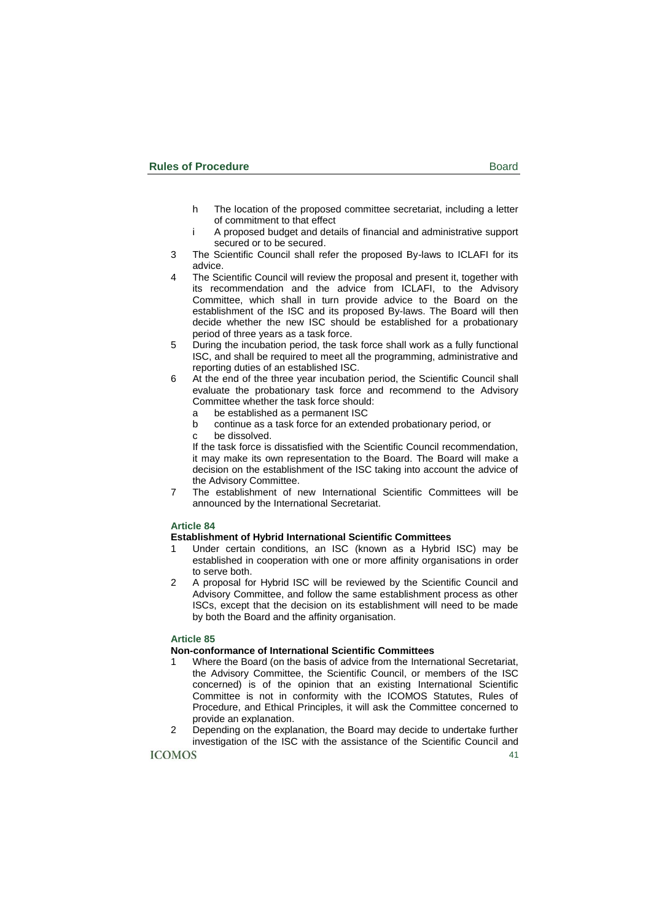- h The location of the proposed committee secretariat, including a letter of commitment to that effect
- i A proposed budget and details of financial and administrative support secured or to be secured.
- 3 The Scientific Council shall refer the proposed By-laws to ICLAFI for its advice.
- The Scientific Council will review the proposal and present it, together with its recommendation and the advice from ICLAFI, to the Advisory Committee, which shall in turn provide advice to the Board on the establishment of the ISC and its proposed By-laws. The Board will then decide whether the new ISC should be established for a probationary period of three years as a task force.
- 5 During the incubation period, the task force shall work as a fully functional ISC, and shall be required to meet all the programming, administrative and reporting duties of an established ISC.
- 6 At the end of the three year incubation period, the Scientific Council shall evaluate the probationary task force and recommend to the Advisory Committee whether the task force should:
	- a be established as a permanent ISC
	- b continue as a task force for an extended probationary period, or
	- c be dissolved.

If the task force is dissatisfied with the Scientific Council recommendation, it may make its own representation to the Board. The Board will make a decision on the establishment of the ISC taking into account the advice of the Advisory Committee.

7 The establishment of new International Scientific Committees will be announced by the International Secretariat.

# **Article 84**

# **Establishment of Hybrid International Scientific Committees**

- 1 Under certain conditions, an ISC (known as a Hybrid ISC) may be established in cooperation with one or more affinity organisations in order to serve both.
- 2 A proposal for Hybrid ISC will be reviewed by the Scientific Council and Advisory Committee, and follow the same establishment process as other ISCs, except that the decision on its establishment will need to be made by both the Board and the affinity organisation.

# **Article 85**

### **Non-conformance of International Scientific Committees**

- 1 Where the Board (on the basis of advice from the International Secretariat, the Advisory Committee, the Scientific Council, or members of the ISC concerned) is of the opinion that an existing International Scientific Committee is not in conformity with the ICOMOS Statutes, Rules of Procedure, and Ethical Principles, it will ask the Committee concerned to provide an explanation.
- 2 Depending on the explanation, the Board may decide to undertake further investigation of the ISC with the assistance of the Scientific Council and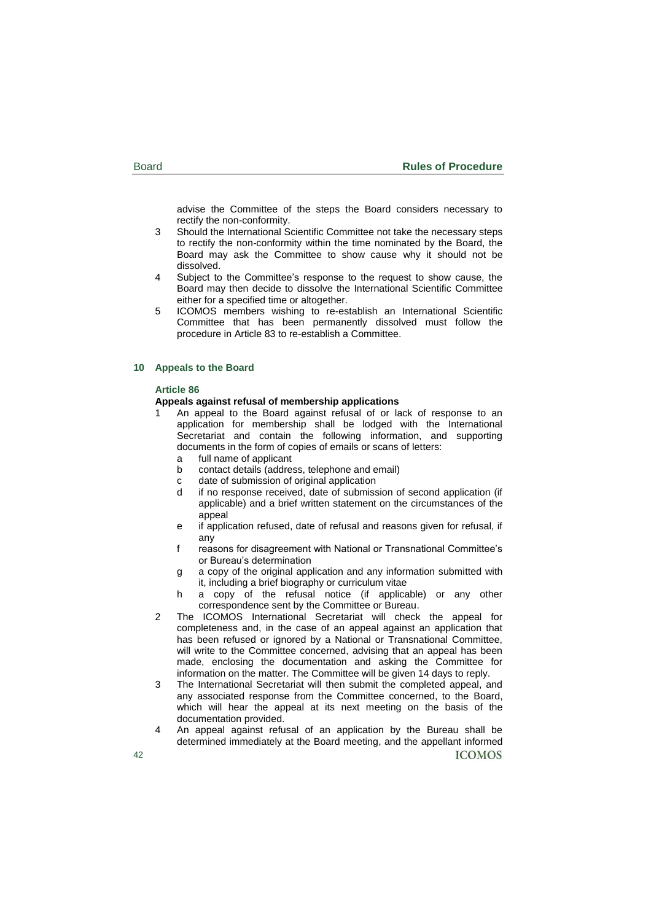advise the Committee of the steps the Board considers necessary to rectify the non-conformity.

- 3 Should the International Scientific Committee not take the necessary steps to rectify the non-conformity within the time nominated by the Board, the Board may ask the Committee to show cause why it should not be dissolved.
- 4 Subject to the Committee's response to the request to show cause, the Board may then decide to dissolve the International Scientific Committee either for a specified time or altogether.
- 5 ICOMOS members wishing to re-establish an International Scientific Committee that has been permanently dissolved must follow the procedure in Article 83 to re-establish a Committee.

### **10 Appeals to the Board**

# **Article 86**

# **Appeals against refusal of membership applications**

- 1 An appeal to the Board against refusal of or lack of response to an application for membership shall be lodged with the International Secretariat and contain the following information, and supporting documents in the form of copies of emails or scans of letters:
	- a full name of applicant
	- b contact details (address, telephone and email)
	- c date of submission of original application
	- d if no response received, date of submission of second application (if applicable) and a brief written statement on the circumstances of the appeal
	- e if application refused, date of refusal and reasons given for refusal, if any
	- f reasons for disagreement with National or Transnational Committee's or Bureau's determination
	- g a copy of the original application and any information submitted with it, including a brief biography or curriculum vitae
	- h a copy of the refusal notice (if applicable) or any other correspondence sent by the Committee or Bureau.
- 2 The ICOMOS International Secretariat will check the appeal for completeness and, in the case of an appeal against an application that has been refused or ignored by a National or Transnational Committee, will write to the Committee concerned, advising that an appeal has been made, enclosing the documentation and asking the Committee for information on the matter. The Committee will be given 14 days to reply.
- The International Secretariat will then submit the completed appeal, and any associated response from the Committee concerned, to the Board, which will hear the appeal at its next meeting on the basis of the documentation provided.
- 4 An appeal against refusal of an application by the Bureau shall be determined immediately at the Board meeting, and the appellant informed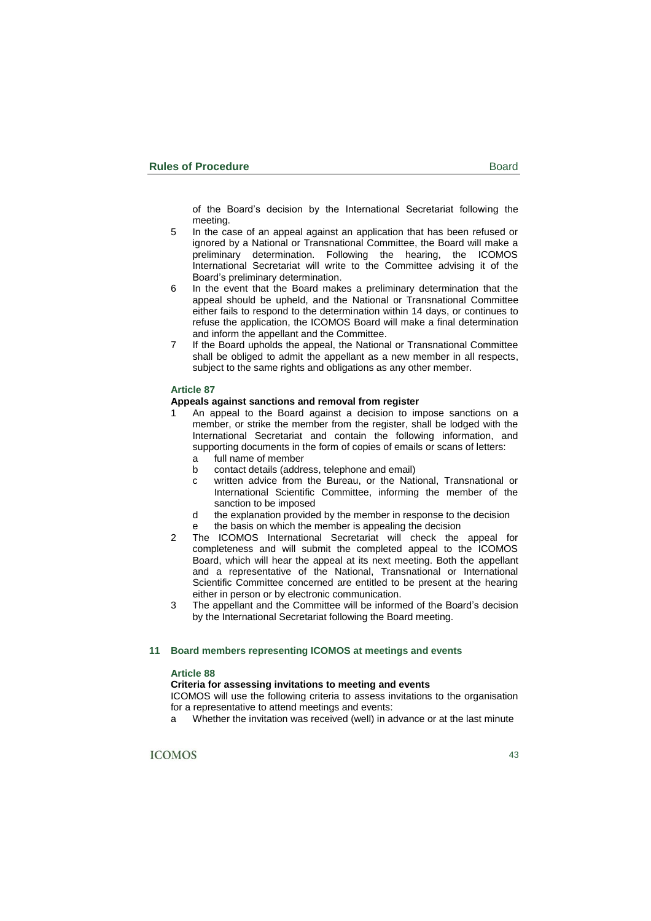of the Board's decision by the International Secretariat following the meeting.

- 5 In the case of an appeal against an application that has been refused or ignored by a National or Transnational Committee, the Board will make a preliminary determination. Following the hearing, the ICOMOS International Secretariat will write to the Committee advising it of the Board's preliminary determination.
- 6 In the event that the Board makes a preliminary determination that the appeal should be upheld, and the National or Transnational Committee either fails to respond to the determination within 14 days, or continues to refuse the application, the ICOMOS Board will make a final determination and inform the appellant and the Committee.
- 7 If the Board upholds the appeal, the National or Transnational Committee shall be obliged to admit the appellant as a new member in all respects, subject to the same rights and obligations as any other member.

# **Article 87**

# **Appeals against sanctions and removal from register**

- 1 An appeal to the Board against a decision to impose sanctions on a member, or strike the member from the register, shall be lodged with the International Secretariat and contain the following information, and supporting documents in the form of copies of emails or scans of letters:
	- a full name of member
	- b contact details (address, telephone and email)
	- c written advice from the Bureau, or the National, Transnational or International Scientific Committee, informing the member of the sanction to be imposed
	- d the explanation provided by the member in response to the decision
	- e the basis on which the member is appealing the decision
- 2 The ICOMOS International Secretariat will check the appeal for completeness and will submit the completed appeal to the ICOMOS Board, which will hear the appeal at its next meeting. Both the appellant and a representative of the National, Transnational or International Scientific Committee concerned are entitled to be present at the hearing either in person or by electronic communication.
- 3 The appellant and the Committee will be informed of the Board's decision by the International Secretariat following the Board meeting.

### **11 Board members representing ICOMOS at meetings and events**

### **Article 88**

# **Criteria for assessing invitations to meeting and events**

ICOMOS will use the following criteria to assess invitations to the organisation for a representative to attend meetings and events:

a Whether the invitation was received (well) in advance or at the last minute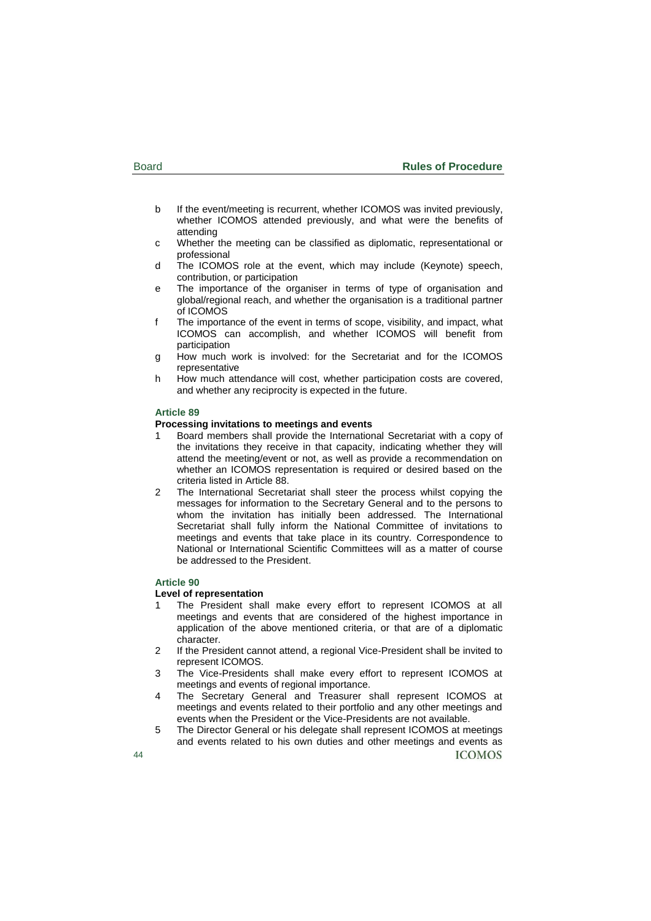- b If the event/meeting is recurrent, whether ICOMOS was invited previously, whether ICOMOS attended previously, and what were the benefits of attending
- c Whether the meeting can be classified as diplomatic, representational or professional
- d The ICOMOS role at the event, which may include (Keynote) speech, contribution, or participation
- e The importance of the organiser in terms of type of organisation and global/regional reach, and whether the organisation is a traditional partner of ICOMOS
- f The importance of the event in terms of scope, visibility, and impact, what ICOMOS can accomplish, and whether ICOMOS will benefit from participation
- g How much work is involved: for the Secretariat and for the ICOMOS representative
- h How much attendance will cost, whether participation costs are covered, and whether any reciprocity is expected in the future.

# **Processing invitations to meetings and events**

- 1 Board members shall provide the International Secretariat with a copy of the invitations they receive in that capacity, indicating whether they will attend the meeting/event or not, as well as provide a recommendation on whether an ICOMOS representation is required or desired based on the criteria listed in Article 88.
- 2 The International Secretariat shall steer the process whilst copying the messages for information to the Secretary General and to the persons to whom the invitation has initially been addressed. The International Secretariat shall fully inform the National Committee of invitations to meetings and events that take place in its country. Correspondence to National or International Scientific Committees will as a matter of course be addressed to the President.

#### **Article 90**

# **Level of representation**

- 1 The President shall make every effort to represent ICOMOS at all meetings and events that are considered of the highest importance in application of the above mentioned criteria, or that are of a diplomatic character.
- 2 If the President cannot attend, a regional Vice-President shall be invited to represent ICOMOS.
- 3 The Vice-Presidents shall make every effort to represent ICOMOS at meetings and events of regional importance.
- 4 The Secretary General and Treasurer shall represent ICOMOS at meetings and events related to their portfolio and any other meetings and events when the President or the Vice-Presidents are not available.
- 5 The Director General or his delegate shall represent ICOMOS at meetings and events related to his own duties and other meetings and events as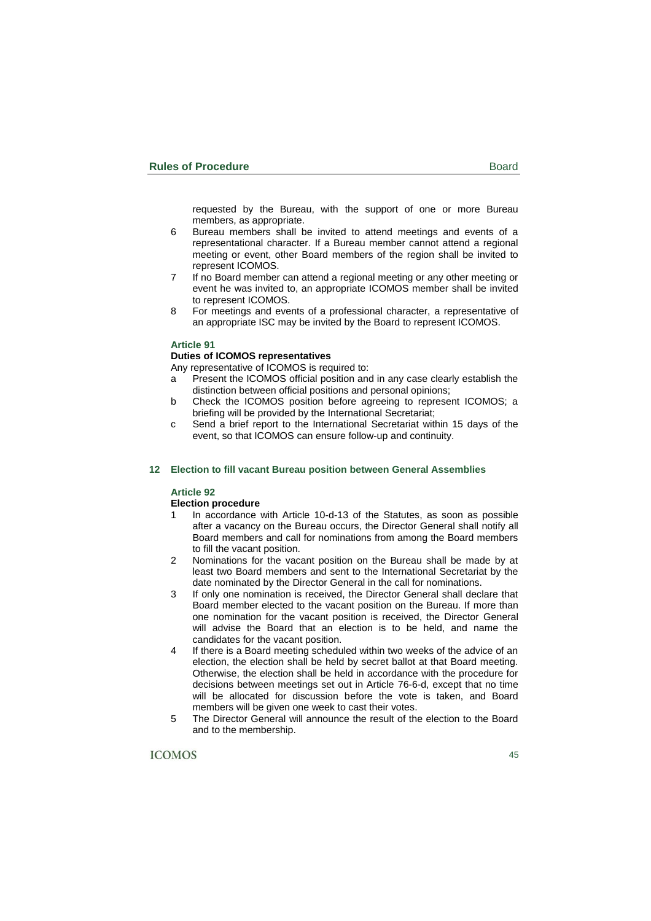requested by the Bureau, with the support of one or more Bureau members, as appropriate.

- 6 Bureau members shall be invited to attend meetings and events of a representational character. If a Bureau member cannot attend a regional meeting or event, other Board members of the region shall be invited to represent ICOMOS.
- 7 If no Board member can attend a regional meeting or any other meeting or event he was invited to, an appropriate ICOMOS member shall be invited to represent ICOMOS.
- 8 For meetings and events of a professional character, a representative of an appropriate ISC may be invited by the Board to represent ICOMOS.

# **Article 91**

# **Duties of ICOMOS representatives**

Any representative of ICOMOS is required to:

- a Present the ICOMOS official position and in any case clearly establish the distinction between official positions and personal opinions;
- b Check the ICOMOS position before agreeing to represent ICOMOS; a briefing will be provided by the International Secretariat;
- c Send a brief report to the International Secretariat within 15 days of the event, so that ICOMOS can ensure follow-up and continuity.

### **12 Election to fill vacant Bureau position between General Assemblies**

### **Article 92**

#### **Election procedure**

- 1 In accordance with Article 10-d-13 of the Statutes, as soon as possible after a vacancy on the Bureau occurs, the Director General shall notify all Board members and call for nominations from among the Board members to fill the vacant position.
- 2 Nominations for the vacant position on the Bureau shall be made by at least two Board members and sent to the International Secretariat by the date nominated by the Director General in the call for nominations.
- 3 If only one nomination is received, the Director General shall declare that Board member elected to the vacant position on the Bureau. If more than one nomination for the vacant position is received, the Director General will advise the Board that an election is to be held, and name the candidates for the vacant position.
- 4 If there is a Board meeting scheduled within two weeks of the advice of an election, the election shall be held by secret ballot at that Board meeting. Otherwise, the election shall be held in accordance with the procedure for decisions between meetings set out in Article 76-6-d, except that no time will be allocated for discussion before the vote is taken, and Board members will be given one week to cast their votes.
- 5 The Director General will announce the result of the election to the Board and to the membership.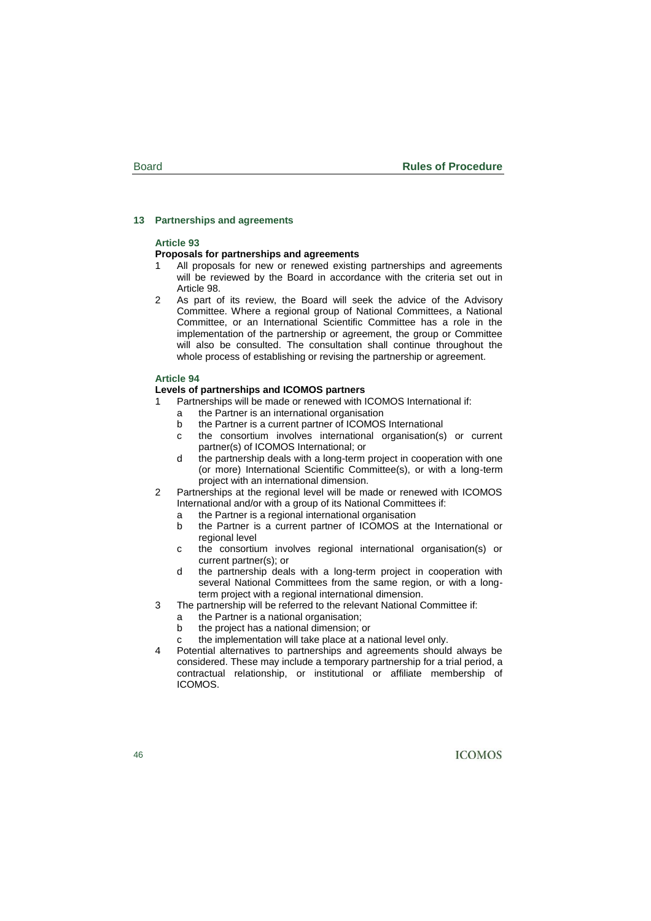# **13 Partnerships and agreements**

### **Article 93**

# **Proposals for partnerships and agreements**

- 1 All proposals for new or renewed existing partnerships and agreements will be reviewed by the Board in accordance with the criteria set out in Article 98.
- 2 As part of its review, the Board will seek the advice of the Advisory Committee. Where a regional group of National Committees, a National Committee, or an International Scientific Committee has a role in the implementation of the partnership or agreement, the group or Committee will also be consulted. The consultation shall continue throughout the whole process of establishing or revising the partnership or agreement.

# **Article 94**

# **Levels of partnerships and ICOMOS partners**

- Partnerships will be made or renewed with ICOMOS International if:
	- a the Partner is an international organisation
	- b the Partner is a current partner of ICOMOS International
	- c the consortium involves international organisation(s) or current partner(s) of ICOMOS International; or
	- d the partnership deals with a long-term project in cooperation with one (or more) International Scientific Committee(s), or with a long-term project with an international dimension.
- 2 Partnerships at the regional level will be made or renewed with ICOMOS International and/or with a group of its National Committees if:
	- a the Partner is a regional international organisation
	- b the Partner is a current partner of ICOMOS at the International or regional level
	- c the consortium involves regional international organisation(s) or current partner(s); or
	- d the partnership deals with a long-term project in cooperation with several National Committees from the same region, or with a longterm project with a regional international dimension.
- 3 The partnership will be referred to the relevant National Committee if:
	- the Partner is a national organisation;
	- b the project has a national dimension; or
	- c the implementation will take place at a national level only.
- 4 Potential alternatives to partnerships and agreements should always be considered. These may include a temporary partnership for a trial period, a contractual relationship, or institutional or affiliate membership of ICOMOS.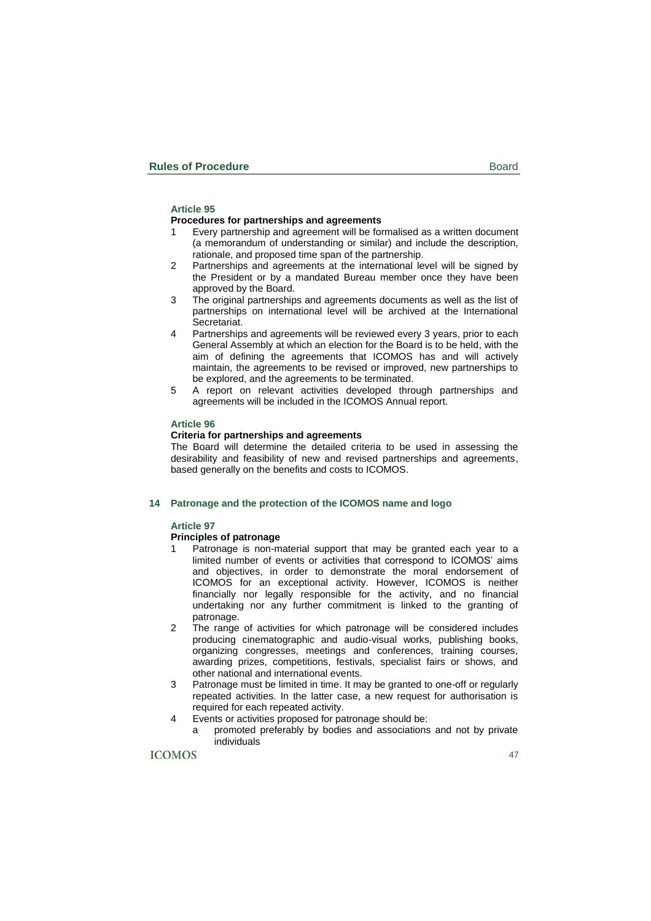### **Procedures for partnerships and agreements**

- 1 Every partnership and agreement will be formalised as a written document (a memorandum of understanding or similar) and include the description, rationale, and proposed time span of the partnership.
- 2 Partnerships and agreements at the international level will be signed by the President or by a mandated Bureau member once they have been approved by the Board.
- 3 The original partnerships and agreements documents as well as the list of partnerships on international level will be archived at the International Secretariat.
- 4 Partnerships and agreements will be reviewed every 3 years, prior to each General Assembly at which an election for the Board is to be held, with the aim of defining the agreements that ICOMOS has and will actively maintain, the agreements to be revised or improved, new partnerships to be explored, and the agreements to be terminated.
- 5 A report on relevant activities developed through partnerships and agreements will be included in the ICOMOS Annual report.

# **Article 96**

# **Criteria for partnerships and agreements**

The Board will determine the detailed criteria to be used in assessing the desirability and feasibility of new and revised partnerships and agreements, based generally on the benefits and costs to ICOMOS.

# **14 Patronage and the protection of the ICOMOS name and logo**

### **Article 97**

# **Principles of patronage**

- Patronage is non-material support that may be granted each year to a limited number of events or activities that correspond to ICOMOS' aims and objectives, in order to demonstrate the moral endorsement of ICOMOS for an exceptional activity. However, ICOMOS is neither financially nor legally responsible for the activity, and no financial undertaking nor any further commitment is linked to the granting of patronage.
- 2 The range of activities for which patronage will be considered includes producing cinematographic and audio-visual works, publishing books, organizing congresses, meetings and conferences, training courses, awarding prizes, competitions, festivals, specialist fairs or shows, and other national and international events.
- 3 Patronage must be limited in time. It may be granted to one-off or regularly repeated activities. In the latter case, a new request for authorisation is required for each repeated activity.
- 4 Events or activities proposed for patronage should be:
	- promoted preferably by bodies and associations and not by private individuals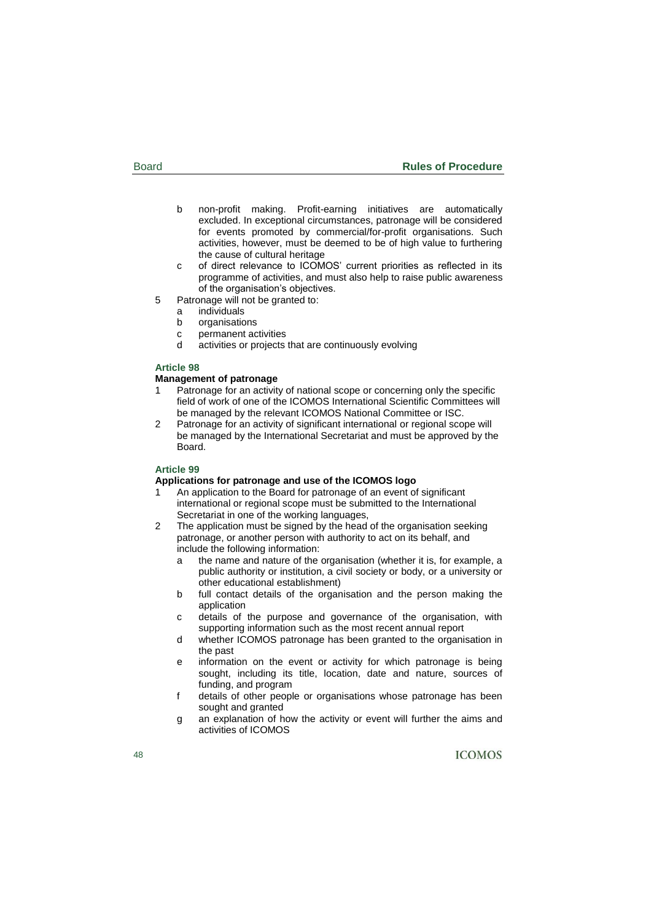- b non-profit making. Profit-earning initiatives are automatically excluded. In exceptional circumstances, patronage will be considered for events promoted by commercial/for-profit organisations. Such activities, however, must be deemed to be of high value to furthering the cause of cultural heritage
- c of direct relevance to ICOMOS' current priorities as reflected in its programme of activities, and must also help to raise public awareness of the organisation's objectives.
- 5 Patronage will not be granted to:
	- a individuals
	- b organisations
	- c permanent activities<br>d activities or projects
	- activities or projects that are continuously evolving

# **Management of patronage**

- 1 Patronage for an activity of national scope or concerning only the specific field of work of one of the ICOMOS International Scientific Committees will be managed by the relevant ICOMOS National Committee or ISC.
- 2 Patronage for an activity of significant international or regional scope will be managed by the International Secretariat and must be approved by the Board.

### **Article 99**

### **Applications for patronage and use of the ICOMOS logo**

- 1 An application to the Board for patronage of an event of significant international or regional scope must be submitted to the International Secretariat in one of the working languages,
- 2 The application must be signed by the head of the organisation seeking patronage, or another person with authority to act on its behalf, and include the following information:
	- a the name and nature of the organisation (whether it is, for example, a public authority or institution, a civil society or body, or a university or other educational establishment)
	- b full contact details of the organisation and the person making the application
	- c details of the purpose and governance of the organisation, with supporting information such as the most recent annual report
	- d whether ICOMOS patronage has been granted to the organisation in the past
	- e information on the event or activity for which patronage is being sought, including its title, location, date and nature, sources of funding, and program
	- f details of other people or organisations whose patronage has been sought and granted
	- g an explanation of how the activity or event will further the aims and activities of ICOMOS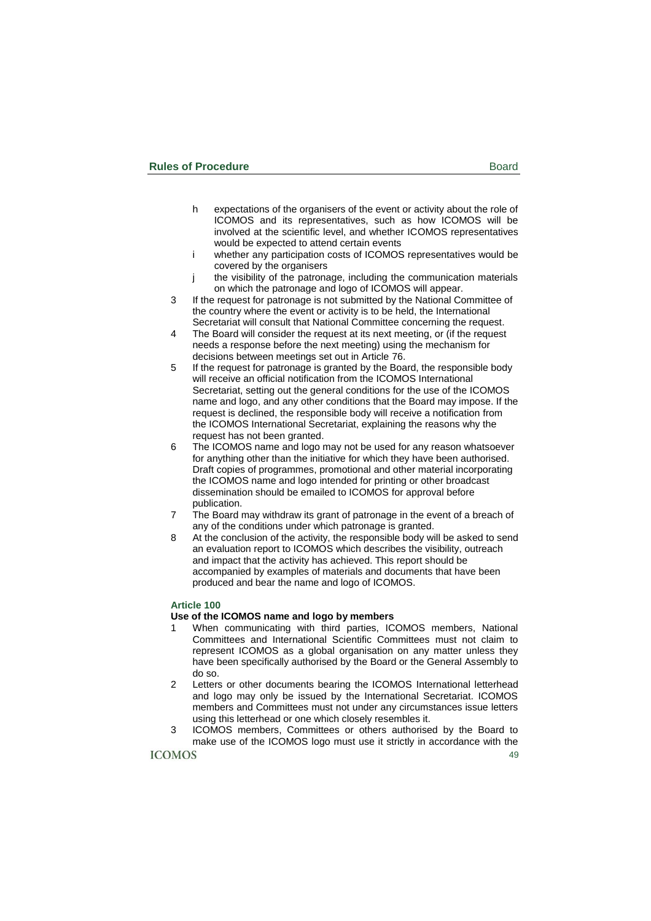- h expectations of the organisers of the event or activity about the role of ICOMOS and its representatives, such as how ICOMOS will be involved at the scientific level, and whether ICOMOS representatives would be expected to attend certain events
- whether any participation costs of ICOMOS representatives would be covered by the organisers
- the visibility of the patronage, including the communication materials on which the patronage and logo of ICOMOS will appear.
- 3 If the request for patronage is not submitted by the National Committee of the country where the event or activity is to be held, the International Secretariat will consult that National Committee concerning the request.
- 4 The Board will consider the request at its next meeting, or (if the request needs a response before the next meeting) using the mechanism for decisions between meetings set out in Article 76.
- 5 If the request for patronage is granted by the Board, the responsible body will receive an official notification from the ICOMOS International Secretariat, setting out the general conditions for the use of the ICOMOS name and logo, and any other conditions that the Board may impose. If the request is declined, the responsible body will receive a notification from the ICOMOS International Secretariat, explaining the reasons why the request has not been granted.
- 6 The ICOMOS name and logo may not be used for any reason whatsoever for anything other than the initiative for which they have been authorised. Draft copies of programmes, promotional and other material incorporating the ICOMOS name and logo intended for printing or other broadcast dissemination should be emailed to ICOMOS for approval before publication.
- 7 The Board may withdraw its grant of patronage in the event of a breach of any of the conditions under which patronage is granted.
- 8 At the conclusion of the activity, the responsible body will be asked to send an evaluation report to ICOMOS which describes the visibility, outreach and impact that the activity has achieved. This report should be accompanied by examples of materials and documents that have been produced and bear the name and logo of ICOMOS.

### **Use of the ICOMOS name and logo by members**

- 1 When communicating with third parties, ICOMOS members, National Committees and International Scientific Committees must not claim to represent ICOMOS as a global organisation on any matter unless they have been specifically authorised by the Board or the General Assembly to do so.
- 2 Letters or other documents bearing the ICOMOS International letterhead and logo may only be issued by the International Secretariat. ICOMOS members and Committees must not under any circumstances issue letters using this letterhead or one which closely resembles it.
- 49 3 ICOMOS members, Committees or others authorised by the Board to make use of the ICOMOS logo must use it strictly in accordance with the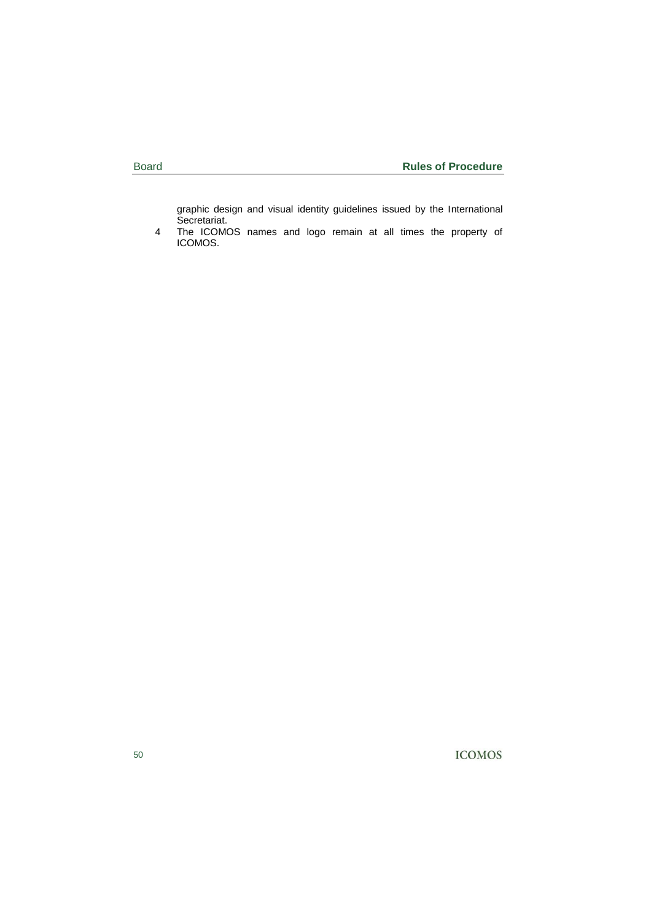graphic design and visual identity guidelines issued by the International Secretariat.

<sup>4</sup> The ICOMOS names and logo remain at all times the property of ICOMOS.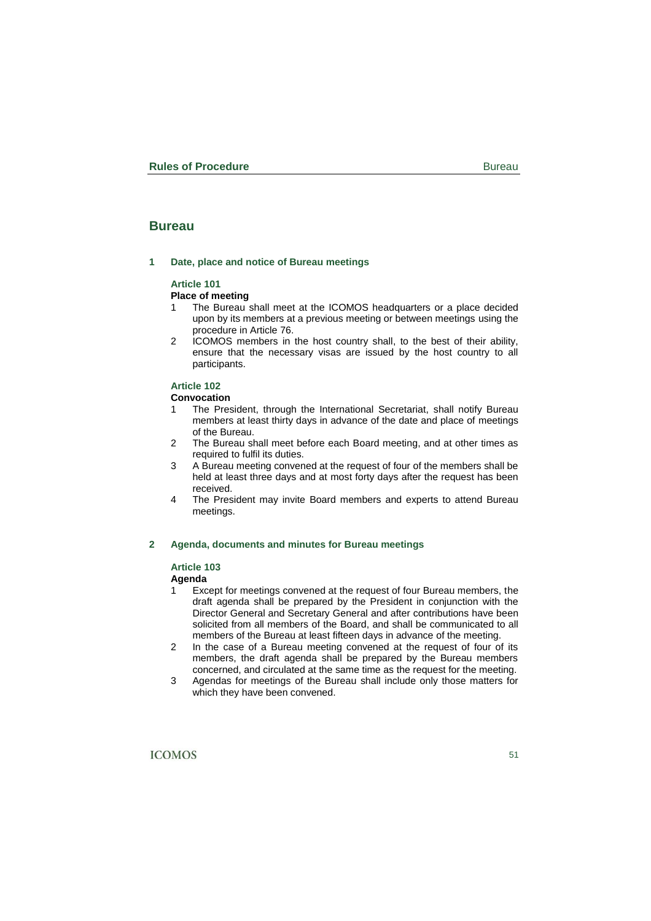# **Bureau**

**1 Date, place and notice of Bureau meetings**

#### **Article 101**

# **Place of meeting**

- 1 The Bureau shall meet at the ICOMOS headquarters or a place decided upon by its members at a previous meeting or between meetings using the procedure in Article 76.
- 2 ICOMOS members in the host country shall, to the best of their ability, ensure that the necessary visas are issued by the host country to all participants.

# **Article 102**

# **Convocation**

- 1 The President, through the International Secretariat, shall notify Bureau members at least thirty days in advance of the date and place of meetings of the Bureau.
- 2 The Bureau shall meet before each Board meeting, and at other times as required to fulfil its duties.
- 3 A Bureau meeting convened at the request of four of the members shall be held at least three days and at most forty days after the request has been received.
- 4 The President may invite Board members and experts to attend Bureau meetings.

# **2 Agenda, documents and minutes for Bureau meetings**

# **Article 103**

# **Agenda**

- 1 Except for meetings convened at the request of four Bureau members, the draft agenda shall be prepared by the President in conjunction with the Director General and Secretary General and after contributions have been solicited from all members of the Board, and shall be communicated to all members of the Bureau at least fifteen days in advance of the meeting.
- 2 In the case of a Bureau meeting convened at the request of four of its members, the draft agenda shall be prepared by the Bureau members concerned, and circulated at the same time as the request for the meeting.
- 3 Agendas for meetings of the Bureau shall include only those matters for which they have been convened.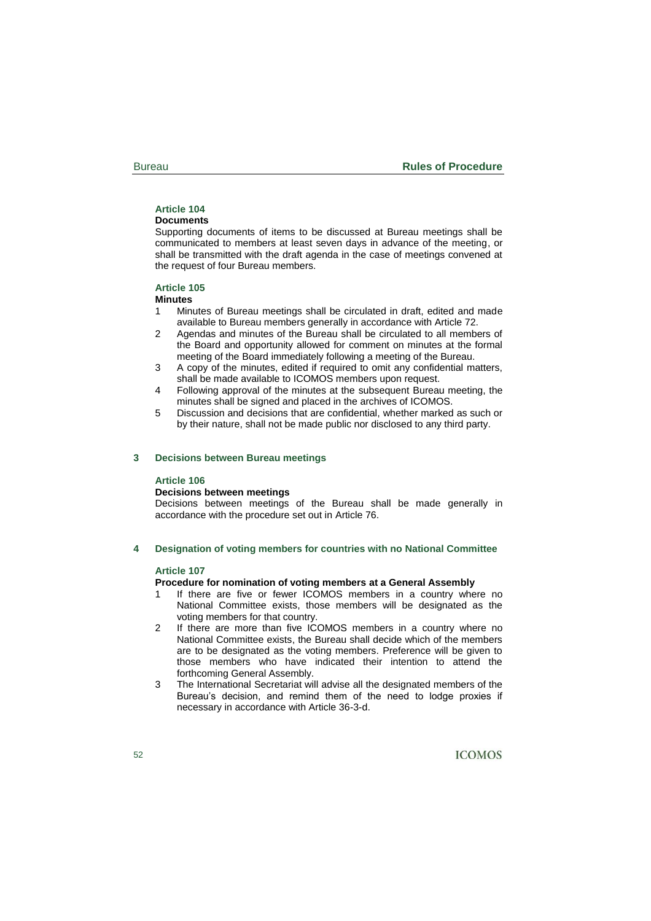# **Article 104**

# **Documents**

Supporting documents of items to be discussed at Bureau meetings shall be communicated to members at least seven days in advance of the meeting, or shall be transmitted with the draft agenda in the case of meetings convened at the request of four Bureau members.

# **Article 105**

# **Minutes**

- 1 Minutes of Bureau meetings shall be circulated in draft, edited and made available to Bureau members generally in accordance with Article 72.
- 2 Agendas and minutes of the Bureau shall be circulated to all members of the Board and opportunity allowed for comment on minutes at the formal meeting of the Board immediately following a meeting of the Bureau.
- 3 A copy of the minutes, edited if required to omit any confidential matters, shall be made available to ICOMOS members upon request.
- 4 Following approval of the minutes at the subsequent Bureau meeting, the minutes shall be signed and placed in the archives of ICOMOS.
- 5 Discussion and decisions that are confidential, whether marked as such or by their nature, shall not be made public nor disclosed to any third party.

#### **3 Decisions between Bureau meetings**

#### **Article 106**

#### **Decisions between meetings**

Decisions between meetings of the Bureau shall be made generally in accordance with the procedure set out in Article 76.

#### **4 Designation of voting members for countries with no National Committee**

#### **Article 107**

### **Procedure for nomination of voting members at a General Assembly**

- 1 If there are five or fewer ICOMOS members in a country where no National Committee exists, those members will be designated as the voting members for that country.
- 2 If there are more than five ICOMOS members in a country where no National Committee exists, the Bureau shall decide which of the members are to be designated as the voting members. Preference will be given to those members who have indicated their intention to attend the forthcoming General Assembly.
- 3 The International Secretariat will advise all the designated members of the Bureau's decision, and remind them of the need to lodge proxies if necessary in accordance with Article 36-3-d.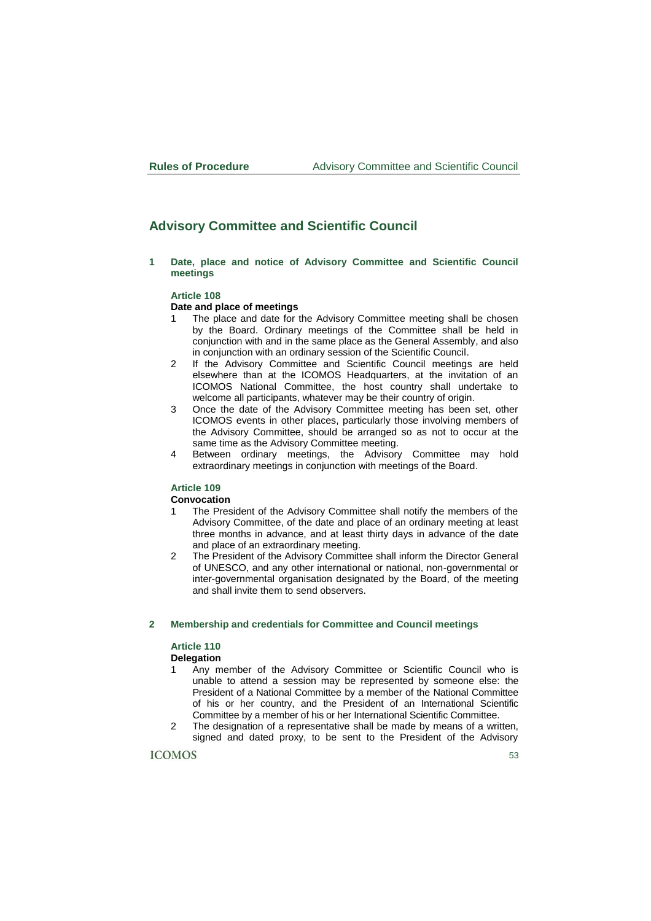# **Advisory Committee and Scientific Council**

**1 Date, place and notice of Advisory Committee and Scientific Council meetings**

#### **Article 108**

# **Date and place of meetings**

- The place and date for the Advisory Committee meeting shall be chosen by the Board. Ordinary meetings of the Committee shall be held in conjunction with and in the same place as the General Assembly, and also in conjunction with an ordinary session of the Scientific Council.
- 2 If the Advisory Committee and Scientific Council meetings are held elsewhere than at the ICOMOS Headquarters, at the invitation of an ICOMOS National Committee, the host country shall undertake to welcome all participants, whatever may be their country of origin.
- 3 Once the date of the Advisory Committee meeting has been set, other ICOMOS events in other places, particularly those involving members of the Advisory Committee, should be arranged so as not to occur at the same time as the Advisory Committee meeting.
- 4 Between ordinary meetings, the Advisory Committee may hold extraordinary meetings in conjunction with meetings of the Board.

# **Article 109**

#### **Convocation**

- 1 The President of the Advisory Committee shall notify the members of the Advisory Committee, of the date and place of an ordinary meeting at least three months in advance, and at least thirty days in advance of the date and place of an extraordinary meeting.
- 2 The President of the Advisory Committee shall inform the Director General of UNESCO, and any other international or national, non-governmental or inter-governmental organisation designated by the Board, of the meeting and shall invite them to send observers.

#### **2 Membership and credentials for Committee and Council meetings**

# **Article 110**

# **Delegation**

- Any member of the Advisory Committee or Scientific Council who is unable to attend a session may be represented by someone else: the President of a National Committee by a member of the National Committee of his or her country, and the President of an International Scientific Committee by a member of his or her International Scientific Committee.
- 2 The designation of a representative shall be made by means of a written, signed and dated proxy, to be sent to the President of the Advisory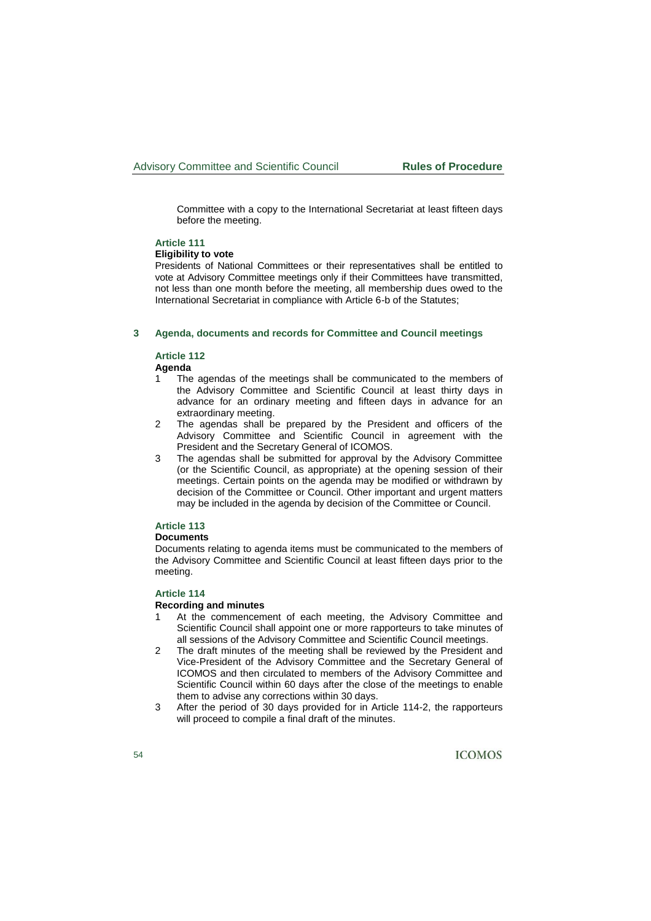Committee with a copy to the International Secretariat at least fifteen days before the meeting.

#### **Article 111**

#### **Eligibility to vote**

Presidents of National Committees or their representatives shall be entitled to vote at Advisory Committee meetings only if their Committees have transmitted, not less than one month before the meeting, all membership dues owed to the International Secretariat in compliance with Article 6-b of the Statutes;

#### **3 Agenda, documents and records for Committee and Council meetings**

# **Article 112**

# **Agenda**

- 1 The agendas of the meetings shall be communicated to the members of the Advisory Committee and Scientific Council at least thirty days in advance for an ordinary meeting and fifteen days in advance for an extraordinary meeting.
- 2 The agendas shall be prepared by the President and officers of the Advisory Committee and Scientific Council in agreement with the President and the Secretary General of ICOMOS.
- 3 The agendas shall be submitted for approval by the Advisory Committee (or the Scientific Council, as appropriate) at the opening session of their meetings. Certain points on the agenda may be modified or withdrawn by decision of the Committee or Council. Other important and urgent matters may be included in the agenda by decision of the Committee or Council.

# **Article 113**

### **Documents**

Documents relating to agenda items must be communicated to the members of the Advisory Committee and Scientific Council at least fifteen days prior to the meeting.

# **Article 114**

#### **Recording and minutes**

- 1 At the commencement of each meeting, the Advisory Committee and Scientific Council shall appoint one or more rapporteurs to take minutes of all sessions of the Advisory Committee and Scientific Council meetings.
- 2 The draft minutes of the meeting shall be reviewed by the President and Vice-President of the Advisory Committee and the Secretary General of ICOMOS and then circulated to members of the Advisory Committee and Scientific Council within 60 days after the close of the meetings to enable them to advise any corrections within 30 days.
- 3 After the period of 30 days provided for in Article 114-2, the rapporteurs will proceed to compile a final draft of the minutes.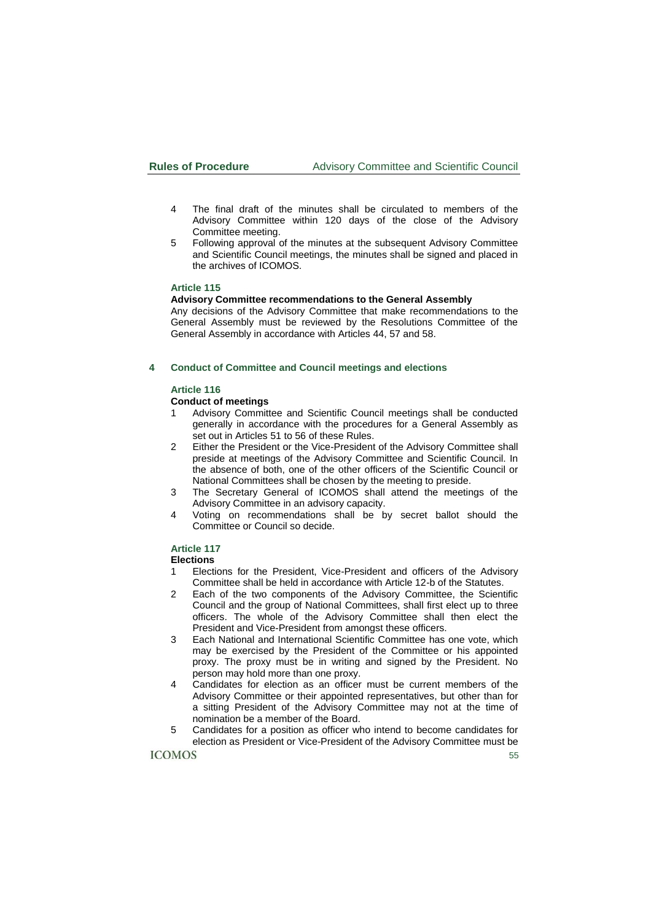- 4 The final draft of the minutes shall be circulated to members of the Advisory Committee within 120 days of the close of the Advisory Committee meeting.
- 5 Following approval of the minutes at the subsequent Advisory Committee and Scientific Council meetings, the minutes shall be signed and placed in the archives of ICOMOS.

#### **Article 115**

### **Advisory Committee recommendations to the General Assembly**

Any decisions of the Advisory Committee that make recommendations to the General Assembly must be reviewed by the Resolutions Committee of the General Assembly in accordance with Articles 44, 57 and 58.

# **4 Conduct of Committee and Council meetings and elections**

#### **Article 116**

# **Conduct of meetings**

- 1 Advisory Committee and Scientific Council meetings shall be conducted generally in accordance with the procedures for a General Assembly as set out in Articles 51 to 56 of these Rules.
- 2 Either the President or the Vice-President of the Advisory Committee shall preside at meetings of the Advisory Committee and Scientific Council. In the absence of both, one of the other officers of the Scientific Council or National Committees shall be chosen by the meeting to preside.
- 3 The Secretary General of ICOMOS shall attend the meetings of the Advisory Committee in an advisory capacity.
- 4 Voting on recommendations shall be by secret ballot should the Committee or Council so decide.

#### **Article 117**

#### **Elections**

- Elections for the President, Vice-President and officers of the Advisory Committee shall be held in accordance with Article 12-b of the Statutes.
- 2 Each of the two components of the Advisory Committee, the Scientific Council and the group of National Committees, shall first elect up to three officers. The whole of the Advisory Committee shall then elect the President and Vice-President from amongst these officers.
- 3 Each National and International Scientific Committee has one vote, which may be exercised by the President of the Committee or his appointed proxy. The proxy must be in writing and signed by the President. No person may hold more than one proxy.
- 4 Candidates for election as an officer must be current members of the Advisory Committee or their appointed representatives, but other than for a sitting President of the Advisory Committee may not at the time of nomination be a member of the Board.
- 5 Candidates for a position as officer who intend to become candidates for election as President or Vice-President of the Advisory Committee must be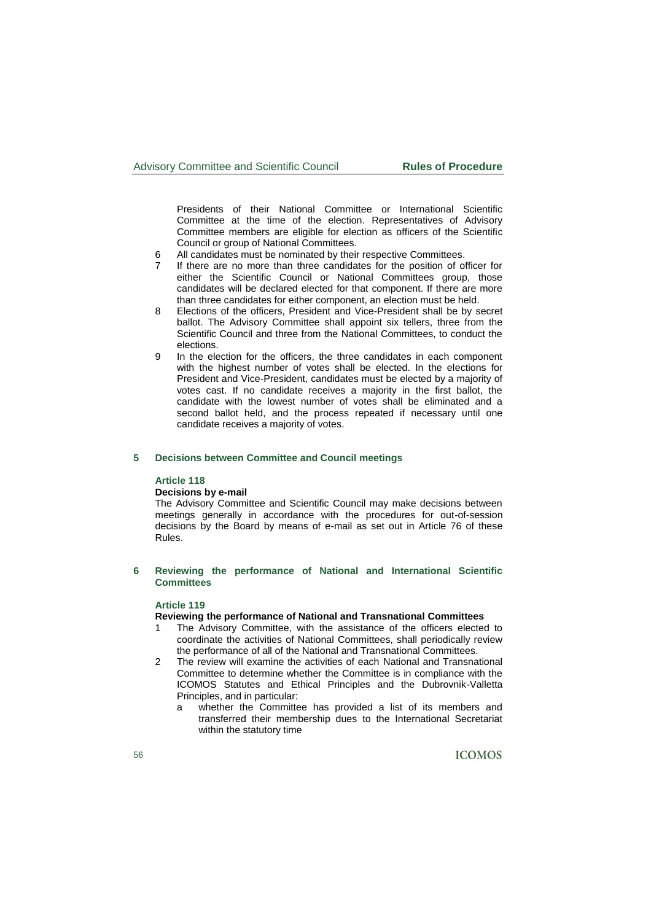Presidents of their National Committee or International Scientific Committee at the time of the election. Representatives of Advisory Committee members are eligible for election as officers of the Scientific Council or group of National Committees.

- 6 All candidates must be nominated by their respective Committees.
- If there are no more than three candidates for the position of officer for either the Scientific Council or National Committees group, those candidates will be declared elected for that component. If there are more than three candidates for either component, an election must be held.
- 8 Elections of the officers, President and Vice-President shall be by secret ballot. The Advisory Committee shall appoint six tellers, three from the Scientific Council and three from the National Committees, to conduct the elections.
- 9 In the election for the officers, the three candidates in each component with the highest number of votes shall be elected. In the elections for President and Vice-President, candidates must be elected by a majority of votes cast. If no candidate receives a majority in the first ballot, the candidate with the lowest number of votes shall be eliminated and a second ballot held, and the process repeated if necessary until one candidate receives a majority of votes.

#### **5 Decisions between Committee and Council meetings**

#### **Article 118**

## **Decisions by e-mail**

The Advisory Committee and Scientific Council may make decisions between meetings generally in accordance with the procedures for out-of-session decisions by the Board by means of e-mail as set out in Article 76 of these Rules.

**6 Reviewing the performance of National and International Scientific Committees**

#### **Article 119**

#### **Reviewing the performance of National and Transnational Committees**

- 1 The Advisory Committee, with the assistance of the officers elected to coordinate the activities of National Committees, shall periodically review the performance of all of the National and Transnational Committees.
- 2 The review will examine the activities of each National and Transnational Committee to determine whether the Committee is in compliance with the ICOMOS Statutes and Ethical Principles and the Dubrovnik-Valletta Principles, and in particular:
	- a whether the Committee has provided a list of its members and transferred their membership dues to the International Secretariat within the statutory time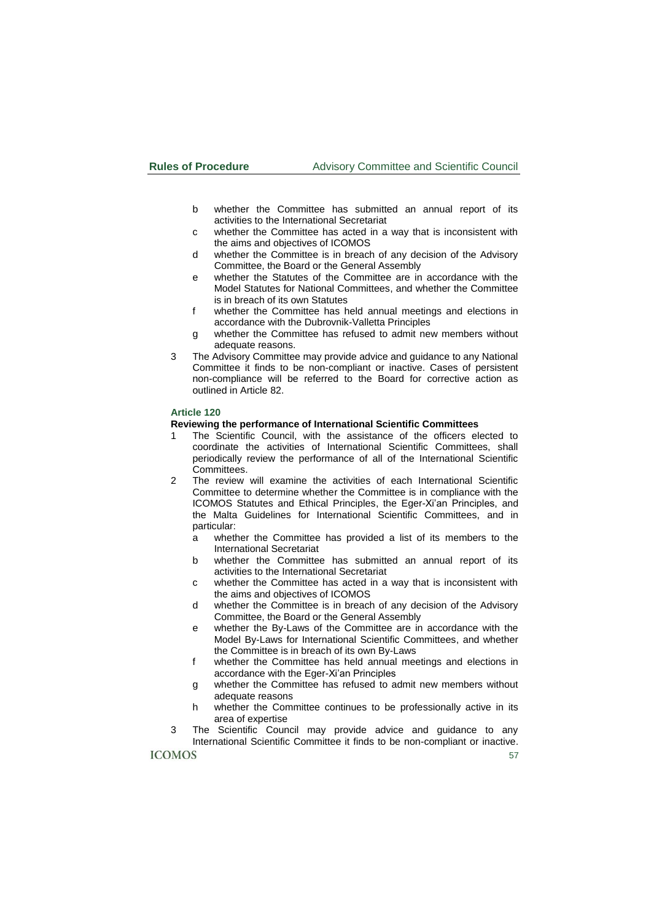- b whether the Committee has submitted an annual report of its activities to the International Secretariat
- c whether the Committee has acted in a way that is inconsistent with the aims and objectives of ICOMOS
- d whether the Committee is in breach of any decision of the Advisory Committee, the Board or the General Assembly
- e whether the Statutes of the Committee are in accordance with the Model Statutes for National Committees, and whether the Committee is in breach of its own Statutes
- f whether the Committee has held annual meetings and elections in accordance with the Dubrovnik-Valletta Principles
- g whether the Committee has refused to admit new members without adequate reasons.
- 3 The Advisory Committee may provide advice and guidance to any National Committee it finds to be non-compliant or inactive. Cases of persistent non-compliance will be referred to the Board for corrective action as outlined in Article 82.

#### **Article 120**

# **Reviewing the performance of International Scientific Committees**

- The Scientific Council, with the assistance of the officers elected to coordinate the activities of International Scientific Committees, shall periodically review the performance of all of the International Scientific Committees.
- 2 The review will examine the activities of each International Scientific Committee to determine whether the Committee is in compliance with the ICOMOS Statutes and Ethical Principles, the Eger-Xi'an Principles, and the Malta Guidelines for International Scientific Committees, and in particular:
	- a whether the Committee has provided a list of its members to the International Secretariat
	- b whether the Committee has submitted an annual report of its activities to the International Secretariat
	- c whether the Committee has acted in a way that is inconsistent with the aims and objectives of ICOMOS
	- d whether the Committee is in breach of any decision of the Advisory Committee, the Board or the General Assembly
	- e whether the By-Laws of the Committee are in accordance with the Model By-Laws for International Scientific Committees, and whether the Committee is in breach of its own By-Laws
	- f whether the Committee has held annual meetings and elections in accordance with the Eger-Xi'an Principles
	- g whether the Committee has refused to admit new members without adequate reasons
	- h whether the Committee continues to be professionally active in its area of expertise
- 3 The Scientific Council may provide advice and guidance to any International Scientific Committee it finds to be non-compliant or inactive.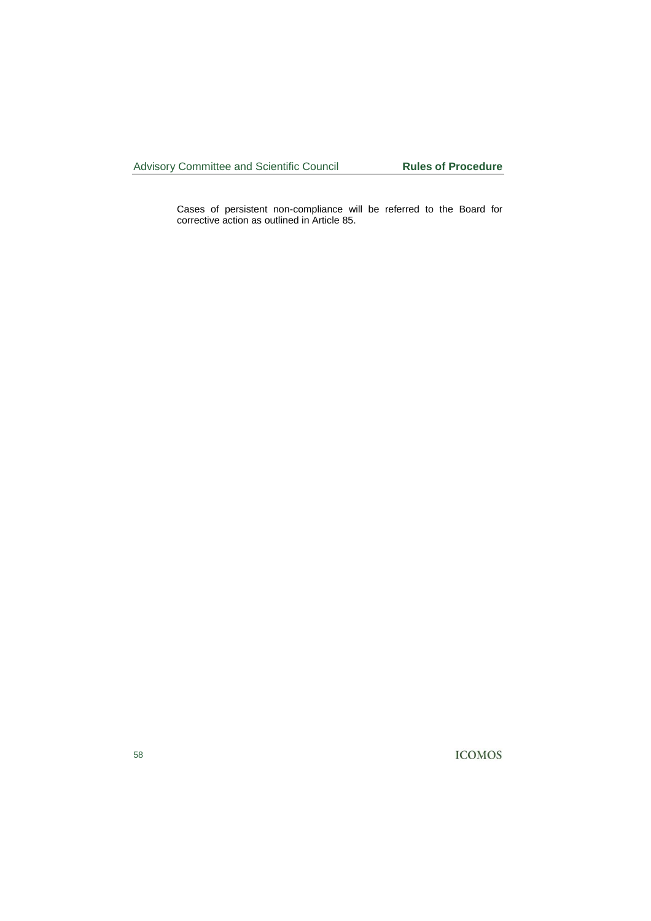Cases of persistent non-compliance will be referred to the Board for corrective action as outlined in Article 85.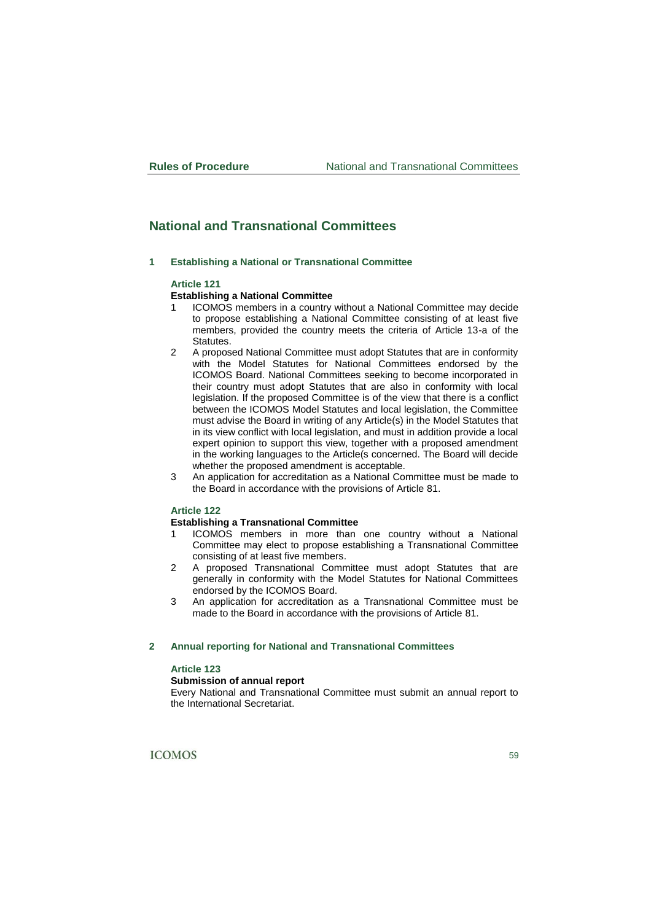# **National and Transnational Committees**

**1 Establishing a National or Transnational Committee**

#### **Article 121**

# **Establishing a National Committee**

- 1 ICOMOS members in a country without a National Committee may decide to propose establishing a National Committee consisting of at least five members, provided the country meets the criteria of Article 13-a of the Statutes.
- 2 A proposed National Committee must adopt Statutes that are in conformity with the Model Statutes for National Committees endorsed by the ICOMOS Board. National Committees seeking to become incorporated in their country must adopt Statutes that are also in conformity with local legislation. If the proposed Committee is of the view that there is a conflict between the ICOMOS Model Statutes and local legislation, the Committee must advise the Board in writing of any Article(s) in the Model Statutes that in its view conflict with local legislation, and must in addition provide a local expert opinion to support this view, together with a proposed amendment in the working languages to the Article(s concerned. The Board will decide whether the proposed amendment is acceptable.
- 3 An application for accreditation as a National Committee must be made to the Board in accordance with the provisions of Article 81.

#### **Article 122**

# **Establishing a Transnational Committee**

- 1 ICOMOS members in more than one country without a National Committee may elect to propose establishing a Transnational Committee consisting of at least five members.
- 2 A proposed Transnational Committee must adopt Statutes that are generally in conformity with the Model Statutes for National Committees endorsed by the ICOMOS Board.
- 3 An application for accreditation as a Transnational Committee must be made to the Board in accordance with the provisions of Article 81.

#### **2 Annual reporting for National and Transnational Committees**

# **Article 123**

# **Submission of annual report**

Every National and Transnational Committee must submit an annual report to the International Secretariat.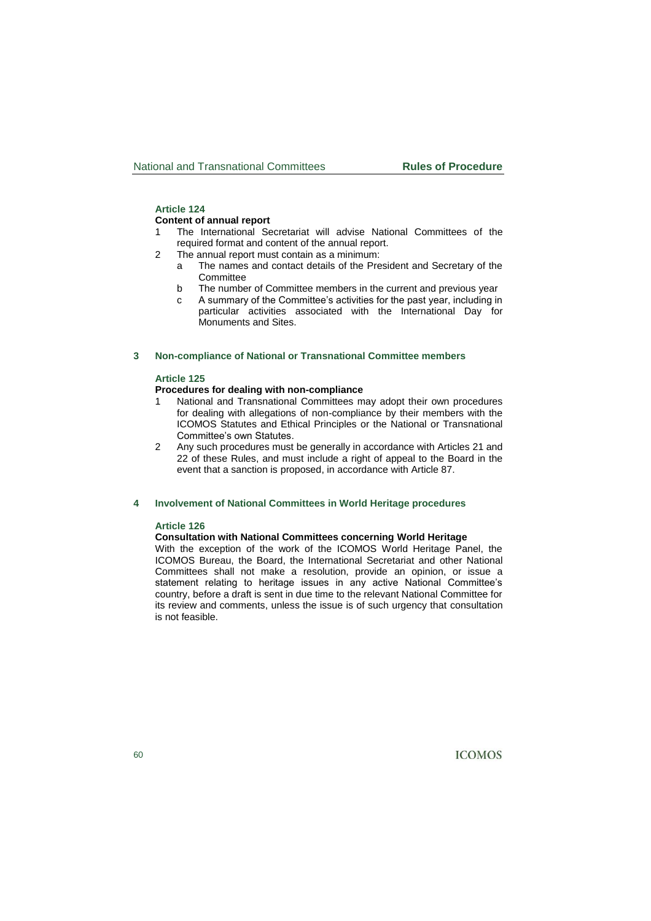# **Article 124 Content of annual report**

- 1 The International Secretariat will advise National Committees of the required format and content of the annual report.
- 2 The annual report must contain as a minimum:
	- a The names and contact details of the President and Secretary of the **Committee**
	- b The number of Committee members in the current and previous year
	- c A summary of the Committee's activities for the past year, including in particular activities associated with the International Day for Monuments and Sites.

# **3 Non-compliance of National or Transnational Committee members**

# **Article 125**

# **Procedures for dealing with non-compliance**

- National and Transnational Committees may adopt their own procedures for dealing with allegations of non-compliance by their members with the ICOMOS Statutes and Ethical Principles or the National or Transnational Committee's own Statutes.
- 2 Any such procedures must be generally in accordance with Articles 21 and 22 of these Rules, and must include a right of appeal to the Board in the event that a sanction is proposed, in accordance with Article 87.

### **4 Involvement of National Committees in World Heritage procedures**

#### **Article 126**

# **Consultation with National Committees concerning World Heritage**

With the exception of the work of the ICOMOS World Heritage Panel, the ICOMOS Bureau, the Board, the International Secretariat and other National Committees shall not make a resolution, provide an opinion, or issue a statement relating to heritage issues in any active National Committee's country, before a draft is sent in due time to the relevant National Committee for its review and comments, unless the issue is of such urgency that consultation is not feasible.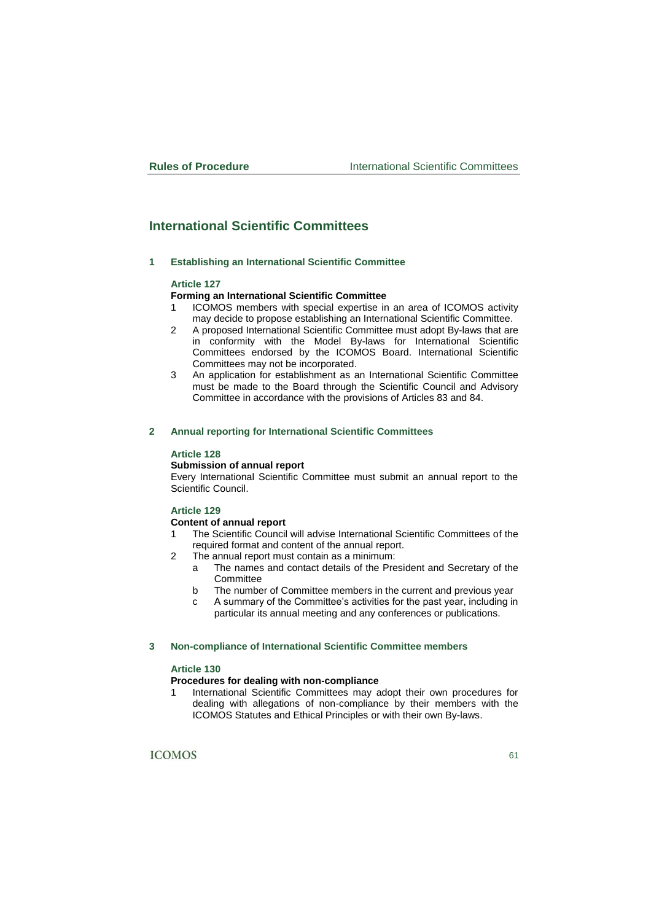# **International Scientific Committees**

**1 Establishing an International Scientific Committee**

#### **Article 127**

# **Forming an International Scientific Committee**

- 1 ICOMOS members with special expertise in an area of ICOMOS activity may decide to propose establishing an International Scientific Committee.
- 2 A proposed International Scientific Committee must adopt By-laws that are in conformity with the Model By-laws for International Scientific Committees endorsed by the ICOMOS Board. International Scientific Committees may not be incorporated.
- 3 An application for establishment as an International Scientific Committee must be made to the Board through the Scientific Council and Advisory Committee in accordance with the provisions of Articles 83 and 84.

#### **2 Annual reporting for International Scientific Committees**

#### **Article 128**

#### **Submission of annual report**

Every International Scientific Committee must submit an annual report to the Scientific Council.

# **Article 129**

# **Content of annual report**

- 1 The Scientific Council will advise International Scientific Committees of the required format and content of the annual report.
- 2 The annual report must contain as a minimum:
	- a The names and contact details of the President and Secretary of the **Committee**
	- b The number of Committee members in the current and previous year
	- c A summary of the Committee's activities for the past year, including in particular its annual meeting and any conferences or publications.

#### **3 Non-compliance of International Scientific Committee members**

## **Article 130**

### **Procedures for dealing with non-compliance**

1 International Scientific Committees may adopt their own procedures for dealing with allegations of non-compliance by their members with the ICOMOS Statutes and Ethical Principles or with their own By-laws.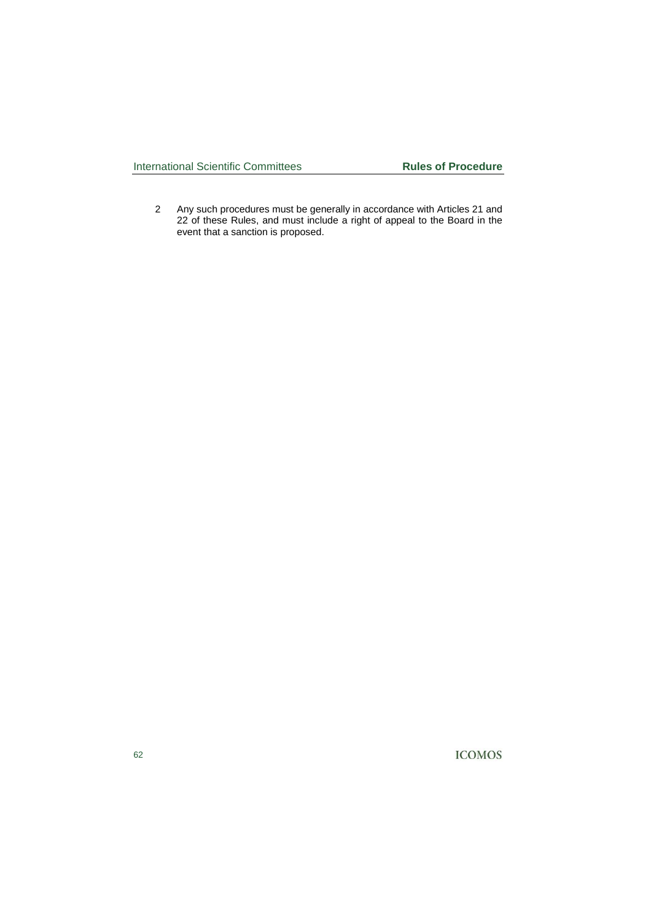2 Any such procedures must be generally in accordance with Articles 21 and 22 of these Rules, and must include a right of appeal to the Board in the event that a sanction is proposed.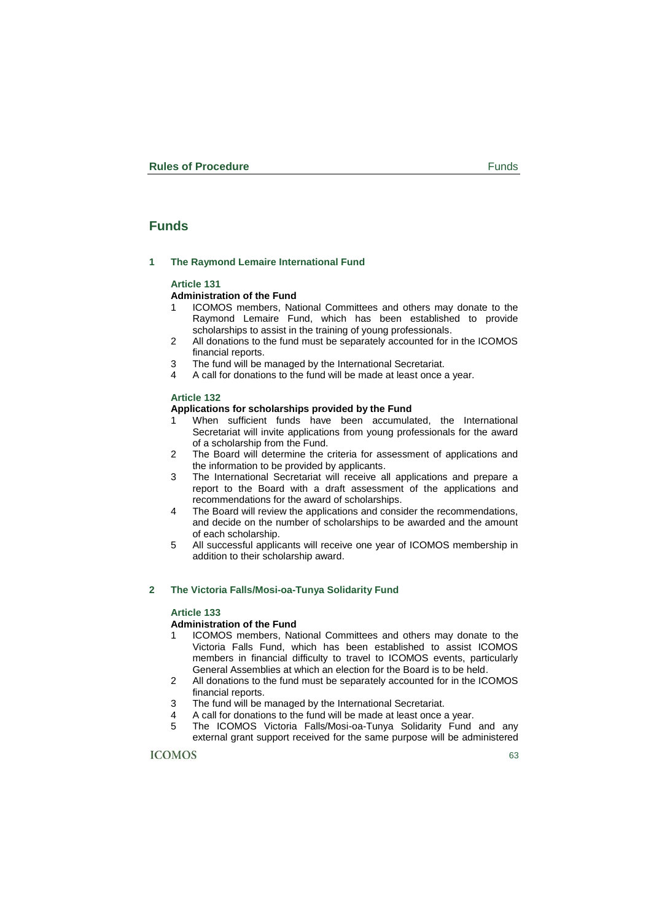# **Funds**

**1 The Raymond Lemaire International Fund** 

# **Article 131**

# **Administration of the Fund**

- 1 ICOMOS members, National Committees and others may donate to the Raymond Lemaire Fund, which has been established to provide scholarships to assist in the training of young professionals.
- 2 All donations to the fund must be separately accounted for in the ICOMOS financial reports.
- 3 The fund will be managed by the International Secretariat.
- 4 A call for donations to the fund will be made at least once a year.

#### **Article 132**

#### **Applications for scholarships provided by the Fund**

- When sufficient funds have been accumulated, the International Secretariat will invite applications from young professionals for the award of a scholarship from the Fund.
- 2 The Board will determine the criteria for assessment of applications and the information to be provided by applicants.
- 3 The International Secretariat will receive all applications and prepare a report to the Board with a draft assessment of the applications and recommendations for the award of scholarships.
- 4 The Board will review the applications and consider the recommendations, and decide on the number of scholarships to be awarded and the amount of each scholarship.
- 5 All successful applicants will receive one year of ICOMOS membership in addition to their scholarship award.

#### **2 The Victoria Falls/Mosi-oa-Tunya Solidarity Fund**

#### **Article 133**

#### **Administration of the Fund**

- 1 ICOMOS members, National Committees and others may donate to the Victoria Falls Fund, which has been established to assist ICOMOS members in financial difficulty to travel to ICOMOS events, particularly General Assemblies at which an election for the Board is to be held.
- 2 All donations to the fund must be separately accounted for in the ICOMOS financial reports.
- 3 The fund will be managed by the International Secretariat.
- 4 A call for donations to the fund will be made at least once a year.
- 5 The ICOMOS Victoria Falls/Mosi-oa-Tunya Solidarity Fund and any external grant support received for the same purpose will be administered